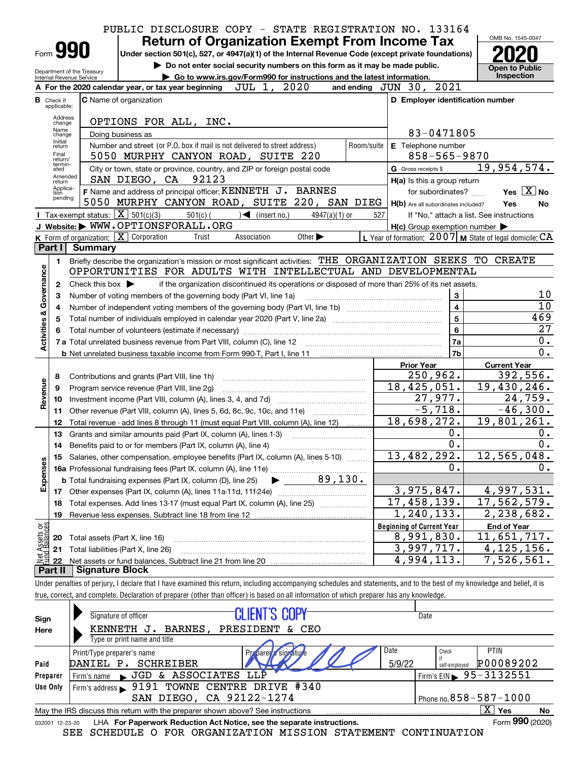|                                              |                                  |                                                        | PUBLIC DISCLOSURE COPY - STATE REGISTRATION NO. 133164                                                                                                                     |                                                           |                                          |
|----------------------------------------------|----------------------------------|--------------------------------------------------------|----------------------------------------------------------------------------------------------------------------------------------------------------------------------------|-----------------------------------------------------------|------------------------------------------|
|                                              |                                  |                                                        | <b>Return of Organization Exempt From Income Tax</b>                                                                                                                       |                                                           | OMB No. 1545-0047                        |
|                                              |                                  | Form 990                                               | Under section 501(c), 527, or 4947(a)(1) of the Internal Revenue Code (except private foundations)                                                                         |                                                           |                                          |
|                                              |                                  |                                                        | Do not enter social security numbers on this form as it may be made public.                                                                                                |                                                           | <b>Open to Public</b>                    |
|                                              |                                  | Department of the Treasury<br>Internal Revenue Service | Go to www.irs.gov/Form990 for instructions and the latest information.                                                                                                     |                                                           | Inspection                               |
|                                              |                                  |                                                        | A For the 2020 calendar year, or tax year beginning $JUL$ 1, $2020$                                                                                                        | and ending JUN 30, 2021                                   |                                          |
|                                              | <b>B</b> Check if<br>applicable: |                                                        | <b>C</b> Name of organization                                                                                                                                              | D Employer identification number                          |                                          |
|                                              | Address                          |                                                        |                                                                                                                                                                            |                                                           |                                          |
|                                              | change<br>Name                   |                                                        | OPTIONS FOR ALL, INC.                                                                                                                                                      | 83-0471805                                                |                                          |
|                                              | change<br>Initial                |                                                        | Doing business as<br>Number and street (or P.O. box if mail is not delivered to street address)<br>Room/suite                                                              |                                                           |                                          |
|                                              | return<br>Final                  |                                                        | 5050 MURPHY CANYON ROAD, SUITE 220                                                                                                                                         | E Telephone number<br>858-565-9870                        |                                          |
|                                              | return/<br>termin-<br>ated       |                                                        | City or town, state or province, country, and ZIP or foreign postal code                                                                                                   | G Gross receipts \$                                       | 19,954,574.                              |
|                                              | return                           | Amended                                                | SAN DIEGO, CA 92123                                                                                                                                                        | H(a) Is this a group return                               |                                          |
|                                              | Applica-<br>tion                 |                                                        | F Name and address of principal officer: KENNETH J. BARNES                                                                                                                 | for subordinates?                                         | Yes $X$ No                               |
|                                              | pending                          |                                                        | 5050 MURPHY CANYON ROAD, SUITE 220, SAN DIEG   H(b) Are all subordinates included?                                                                                         |                                                           | Yes<br>No                                |
|                                              |                                  | Tax-exempt status: $\boxed{\mathbf{X}}$ 501(c)(3)      | $501(c)$ (<br>$\sqrt{\bullet}$ (insert no.)<br>$4947(a)(1)$ or                                                                                                             | 527                                                       | If "No," attach a list. See instructions |
|                                              |                                  |                                                        | J Website: WWW.OPTIONSFORALL.ORG                                                                                                                                           | $H(c)$ Group exemption number $\blacktriangleright$       |                                          |
|                                              |                                  |                                                        | K Form of organization: X Corporation<br>Association<br>Other $\blacktriangleright$<br>Trust                                                                               | L Year of formation: 2007   M State of legal domicile: CA |                                          |
|                                              | Part I                           | <b>Summary</b>                                         |                                                                                                                                                                            |                                                           |                                          |
|                                              | 1                                |                                                        | Briefly describe the organization's mission or most significant activities: THE ORGANIZATION SEEKS TO CREATE                                                               |                                                           |                                          |
|                                              |                                  |                                                        | OPPORTUNITIES FOR ADULTS WITH INTELLECTUAL AND DEVELOPMENTAL                                                                                                               |                                                           |                                          |
|                                              | 2                                | Check this box $\blacktriangleright$                   | if the organization discontinued its operations or disposed of more than 25% of its net assets.                                                                            |                                                           |                                          |
|                                              | з                                |                                                        | Number of voting members of the governing body (Part VI, line 1a)                                                                                                          | 3                                                         | 10                                       |
|                                              | 4                                |                                                        |                                                                                                                                                                            | $\overline{\mathbf{4}}$                                   | 10                                       |
|                                              | 5                                |                                                        |                                                                                                                                                                            | 5                                                         | 469                                      |
|                                              | 6                                |                                                        |                                                                                                                                                                            | $6\phantom{a}$                                            | $\overline{27}$                          |
|                                              |                                  |                                                        |                                                                                                                                                                            | 7a<br>7 <sub>b</sub>                                      | 0.<br>0.                                 |
|                                              |                                  |                                                        |                                                                                                                                                                            | <b>Prior Year</b>                                         |                                          |
|                                              |                                  |                                                        |                                                                                                                                                                            | 250,962.                                                  | <b>Current Year</b><br>392,556.          |
| Activities & Governance<br>8<br>Revenue<br>9 |                                  |                                                        | Contributions and grants (Part VIII, line 1h)<br>Program service revenue (Part VIII, line 2g)                                                                              | 18,425,051.                                               | 19,430,246.                              |
|                                              | 10                               |                                                        |                                                                                                                                                                            | 27,977.                                                   | $\overline{2}$ 4,759.                    |
|                                              | 11                               |                                                        | Other revenue (Part VIII, column (A), lines 5, 6d, 8c, 9c, 10c, and 11e)                                                                                                   | $-5,718.$                                                 | $-46,300.$                               |
|                                              | 12                               |                                                        | Total revenue - add lines 8 through 11 (must equal Part VIII, column (A), line 12)                                                                                         | 18,698,272.                                               | 19,801,261.                              |
|                                              | 13                               |                                                        | Grants and similar amounts paid (Part IX, column (A), lines 1-3)                                                                                                           | 0.                                                        | 0.                                       |
|                                              | 14                               |                                                        | Benefits paid to or for members (Part IX, column (A), line 4)                                                                                                              | $\overline{0}$ .                                          | $\overline{0}$ .                         |
|                                              |                                  |                                                        | Salaries, other compensation, employee benefits (Part IX, column (A), lines 5-10)                                                                                          | 13,482,292.                                               | 12,565,048.                              |
| Expenses                                     |                                  |                                                        | <b>16a</b> Professional fundraising fees (Part IX, column (A), line 11e)                                                                                                   | 0.                                                        | 0.                                       |
|                                              |                                  |                                                        | $\begin{array}{ c c c }\n\hline\n& 89,130.\n\hline\n\end{array}$<br><b>b</b> Total fundraising expenses (Part IX, column (D), line 25)                                     |                                                           |                                          |
|                                              | 17                               |                                                        | Other expenses (Part IX, column (A), lines 11a-11d, 11f-24e)                                                                                                               | 3,975,847.                                                | 4,997,531.                               |
|                                              | 18                               |                                                        | Total expenses. Add lines 13-17 (must equal Part IX, column (A), line 25)                                                                                                  | $\overline{17,458,139}$ .                                 | 17,562,579.                              |
|                                              | 19                               |                                                        | Revenue less expenses. Subtract line 18 from line 12                                                                                                                       | 1,240,133.                                                | 2,238,682.                               |
| Net Assets or                                |                                  |                                                        |                                                                                                                                                                            | <b>Beginning of Current Year</b>                          | End of Year                              |
|                                              | 20                               | Total assets (Part X, line 16)                         |                                                                                                                                                                            | 8,991,830.                                                | <u>11,651,717.</u>                       |
|                                              | 21                               |                                                        | Total liabilities (Part X, line 26)                                                                                                                                        | 3,997,717.                                                | $\overline{4,125,156}$ .                 |
|                                              | 22                               |                                                        |                                                                                                                                                                            | 4,994,113.                                                | 7,526,561.                               |
|                                              | Part II                          | <b>Signature Block</b>                                 |                                                                                                                                                                            |                                                           |                                          |
|                                              |                                  |                                                        | Under penalties of perjury, I declare that I have examined this return, including accompanying schedules and statements, and to the best of my knowledge and belief, it is |                                                           |                                          |
|                                              |                                  |                                                        | true, correct, and complete. Declaration of preparer (other than officer) is based on all information of which preparer has any knowledge.                                 |                                                           |                                          |

| Sign                                                    | Signature of officer                                                            | <b>CLIENT'S COPY</b>                                                   | Date           |                                                    |
|---------------------------------------------------------|---------------------------------------------------------------------------------|------------------------------------------------------------------------|----------------|----------------------------------------------------|
| Here<br>Paid<br>Preparer<br>Use Only<br>032001 12-23-20 | KENNETH J. BARNES, PRESIDENT & CEO<br>Type or print name and title              |                                                                        |                |                                                    |
|                                                         | Print/Type preparer's name<br>DANIEL P. SCHREIBER                               | Profarer's signature                                                   | Date<br>5/9/22 | <b>PTIN</b><br>Check<br>P00089202<br>self-emploved |
|                                                         | JGD & ASSOCIATES LLP<br>Firm's name                                             |                                                                        |                | Firm's EIN $\blacktriangleright$ 95 - 3132551      |
|                                                         | Firm's address $\blacktriangleright$                                            | 9191 TOWNE CENTRE DRIVE #340                                           |                |                                                    |
|                                                         |                                                                                 | SAN DIEGO, CA 92122-1274                                               |                | Phone no. $858 - 587 - 1000$                       |
|                                                         | May the IRS discuss this return with the preparer shown above? See instructions |                                                                        |                | $\mathbf{X}$<br>∣ Yes<br>No                        |
|                                                         |                                                                                 | LHA For Paperwork Reduction Act Notice, see the separate instructions. |                | Form 990 (2020)                                    |
|                                                         | SEE                                                                             | SCHEDULE O FOR ORGANIZATION MISSION STATEMENT CONTINUATION             |                |                                                    |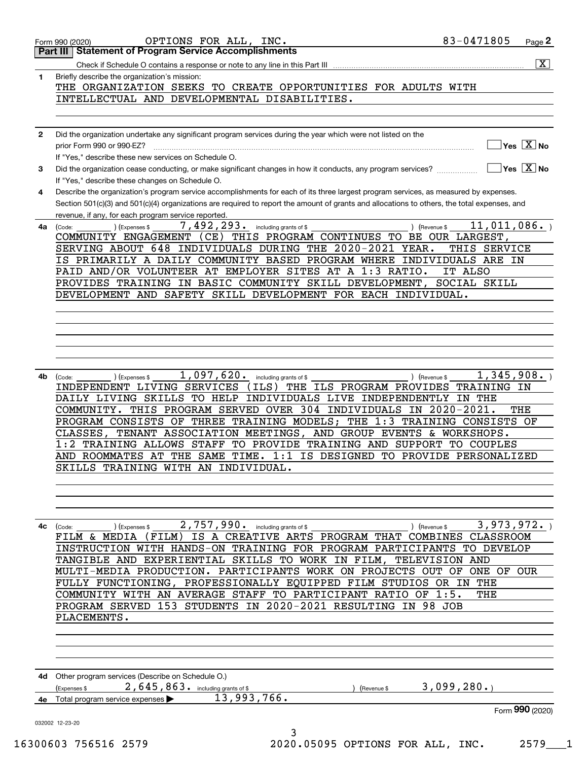| 1  | $\overline{\mathbf{X}}$<br>Briefly describe the organization's mission:                                                                                              |
|----|----------------------------------------------------------------------------------------------------------------------------------------------------------------------|
|    | THE ORGANIZATION SEEKS TO CREATE OPPORTUNITIES FOR ADULTS WITH                                                                                                       |
|    | INTELLECTUAL AND DEVELOPMENTAL DISABILITIES.                                                                                                                         |
|    |                                                                                                                                                                      |
|    |                                                                                                                                                                      |
| 2  | Did the organization undertake any significant program services during the year which were not listed on the<br>$\sqrt{}$ Yes $\sqrt{X}$ No                          |
|    | If "Yes," describe these new services on Schedule O.                                                                                                                 |
| 3  | $\overline{\mathsf{Yes}}$ $\overline{\mathsf{X}}$ No<br>Did the organization cease conducting, or make significant changes in how it conducts, any program services? |
|    | If "Yes," describe these changes on Schedule O.                                                                                                                      |
| 4  | Describe the organization's program service accomplishments for each of its three largest program services, as measured by expenses.                                 |
|    | Section 501(c)(3) and 501(c)(4) organizations are required to report the amount of grants and allocations to others, the total expenses, and                         |
| 4a | revenue, if any, for each program service reported.<br>7,492,293. including grants of \$<br>11,011,086.<br>) (Revenue \$<br>(Expenses \$<br>(Code:                   |
|    | COMMUNITY ENGAGEMENT (CE) THIS PROGRAM CONTINUES TO BE OUR LARGEST,                                                                                                  |
|    | SERVING ABOUT 648 INDIVIDUALS DURING THE 2020-2021 YEAR.<br>THIS SERVICE                                                                                             |
|    | IS PRIMARILY A DAILY COMMUNITY BASED PROGRAM WHERE INDIVIDUALS ARE IN                                                                                                |
|    | PAID AND/OR VOLUNTEER AT EMPLOYER SITES AT A 1:3 RATIO.<br>IT ALSO<br>PROVIDES TRAINING IN BASIC COMMUNITY SKILL DEVELOPMENT,<br>SOCIAL SKILL                        |
|    | DEVELOPMENT AND SAFETY SKILL DEVELOPMENT FOR EACH INDIVIDUAL.                                                                                                        |
|    |                                                                                                                                                                      |
|    |                                                                                                                                                                      |
|    |                                                                                                                                                                      |
|    |                                                                                                                                                                      |
|    |                                                                                                                                                                      |
| 4b | 1,097,620. including grants of \$<br>1,345,908.<br>) (Revenue \$<br>(Code:<br>(Expenses \$                                                                           |
|    |                                                                                                                                                                      |
|    | INDEPENDENT LIVING SERVICES<br>THE ILS PROGRAM PROVIDES TRAINING IN<br>(ILS)                                                                                         |
|    | DAILY LIVING SKILLS TO HELP INDIVIDUALS LIVE INDEPENDENTLY IN THE                                                                                                    |
|    | COMMUNITY. THIS PROGRAM SERVED OVER 304 INDIVIDUALS IN 2020-2021.<br>THE                                                                                             |
|    | PROGRAM CONSISTS OF THREE TRAINING MODELS; THE 1:3 TRAINING CONSISTS OF                                                                                              |
|    | TENANT ASSOCIATION MEETINGS, AND GROUP EVENTS & WORKSHOPS.<br>CLASSES,                                                                                               |
|    | 1:2 TRAINING ALLOWS STAFF TO PROVIDE TRAINING AND SUPPORT TO COUPLES<br>AND ROOMMATES AT THE SAME TIME. 1:1 IS DESIGNED TO PROVIDE PERSONALIZED                      |
|    | SKILLS TRAINING WITH AN INDIVIDUAL                                                                                                                                   |
|    |                                                                                                                                                                      |
|    |                                                                                                                                                                      |
|    |                                                                                                                                                                      |
|    | 3,973,972.<br>) (Expenses \$<br>(Code:                                                                                                                               |
|    | 2,757,990. including grants of \$<br>) (Revenue \$<br>FILM & MEDIA (FILM) IS A CREATIVE ARTS PROGRAM THAT COMBINES CLASSROOM                                         |
|    | INSTRUCTION WITH HANDS-ON TRAINING FOR PROGRAM PARTICIPANTS TO DEVELOP                                                                                               |
|    | TANGIBLE AND EXPERIENTIAL SKILLS TO WORK IN FILM, TELEVISION AND                                                                                                     |
|    | MULTI-MEDIA PRODUCTION. PARTICIPANTS WORK ON PROJECTS OUT OF ONE OF OUR                                                                                              |
|    | FULLY FUNCTIONING, PROFESSIONALLY EQUIPPED FILM STUDIOS OR IN THE                                                                                                    |
|    | COMMUNITY WITH AN AVERAGE STAFF TO PARTICIPANT RATIO OF 1:5.<br>THE<br>PROGRAM SERVED 153 STUDENTS IN 2020-2021 RESULTING IN 98 JOB                                  |
| 4с | PLACEMENTS.                                                                                                                                                          |
|    |                                                                                                                                                                      |
|    |                                                                                                                                                                      |
|    |                                                                                                                                                                      |
|    |                                                                                                                                                                      |
|    | 4d Other program services (Describe on Schedule O.)<br>3,099,280.<br>$2,645,863$ $\cdot$ including grants of \$<br>(Expenses \$<br>Revenue \$                        |
|    | 13,993,766.<br>4e Total program service expenses<br>Form 990 (2020)                                                                                                  |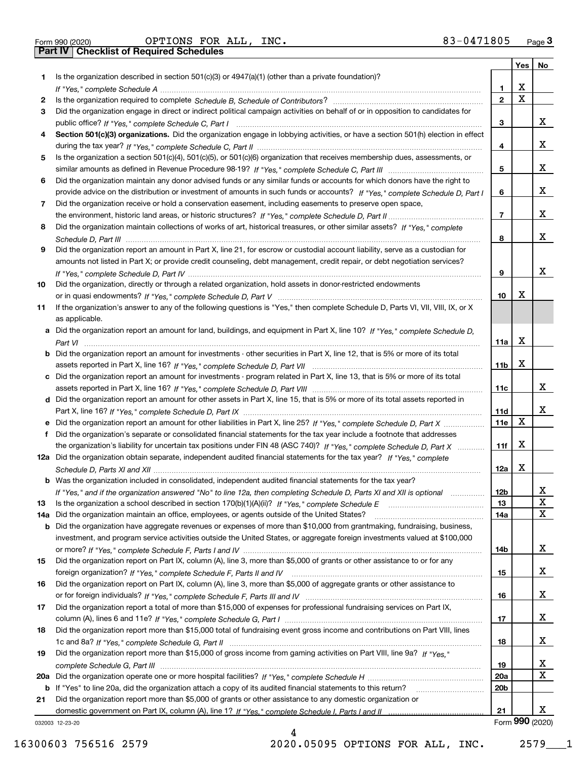|  | Form 990 (2020) |
|--|-----------------|

Form 990 (2020) Page **3Part IV Checklist of Required Schedules** OPTIONS FOR ALL, INC. 83-0471805

|     |                                                                                                                                       |                 | Yes | No              |
|-----|---------------------------------------------------------------------------------------------------------------------------------------|-----------------|-----|-----------------|
| 1   | Is the organization described in section $501(c)(3)$ or $4947(a)(1)$ (other than a private foundation)?                               |                 |     |                 |
|     |                                                                                                                                       | 1.              | х   |                 |
| 2   |                                                                                                                                       | $\overline{2}$  | X   |                 |
| 3   | Did the organization engage in direct or indirect political campaign activities on behalf of or in opposition to candidates for       |                 |     |                 |
|     |                                                                                                                                       | 3               |     | x               |
| 4   | Section 501(c)(3) organizations. Did the organization engage in lobbying activities, or have a section 501(h) election in effect      |                 |     |                 |
|     |                                                                                                                                       | 4               |     | х               |
| 5   | Is the organization a section 501(c)(4), 501(c)(5), or 501(c)(6) organization that receives membership dues, assessments, or          |                 |     |                 |
|     |                                                                                                                                       | 5               |     | х               |
| 6   | Did the organization maintain any donor advised funds or any similar funds or accounts for which donors have the right to             |                 |     |                 |
|     | provide advice on the distribution or investment of amounts in such funds or accounts? If "Yes," complete Schedule D, Part I          | 6               |     | х               |
| 7   | Did the organization receive or hold a conservation easement, including easements to preserve open space,                             |                 |     |                 |
|     |                                                                                                                                       | $\overline{7}$  |     | х               |
| 8   | Did the organization maintain collections of works of art, historical treasures, or other similar assets? If "Yes," complete          |                 |     |                 |
|     |                                                                                                                                       | 8               |     | х               |
| 9   | Did the organization report an amount in Part X, line 21, for escrow or custodial account liability, serve as a custodian for         |                 |     |                 |
|     | amounts not listed in Part X; or provide credit counseling, debt management, credit repair, or debt negotiation services?             |                 |     |                 |
|     |                                                                                                                                       | 9               |     | х               |
| 10  | Did the organization, directly or through a related organization, hold assets in donor-restricted endowments                          |                 |     |                 |
|     |                                                                                                                                       | 10              | х   |                 |
| 11  | If the organization's answer to any of the following questions is "Yes," then complete Schedule D, Parts VI, VII, VIII, IX, or X      |                 |     |                 |
|     | as applicable.                                                                                                                        |                 |     |                 |
|     | a Did the organization report an amount for land, buildings, and equipment in Part X, line 10? If "Yes," complete Schedule D.         |                 | x   |                 |
|     |                                                                                                                                       | 11a             |     |                 |
|     | <b>b</b> Did the organization report an amount for investments - other securities in Part X, line 12, that is 5% or more of its total |                 | х   |                 |
|     |                                                                                                                                       | 11 <sub>b</sub> |     |                 |
|     | c Did the organization report an amount for investments - program related in Part X, line 13, that is 5% or more of its total         |                 |     | х               |
|     |                                                                                                                                       | 11c             |     |                 |
|     | d Did the organization report an amount for other assets in Part X, line 15, that is 5% or more of its total assets reported in       | 11d             |     | х               |
|     |                                                                                                                                       | <b>11e</b>      | X   |                 |
| f   | Did the organization's separate or consolidated financial statements for the tax year include a footnote that addresses               |                 |     |                 |
|     | the organization's liability for uncertain tax positions under FIN 48 (ASC 740)? If "Yes," complete Schedule D, Part X                | 11f             | х   |                 |
|     | 12a Did the organization obtain separate, independent audited financial statements for the tax year? If "Yes," complete               |                 |     |                 |
|     |                                                                                                                                       | 12a             | X   |                 |
|     | <b>b</b> Was the organization included in consolidated, independent audited financial statements for the tax year?                    |                 |     |                 |
|     | If "Yes," and if the organization answered "No" to line 12a, then completing Schedule D, Parts XI and XII is optional                 | 12 <sub>b</sub> |     |                 |
| 13  |                                                                                                                                       | 13              |     | ∡⊾<br>X         |
| 14a | Did the organization maintain an office, employees, or agents outside of the United States?                                           | 14a             |     | X               |
|     | <b>b</b> Did the organization have aggregate revenues or expenses of more than \$10,000 from grantmaking, fundraising, business,      |                 |     |                 |
|     | investment, and program service activities outside the United States, or aggregate foreign investments valued at \$100,000            |                 |     |                 |
|     |                                                                                                                                       | 14b             |     | x               |
| 15  | Did the organization report on Part IX, column (A), line 3, more than \$5,000 of grants or other assistance to or for any             |                 |     |                 |
|     |                                                                                                                                       | 15              |     | x               |
| 16  | Did the organization report on Part IX, column (A), line 3, more than \$5,000 of aggregate grants or other assistance to              |                 |     |                 |
|     |                                                                                                                                       | 16              |     | x               |
| 17  | Did the organization report a total of more than \$15,000 of expenses for professional fundraising services on Part IX,               |                 |     |                 |
|     |                                                                                                                                       | 17              |     | x               |
| 18  | Did the organization report more than \$15,000 total of fundraising event gross income and contributions on Part VIII, lines          |                 |     |                 |
|     |                                                                                                                                       | 18              |     | x               |
| 19  | Did the organization report more than \$15,000 of gross income from gaming activities on Part VIII, line 9a? If "Yes."                |                 |     |                 |
|     |                                                                                                                                       | 19              |     | X               |
|     |                                                                                                                                       | 20a             |     | X               |
|     | b If "Yes" to line 20a, did the organization attach a copy of its audited financial statements to this return?                        | 20 <sub>b</sub> |     |                 |
| 21  | Did the organization report more than \$5,000 of grants or other assistance to any domestic organization or                           |                 |     |                 |
|     |                                                                                                                                       | 21              |     | x               |
|     | 032003 12-23-20                                                                                                                       |                 |     | Form 990 (2020) |

032003 12-23-20

4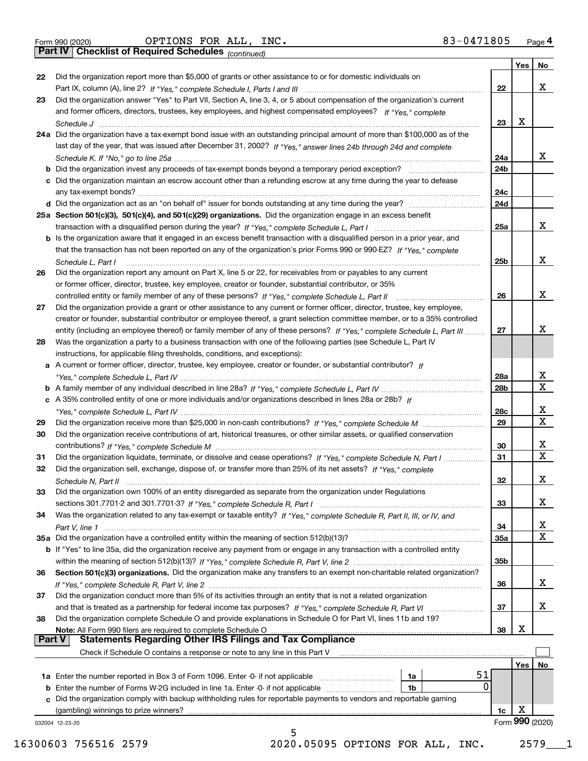|  | Form 990 (2020) |
|--|-----------------|

Form 990 (2020) Page **4Part IV Checklist of Required Schedules** OPTIONS FOR ALL, INC. 83-0471805

*(continued)*

|    |                                                                                                                              |                 | Yes        | No                           |
|----|------------------------------------------------------------------------------------------------------------------------------|-----------------|------------|------------------------------|
| 22 | Did the organization report more than \$5,000 of grants or other assistance to or for domestic individuals on                |                 |            |                              |
|    |                                                                                                                              | 22              |            | X                            |
| 23 | Did the organization answer "Yes" to Part VII, Section A, line 3, 4, or 5 about compensation of the organization's current   |                 |            |                              |
|    | and former officers, directors, trustees, key employees, and highest compensated employees? If "Yes," complete               |                 |            |                              |
|    |                                                                                                                              | 23              | х          |                              |
|    | 24a Did the organization have a tax-exempt bond issue with an outstanding principal amount of more than \$100,000 as of the  |                 |            |                              |
|    | last day of the year, that was issued after December 31, 2002? If "Yes," answer lines 24b through 24d and complete           |                 |            |                              |
|    |                                                                                                                              | 24a             |            | X                            |
|    |                                                                                                                              | 24 <sub>b</sub> |            |                              |
|    | c Did the organization maintain an escrow account other than a refunding escrow at any time during the year to defease       |                 |            |                              |
|    |                                                                                                                              | 24c             |            |                              |
|    |                                                                                                                              | 24d             |            |                              |
|    | 25a Section 501(c)(3), 501(c)(4), and 501(c)(29) organizations. Did the organization engage in an excess benefit             |                 |            |                              |
|    |                                                                                                                              | 25a             |            | X                            |
|    | b Is the organization aware that it engaged in an excess benefit transaction with a disqualified person in a prior year, and |                 |            |                              |
|    | that the transaction has not been reported on any of the organization's prior Forms 990 or 990-EZ? If "Yes." complete        |                 |            |                              |
|    | Schedule L, Part I                                                                                                           | 25b             |            | X                            |
| 26 | Did the organization report any amount on Part X, line 5 or 22, for receivables from or payables to any current              |                 |            |                              |
|    | or former officer, director, trustee, key employee, creator or founder, substantial contributor, or 35%                      |                 |            |                              |
|    |                                                                                                                              | 26              |            | X                            |
| 27 | Did the organization provide a grant or other assistance to any current or former officer, director, trustee, key employee,  |                 |            |                              |
|    | creator or founder, substantial contributor or employee thereof, a grant selection committee member, or to a 35% controlled  |                 |            |                              |
|    | entity (including an employee thereof) or family member of any of these persons? If "Yes," complete Schedule L, Part III     | 27              |            | х                            |
| 28 | Was the organization a party to a business transaction with one of the following parties (see Schedule L, Part IV            |                 |            |                              |
|    | instructions, for applicable filing thresholds, conditions, and exceptions):                                                 |                 |            |                              |
|    | a A current or former officer, director, trustee, key employee, creator or founder, or substantial contributor? If           |                 |            |                              |
|    |                                                                                                                              | 28a             |            | x                            |
|    |                                                                                                                              | 28b             |            | $\overline{\textbf{x}}$      |
|    | c A 35% controlled entity of one or more individuals and/or organizations described in lines 28a or 28b? If                  |                 |            |                              |
|    |                                                                                                                              |                 |            | $\mathbf{X}$                 |
|    |                                                                                                                              | 28c             |            | $\overline{\mathbf{x}}$      |
| 29 |                                                                                                                              | 29              |            |                              |
| 30 | Did the organization receive contributions of art, historical treasures, or other similar assets, or qualified conservation  |                 |            |                              |
|    |                                                                                                                              | 30              |            | х<br>$\overline{\mathbf{x}}$ |
| 31 | Did the organization liquidate, terminate, or dissolve and cease operations? If "Yes," complete Schedule N, Part I           | 31              |            |                              |
| 32 | Did the organization sell, exchange, dispose of, or transfer more than 25% of its net assets? If "Yes," complete             |                 |            |                              |
|    | Schedule N. Part II www.communication.com/communications/communications/communications/communications/communic               | 32              |            | X                            |
| 33 | Did the organization own 100% of an entity disregarded as separate from the organization under Regulations                   |                 |            |                              |
|    |                                                                                                                              | 33              |            | X                            |
| 34 | Was the organization related to any tax-exempt or taxable entity? If "Yes," complete Schedule R, Part II, III, or IV, and    |                 |            |                              |
|    |                                                                                                                              | 34              |            | $\overline{\mathbf{x}}$      |
|    |                                                                                                                              | 35a             |            | $\overline{\textbf{x}}$      |
|    | b If "Yes" to line 35a, did the organization receive any payment from or engage in any transaction with a controlled entity  |                 |            |                              |
|    |                                                                                                                              | 35b             |            |                              |
| 36 | Section 501(c)(3) organizations. Did the organization make any transfers to an exempt non-charitable related organization?   |                 |            |                              |
|    |                                                                                                                              | 36              |            | X                            |
| 37 | Did the organization conduct more than 5% of its activities through an entity that is not a related organization             |                 |            |                              |
|    |                                                                                                                              | 37              |            | X                            |
| 38 | Did the organization complete Schedule O and provide explanations in Schedule O for Part VI, lines 11b and 19?               |                 |            |                              |
|    | Note: All Form 990 filers are required to complete Schedule O                                                                | 38              | Х          |                              |
|    | <b>Statements Regarding Other IRS Filings and Tax Compliance</b><br><b>Part V</b>                                            |                 |            |                              |
|    | Check if Schedule O contains a response or note to any line in this Part V                                                   |                 |            |                              |
|    |                                                                                                                              |                 | <b>Yes</b> | No                           |
|    | 51<br>1a<br><b>1a</b> Enter the number reported in Box 3 of Form 1096. Enter -0- if not applicable <i>manumumumum</i>        |                 |            |                              |
|    | $\Omega$<br><b>b</b> Enter the number of Forms W-2G included in line 1a. Enter -0- if not applicable<br>1b                   |                 |            |                              |
|    | c Did the organization comply with backup withholding rules for reportable payments to vendors and reportable gaming         |                 |            |                              |
|    |                                                                                                                              |                 |            |                              |
|    | (gambling) winnings to prize winners?                                                                                        | 1c              | x          |                              |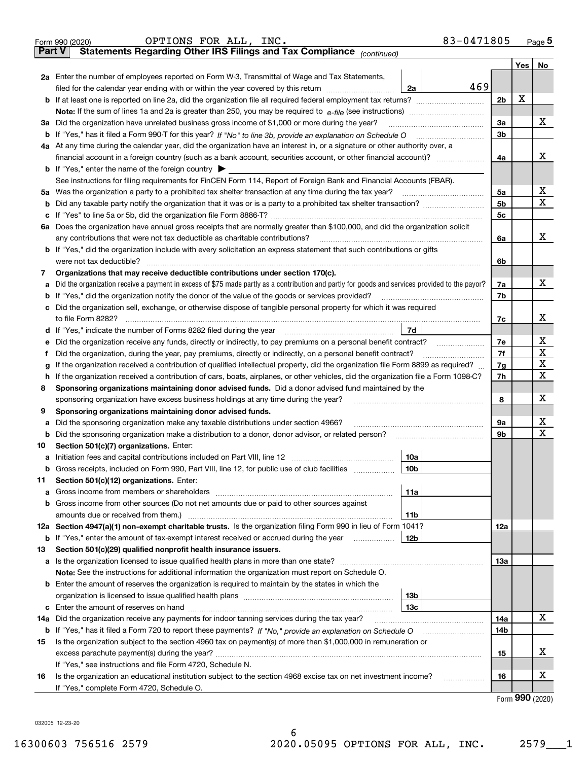|               | 83-0471805<br>OPTIONS FOR ALL, INC.<br>Form 990 (2020)                                                                                          |                |               | Page $5$    |
|---------------|-------------------------------------------------------------------------------------------------------------------------------------------------|----------------|---------------|-------------|
| <b>Part V</b> | Statements Regarding Other IRS Filings and Tax Compliance (continued)                                                                           |                |               |             |
|               |                                                                                                                                                 |                | Yes           | No          |
|               | 2a Enter the number of employees reported on Form W-3, Transmittal of Wage and Tax Statements,                                                  |                |               |             |
|               | 469<br>filed for the calendar year ending with or within the year covered by this return<br>2a                                                  |                |               |             |
|               |                                                                                                                                                 | 2 <sub>b</sub> | Х             |             |
|               |                                                                                                                                                 |                |               |             |
|               | 3a Did the organization have unrelated business gross income of \$1,000 or more during the year?                                                | 3a             |               | х           |
|               |                                                                                                                                                 | 3 <sub>b</sub> |               |             |
|               | 4a At any time during the calendar year, did the organization have an interest in, or a signature or other authority over, a                    |                |               |             |
|               |                                                                                                                                                 | 4a             |               | x           |
|               | <b>b</b> If "Yes," enter the name of the foreign country $\blacktriangleright$                                                                  |                |               |             |
|               | See instructions for filing requirements for FinCEN Form 114, Report of Foreign Bank and Financial Accounts (FBAR).                             |                |               |             |
|               | 5a Was the organization a party to a prohibited tax shelter transaction at any time during the tax year?                                        | 5a             |               | X           |
| b             |                                                                                                                                                 | 5b             |               | X           |
|               |                                                                                                                                                 | 5 <sub>c</sub> |               |             |
| ба            | Does the organization have annual gross receipts that are normally greater than \$100,000, and did the organization solicit                     |                |               |             |
|               | any contributions that were not tax deductible as charitable contributions?                                                                     | 6a             |               | х           |
| b             | If "Yes," did the organization include with every solicitation an express statement that such contributions or gifts                            |                |               |             |
|               | were not tax deductible?                                                                                                                        | 6b             |               |             |
| 7             | Organizations that may receive deductible contributions under section 170(c).                                                                   |                |               |             |
|               | Did the organization receive a payment in excess of \$75 made partly as a contribution and partly for goods and services provided to the payor? | 7a             |               | х           |
| b             | If "Yes," did the organization notify the donor of the value of the goods or services provided?                                                 | 7b             |               |             |
|               | c Did the organization sell, exchange, or otherwise dispose of tangible personal property for which it was required                             |                |               |             |
|               |                                                                                                                                                 | 7c             |               | x           |
|               | 7d                                                                                                                                              |                |               |             |
|               |                                                                                                                                                 | 7e             |               | х           |
|               | Did the organization, during the year, pay premiums, directly or indirectly, on a personal benefit contract?                                    | 7f             |               | $\mathbf X$ |
|               | If the organization received a contribution of qualified intellectual property, did the organization file Form 8899 as required?                | 7g             |               | X           |
| h.            | If the organization received a contribution of cars, boats, airplanes, or other vehicles, did the organization file a Form 1098-C?              | 7h             |               | $\mathbf X$ |
| 8             | Sponsoring organizations maintaining donor advised funds. Did a donor advised fund maintained by the                                            |                |               |             |
|               | sponsoring organization have excess business holdings at any time during the year?                                                              | 8              |               | x           |
| 9             | Sponsoring organizations maintaining donor advised funds.                                                                                       |                |               |             |
|               | Did the sponsoring organization make any taxable distributions under section 4966?                                                              | 9а             |               | х           |
| b             | Did the sponsoring organization make a distribution to a donor, donor advisor, or related person?                                               | 9b             |               | X           |
| 10            | Section 501(c)(7) organizations. Enter:                                                                                                         |                |               |             |
|               | 10a                                                                                                                                             |                |               |             |
| b             | Gross receipts, included on Form 990, Part VIII, line 12, for public use of club facilities<br>  10b                                            |                |               |             |
| 11            | Section 501(c)(12) organizations. Enter:                                                                                                        |                |               |             |
| a             | 11a                                                                                                                                             |                |               |             |
| b             | Gross income from other sources (Do not net amounts due or paid to other sources against                                                        |                |               |             |
|               | amounts due or received from them.)<br>11b                                                                                                      |                |               |             |
|               | 12a Section 4947(a)(1) non-exempt charitable trusts. Is the organization filing Form 990 in lieu of Form 1041?                                  | 12a            |               |             |
| b             | 12 <sub>b</sub><br>If "Yes," enter the amount of tax-exempt interest received or accrued during the year                                        |                |               |             |
| 13            | Section 501(c)(29) qualified nonprofit health insurance issuers.                                                                                |                |               |             |
|               | a Is the organization licensed to issue qualified health plans in more than one state?                                                          | 13а            |               |             |
|               | Note: See the instructions for additional information the organization must report on Schedule O.                                               |                |               |             |
|               | <b>b</b> Enter the amount of reserves the organization is required to maintain by the states in which the                                       |                |               |             |
|               | 13b                                                                                                                                             |                |               |             |
| c             | Enter the amount of reserves on hand<br>13с                                                                                                     |                |               |             |
| 14a           | Did the organization receive any payments for indoor tanning services during the tax year?                                                      | 14a            |               | x           |
| b             |                                                                                                                                                 | 14b            |               |             |
| 15            | Is the organization subject to the section 4960 tax on payment(s) of more than \$1,000,000 in remuneration or                                   |                |               |             |
|               | excess parachute payment(s) during the year?                                                                                                    | 15             |               | x           |
|               | If "Yes," see instructions and file Form 4720, Schedule N.                                                                                      |                |               |             |
| 16            | Is the organization an educational institution subject to the section 4968 excise tax on net investment income?                                 | 16             |               | х           |
|               | If "Yes," complete Form 4720, Schedule O.                                                                                                       |                |               |             |
|               |                                                                                                                                                 |                | $\mathbf{QQ}$ |             |

6

Form (2020) **990**

032005 12-23-20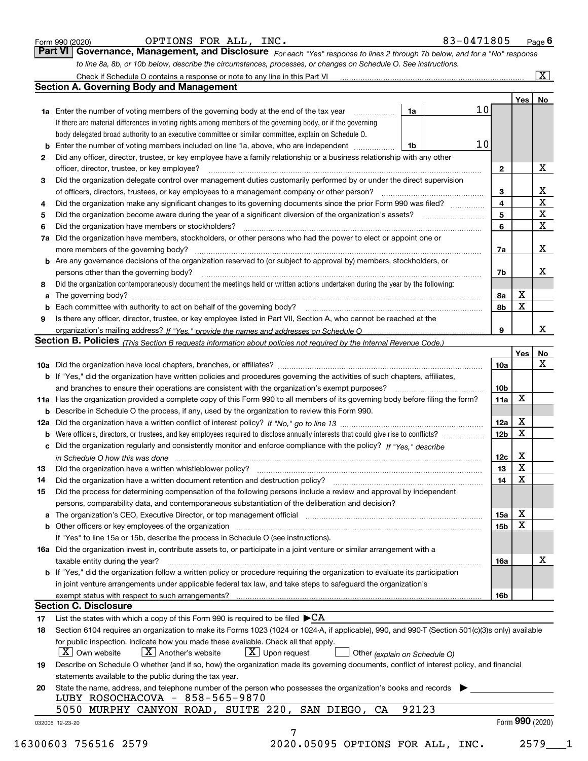|  | Form 990 (2020) |
|--|-----------------|
|  |                 |

| Form 990 (2020) | ALL,<br>OPTIONS<br>FOR<br>INC. | 83-0471805<br>Page |
|-----------------|--------------------------------|--------------------|
|-----------------|--------------------------------|--------------------|

| Form 990 (2020) | OPTIONS FOR ALL, INC. | 83-0471805                                                                                                                         | Page $6$ |
|-----------------|-----------------------|------------------------------------------------------------------------------------------------------------------------------------|----------|
|                 |                       | <b>Part VI Governance, Management, and Disclosure</b> For each "Yes" response to lines 2 through 7b below, and for a "No" response |          |
|                 |                       | to line 8a, 8b, or 10b below, describe the circumstances, processes, or changes on Schedule O. See instructions.                   |          |

|              |                                                                                                                                                                                                                                |       |    |                 | Yes             | No                      |
|--------------|--------------------------------------------------------------------------------------------------------------------------------------------------------------------------------------------------------------------------------|-------|----|-----------------|-----------------|-------------------------|
|              | <b>1a</b> Enter the number of voting members of the governing body at the end of the tax year <i>manumum</i>                                                                                                                   | 1a    | 10 |                 |                 |                         |
|              | If there are material differences in voting rights among members of the governing body, or if the governing                                                                                                                    |       |    |                 |                 |                         |
|              | body delegated broad authority to an executive committee or similar committee, explain on Schedule O.                                                                                                                          |       |    |                 |                 |                         |
| b            | Enter the number of voting members included on line 1a, above, who are independent                                                                                                                                             | l 1b  | 10 |                 |                 |                         |
| $\mathbf{2}$ | Did any officer, director, trustee, or key employee have a family relationship or a business relationship with any other                                                                                                       |       |    |                 |                 |                         |
|              | officer, director, trustee, or key employee?                                                                                                                                                                                   |       |    | $\mathbf{2}$    |                 | х                       |
| 3            | Did the organization delegate control over management duties customarily performed by or under the direct supervision                                                                                                          |       |    |                 |                 |                         |
|              |                                                                                                                                                                                                                                |       |    | 3               |                 | X                       |
| 4            | Did the organization make any significant changes to its governing documents since the prior Form 990 was filed?                                                                                                               |       |    | $\overline{4}$  |                 | X                       |
| 5            |                                                                                                                                                                                                                                |       |    | 5               |                 | $\overline{\mathbf{x}}$ |
| 6            | Did the organization have members or stockholders?                                                                                                                                                                             |       |    | 6               |                 | X                       |
|              | 7a Did the organization have members, stockholders, or other persons who had the power to elect or appoint one or                                                                                                              |       |    |                 |                 |                         |
|              |                                                                                                                                                                                                                                |       |    | 7a              |                 | X                       |
|              | <b>b</b> Are any governance decisions of the organization reserved to (or subject to approval by) members, stockholders, or                                                                                                    |       |    |                 |                 |                         |
|              | persons other than the governing body?                                                                                                                                                                                         |       |    | 7b              |                 | х                       |
| 8            | Did the organization contemporaneously document the meetings held or written actions undertaken during the year by the following:                                                                                              |       |    |                 |                 |                         |
| a            |                                                                                                                                                                                                                                |       |    | 8a              | X               |                         |
| b            | Each committee with authority to act on behalf of the governing body? [10] manufacture manufacture with authority to act on behalf of the governing body? [10] manufacture with authority of the state with an interval and th |       |    | 8b              | X               |                         |
| 9            | Is there any officer, director, trustee, or key employee listed in Part VII, Section A, who cannot be reached at the                                                                                                           |       |    |                 |                 |                         |
|              |                                                                                                                                                                                                                                |       |    | 9               |                 | x                       |
|              | Section B. Policies (This Section B requests information about policies not required by the Internal Revenue Code.)                                                                                                            |       |    |                 |                 |                         |
|              |                                                                                                                                                                                                                                |       |    |                 | Yes             | No                      |
|              |                                                                                                                                                                                                                                |       |    | 10a             |                 | X                       |
|              | <b>b</b> If "Yes," did the organization have written policies and procedures governing the activities of such chapters, affiliates,                                                                                            |       |    |                 |                 |                         |
|              |                                                                                                                                                                                                                                |       |    | 10 <sub>b</sub> |                 |                         |
|              | 11a Has the organization provided a complete copy of this Form 990 to all members of its governing body before filing the form?                                                                                                |       |    | 11a             | X               |                         |
|              | <b>b</b> Describe in Schedule O the process, if any, used by the organization to review this Form 990.                                                                                                                         |       |    |                 |                 |                         |
|              |                                                                                                                                                                                                                                |       |    | 12a             | X               |                         |
|              |                                                                                                                                                                                                                                |       |    |                 | X               |                         |
| b            |                                                                                                                                                                                                                                |       |    | 12 <sub>b</sub> |                 |                         |
| c            | Did the organization regularly and consistently monitor and enforce compliance with the policy? If "Yes," describe                                                                                                             |       |    |                 | X               |                         |
|              | in Schedule O how this was done material contracts and the set of the state of the state of the state of the state of the state of the state of the state of the state of the state of the state of the state of the state of  |       |    | 12c             | X               |                         |
| 13           |                                                                                                                                                                                                                                |       |    | 13              | $\mathbf X$     |                         |
| 14           | Did the organization have a written document retention and destruction policy? manufactured and the organization have a written document retention and destruction policy?                                                     |       |    | 14              |                 |                         |
| 15           | Did the process for determining compensation of the following persons include a review and approval by independent                                                                                                             |       |    |                 |                 |                         |
|              | persons, comparability data, and contemporaneous substantiation of the deliberation and decision?                                                                                                                              |       |    |                 |                 |                         |
|              |                                                                                                                                                                                                                                |       |    | 15a             | х               |                         |
|              | <b>b</b> Other officers or key employees of the organization                                                                                                                                                                   |       |    | 15b             | $\mathbf X$     |                         |
|              | If "Yes" to line 15a or 15b, describe the process in Schedule O (see instructions).                                                                                                                                            |       |    |                 |                 |                         |
|              | 16a Did the organization invest in, contribute assets to, or participate in a joint venture or similar arrangement with a                                                                                                      |       |    |                 |                 |                         |
|              | taxable entity during the year?                                                                                                                                                                                                |       |    | 16a             |                 | x                       |
|              | b If "Yes," did the organization follow a written policy or procedure requiring the organization to evaluate its participation                                                                                                 |       |    |                 |                 |                         |
|              | in joint venture arrangements under applicable federal tax law, and take steps to safequard the organization's                                                                                                                 |       |    |                 |                 |                         |
|              | exempt status with respect to such arrangements?                                                                                                                                                                               |       |    | 16b             |                 |                         |
|              | <b>Section C. Disclosure</b>                                                                                                                                                                                                   |       |    |                 |                 |                         |
| 17           | List the states with which a copy of this Form 990 is required to be filed $\blacktriangleright$ CA                                                                                                                            |       |    |                 |                 |                         |
| 18           | Section 6104 requires an organization to make its Forms 1023 (1024 or 1024-A, if applicable), 990, and 990-T (Section 501(c)(3)s only) available                                                                               |       |    |                 |                 |                         |
|              | for public inspection. Indicate how you made these available. Check all that apply.                                                                                                                                            |       |    |                 |                 |                         |
|              | $X$ Upon request<br>$ X $ Own website<br>$X$ Another's website<br>Other (explain on Schedule O)                                                                                                                                |       |    |                 |                 |                         |
| 19           | Describe on Schedule O whether (and if so, how) the organization made its governing documents, conflict of interest policy, and financial                                                                                      |       |    |                 |                 |                         |
|              | statements available to the public during the tax year.                                                                                                                                                                        |       |    |                 |                 |                         |
| 20           | State the name, address, and telephone number of the person who possesses the organization's books and records                                                                                                                 |       |    |                 |                 |                         |
|              | LUBY ROSOCHACOVA - 858-565-9870                                                                                                                                                                                                |       |    |                 |                 |                         |
|              | 5050 MURPHY CANYON ROAD, SUITE 220, SAN DIEGO, CA                                                                                                                                                                              | 92123 |    |                 |                 |                         |
|              |                                                                                                                                                                                                                                |       |    |                 | Form 990 (2020) |                         |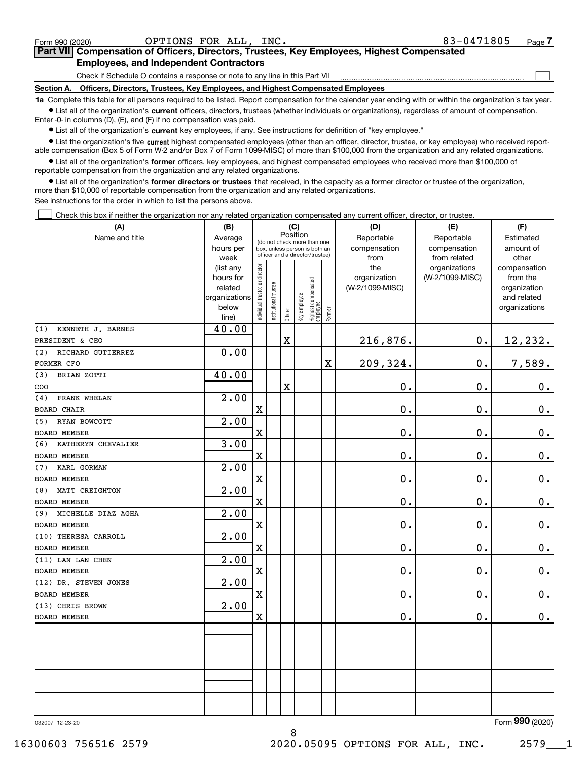| Form 990 (2020) | OPTIONS FOR ALL, INC.                                                                                                                                      | 83-0471805 | Page |
|-----------------|------------------------------------------------------------------------------------------------------------------------------------------------------------|------------|------|
|                 | <b>Part VII</b> Compensation of Officers, Directors, Trustees, Key Employees, Highest Compensated                                                          |            |      |
|                 | <b>Employees, and Independent Contractors</b>                                                                                                              |            |      |
|                 | Check if Schedule O contains a response or note to any line in this Part VII                                                                               |            |      |
| Section A.      | Officers, Directors, Trustees, Key Employees, and Highest Compensated Employees                                                                            |            |      |
|                 | to Campleta this tokic fer all persons required to be listed. Depart componention fer the solender wear anding with a within the experimetral townser town |            |      |

**1a •** List all of the organization's current officers, directors, trustees (whether individuals or organizations), regardless of amount of compensation. Complete this table for all persons required to be listed. Report compensation for the calendar year ending with or within the organization's tax year. Enter -0- in columns (D), (E), and (F) if no compensation was paid.

 $\bullet$  List all of the organization's  $\,$ current key employees, if any. See instructions for definition of "key employee."

**•** List the organization's five current highest compensated employees (other than an officer, director, trustee, or key employee) who received reportable compensation (Box 5 of Form W-2 and/or Box 7 of Form 1099-MISC) of more than \$100,000 from the organization and any related organizations.

**•** List all of the organization's former officers, key employees, and highest compensated employees who received more than \$100,000 of reportable compensation from the organization and any related organizations.

**former directors or trustees**  ¥ List all of the organization's that received, in the capacity as a former director or trustee of the organization, more than \$10,000 of reportable compensation from the organization and any related organizations.

See instructions for the order in which to list the persons above.

Check this box if neither the organization nor any related organization compensated any current officer, director, or trustee.  $\mathcal{L}^{\text{max}}$ 

| (A)                       | (B)               |                               |                      | (C)      |              |                                                                  |                         | (D)             | (E)                           | (F)                        |
|---------------------------|-------------------|-------------------------------|----------------------|----------|--------------|------------------------------------------------------------------|-------------------------|-----------------|-------------------------------|----------------------------|
| Name and title            | Average           |                               |                      | Position |              | (do not check more than one                                      |                         | Reportable      | Reportable                    | Estimated                  |
|                           | hours per         |                               |                      |          |              | box, unless person is both an<br>officer and a director/trustee) |                         | compensation    | compensation                  | amount of                  |
|                           | week<br>(list any |                               |                      |          |              |                                                                  |                         | from<br>the     | from related<br>organizations | other<br>compensation      |
|                           | hours for         |                               |                      |          |              |                                                                  |                         | organization    | (W-2/1099-MISC)               | from the                   |
|                           | related           |                               |                      |          |              |                                                                  |                         | (W-2/1099-MISC) |                               | organization               |
|                           | organizations     |                               |                      |          |              |                                                                  |                         |                 |                               | and related                |
|                           | below             | ndividual trustee or director | nstitutional trustee |          | Key employee | Highest compensated<br>  employee                                |                         |                 |                               | organizations              |
|                           | line)             |                               |                      | Officer  |              |                                                                  | Former                  |                 |                               |                            |
| KENNETH J. BARNES<br>(1)  | 40.00             |                               |                      |          |              |                                                                  |                         |                 |                               |                            |
| PRESIDENT & CEO           |                   |                               |                      | X        |              |                                                                  |                         | 216,876.        | 0.                            | 12,232.                    |
| RICHARD GUTIERREZ<br>(2)  | 0.00              |                               |                      |          |              |                                                                  |                         |                 |                               |                            |
| FORMER CFO                |                   |                               |                      |          |              |                                                                  | $\overline{\mathbf{X}}$ | 209,324.        | 0.                            | 7,589.                     |
| BRIAN ZOTTI<br>(3)        | 40.00             |                               |                      |          |              |                                                                  |                         |                 |                               |                            |
| COO                       |                   |                               |                      | X        |              |                                                                  |                         | $0$ .           | 0.                            | $0_{.}$                    |
| FRANK WHELAN<br>(4)       | 2.00              |                               |                      |          |              |                                                                  |                         |                 |                               |                            |
| <b>BOARD CHAIR</b>        |                   | $\mathbf X$                   |                      |          |              |                                                                  |                         | 0.              | 0.                            | $0_{.}$                    |
| RYAN BOWCOTT<br>(5)       | 2.00              |                               |                      |          |              |                                                                  |                         |                 |                               |                            |
| <b>BOARD MEMBER</b>       |                   | $\mathbf X$                   |                      |          |              |                                                                  |                         | 0.              | 0.                            | $\mathbf 0$ .              |
| KATHERYN CHEVALIER<br>(6) | 3.00              |                               |                      |          |              |                                                                  |                         |                 |                               |                            |
| <b>BOARD MEMBER</b>       |                   | $\mathbf X$                   |                      |          |              |                                                                  |                         | 0.              | 0.                            | $\mathbf 0$ .              |
| KARL GORMAN<br>(7)        | 2.00              |                               |                      |          |              |                                                                  |                         |                 |                               |                            |
| BOARD MEMBER              |                   | $\mathbf X$                   |                      |          |              |                                                                  |                         | 0.              | 0.                            | $0_{.}$                    |
| MATT CREIGHTON<br>(8)     | 2.00              |                               |                      |          |              |                                                                  |                         |                 |                               |                            |
| <b>BOARD MEMBER</b>       |                   | $\mathbf X$                   |                      |          |              |                                                                  |                         | 0.              | 0.                            | 0.                         |
| MICHELLE DIAZ AGHA<br>(9) | $\overline{2.00}$ |                               |                      |          |              |                                                                  |                         |                 |                               |                            |
| BOARD MEMBER              |                   | $\mathbf X$                   |                      |          |              |                                                                  |                         | 0.              | 0.                            | $\mathbf 0$ .              |
| (10) THERESA CARROLL      | 2.00              |                               |                      |          |              |                                                                  |                         |                 |                               |                            |
| <b>BOARD MEMBER</b>       |                   | $\mathbf X$                   |                      |          |              |                                                                  |                         | 0.              | 0.                            | $\mathbf 0$ .              |
| (11) LAN LAN CHEN         | 2.00              |                               |                      |          |              |                                                                  |                         |                 |                               |                            |
| BOARD MEMBER              |                   | $\mathbf X$                   |                      |          |              |                                                                  |                         | 0.              | 0.                            | 0.                         |
| (12) DR. STEVEN JONES     | 2.00              |                               |                      |          |              |                                                                  |                         |                 |                               |                            |
| <b>BOARD MEMBER</b>       |                   | $\mathbf x$                   |                      |          |              |                                                                  |                         | 0.              | 0.                            | $\mathbf 0$ .              |
| (13) CHRIS BROWN          | 2.00              |                               |                      |          |              |                                                                  |                         |                 |                               |                            |
| <b>BOARD MEMBER</b>       |                   | $\mathbf X$                   |                      |          |              |                                                                  |                         | 0.              | 0.                            | 0.                         |
|                           |                   |                               |                      |          |              |                                                                  |                         |                 |                               |                            |
|                           |                   |                               |                      |          |              |                                                                  |                         |                 |                               |                            |
|                           |                   |                               |                      |          |              |                                                                  |                         |                 |                               |                            |
|                           |                   |                               |                      |          |              |                                                                  |                         |                 |                               |                            |
|                           |                   |                               |                      |          |              |                                                                  |                         |                 |                               |                            |
|                           |                   |                               |                      |          |              |                                                                  |                         |                 |                               |                            |
|                           |                   |                               |                      |          |              |                                                                  |                         |                 |                               |                            |
|                           |                   |                               |                      |          |              |                                                                  |                         |                 |                               |                            |
|                           |                   |                               |                      |          |              |                                                                  |                         |                 |                               | $000 \times 200$<br>$\sim$ |

8

032007 12-23-20

Form (2020) **990**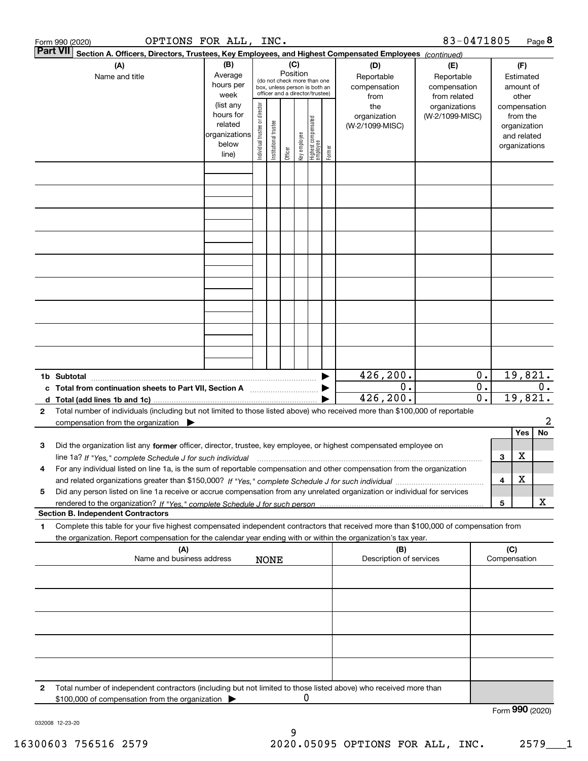|   | OPTIONS FOR ALL, INC.<br>Form 990 (2020)                                                                                                                                                                                                                                    |                                                                      |                                |                       |                 |              |                                                                                                 |        |                                           | 83-0471805                                        |                             |                     |                                                                          | Page 8  |
|---|-----------------------------------------------------------------------------------------------------------------------------------------------------------------------------------------------------------------------------------------------------------------------------|----------------------------------------------------------------------|--------------------------------|-----------------------|-----------------|--------------|-------------------------------------------------------------------------------------------------|--------|-------------------------------------------|---------------------------------------------------|-----------------------------|---------------------|--------------------------------------------------------------------------|---------|
|   | Part VII <br>Section A. Officers, Directors, Trustees, Key Employees, and Highest Compensated Employees (continued)                                                                                                                                                         |                                                                      |                                |                       |                 |              |                                                                                                 |        |                                           |                                                   |                             |                     |                                                                          |         |
|   | (A)<br>Name and title                                                                                                                                                                                                                                                       | (B)<br>Average<br>hours per<br>week                                  |                                |                       | (C)<br>Position |              | (do not check more than one<br>box, unless person is both an<br>officer and a director/trustee) |        | (D)<br>Reportable<br>compensation<br>from | (E)<br>Reportable<br>compensation<br>from related |                             |                     | (F)<br>Estimated<br>amount of<br>other                                   |         |
|   |                                                                                                                                                                                                                                                                             | (list any<br>hours for<br>related<br>organizations<br>below<br>line) | Individual trustee or director | Institutional trustee | Officer         | key employee | Highest compensated<br>  employee                                                               | Former | the<br>organization<br>(W-2/1099-MISC)    | organizations<br>(W-2/1099-MISC)                  |                             |                     | compensation<br>from the<br>organization<br>and related<br>organizations |         |
|   |                                                                                                                                                                                                                                                                             |                                                                      |                                |                       |                 |              |                                                                                                 |        |                                           |                                                   |                             |                     |                                                                          |         |
|   |                                                                                                                                                                                                                                                                             |                                                                      |                                |                       |                 |              |                                                                                                 |        |                                           |                                                   |                             |                     |                                                                          |         |
|   |                                                                                                                                                                                                                                                                             |                                                                      |                                |                       |                 |              |                                                                                                 |        |                                           |                                                   |                             |                     |                                                                          |         |
|   |                                                                                                                                                                                                                                                                             |                                                                      |                                |                       |                 |              |                                                                                                 |        |                                           |                                                   |                             |                     |                                                                          |         |
|   |                                                                                                                                                                                                                                                                             |                                                                      |                                |                       |                 |              |                                                                                                 |        |                                           |                                                   |                             |                     |                                                                          |         |
|   |                                                                                                                                                                                                                                                                             |                                                                      |                                |                       |                 |              |                                                                                                 |        |                                           |                                                   |                             |                     |                                                                          |         |
|   |                                                                                                                                                                                                                                                                             |                                                                      |                                |                       |                 |              |                                                                                                 |        |                                           |                                                   |                             |                     |                                                                          |         |
|   |                                                                                                                                                                                                                                                                             |                                                                      |                                |                       |                 |              |                                                                                                 |        | 426,200.                                  |                                                   | 0.                          |                     | 19,821.                                                                  |         |
|   | 1b Subtotal<br>c Total from continuation sheets to Part VII, Section A <b>manual</b> contains the Total from continuum                                                                                                                                                      |                                                                      |                                |                       |                 |              |                                                                                                 |        | 0.                                        |                                                   | $\overline{0}$ .            |                     |                                                                          | $0$ .   |
| 2 | Total number of individuals (including but not limited to those listed above) who received more than \$100,000 of reportable                                                                                                                                                |                                                                      |                                |                       |                 |              |                                                                                                 |        | 426,200.                                  |                                                   | $\overline{\mathfrak{o}}$ . |                     | 19,821.                                                                  |         |
|   | compensation from the organization $\blacktriangleright$                                                                                                                                                                                                                    |                                                                      |                                |                       |                 |              |                                                                                                 |        |                                           |                                                   |                             |                     | Yes                                                                      | 2<br>No |
| з | Did the organization list any former officer, director, trustee, key employee, or highest compensated employee on                                                                                                                                                           |                                                                      |                                |                       |                 |              |                                                                                                 |        |                                           |                                                   |                             |                     | X                                                                        |         |
| 4 | line 1a? If "Yes," complete Schedule J for such individual manufactured contained and the 1a? If "Yes," complete Schedule J for such individual<br>For any individual listed on line 1a, is the sum of reportable compensation and other compensation from the organization |                                                                      |                                |                       |                 |              |                                                                                                 |        |                                           |                                                   |                             | З<br>4              | X                                                                        |         |
| 5 | Did any person listed on line 1a receive or accrue compensation from any unrelated organization or individual for services                                                                                                                                                  |                                                                      |                                |                       |                 |              |                                                                                                 |        |                                           |                                                   |                             | 5                   |                                                                          | X       |
|   | <b>Section B. Independent Contractors</b>                                                                                                                                                                                                                                   |                                                                      |                                |                       |                 |              |                                                                                                 |        |                                           |                                                   |                             |                     |                                                                          |         |
| 1 | Complete this table for your five highest compensated independent contractors that received more than \$100,000 of compensation from<br>the organization. Report compensation for the calendar year ending with or within the organization's tax year.                      |                                                                      |                                |                       |                 |              |                                                                                                 |        |                                           |                                                   |                             |                     |                                                                          |         |
|   | (A)<br>Name and business address                                                                                                                                                                                                                                            |                                                                      |                                | <b>NONE</b>           |                 |              |                                                                                                 |        | (B)<br>Description of services            |                                                   |                             | (C)<br>Compensation |                                                                          |         |
|   |                                                                                                                                                                                                                                                                             |                                                                      |                                |                       |                 |              |                                                                                                 |        |                                           |                                                   |                             |                     |                                                                          |         |
|   |                                                                                                                                                                                                                                                                             |                                                                      |                                |                       |                 |              |                                                                                                 |        |                                           |                                                   |                             |                     |                                                                          |         |
|   |                                                                                                                                                                                                                                                                             |                                                                      |                                |                       |                 |              |                                                                                                 |        |                                           |                                                   |                             |                     |                                                                          |         |
|   |                                                                                                                                                                                                                                                                             |                                                                      |                                |                       |                 |              |                                                                                                 |        |                                           |                                                   |                             |                     |                                                                          |         |
| 2 | Total number of independent contractors (including but not limited to those listed above) who received more than<br>\$100,000 of compensation from the organization                                                                                                         |                                                                      |                                |                       |                 | 0            |                                                                                                 |        |                                           |                                                   |                             |                     |                                                                          |         |
|   |                                                                                                                                                                                                                                                                             |                                                                      |                                |                       |                 |              |                                                                                                 |        |                                           |                                                   |                             | Form 990 (2020)     |                                                                          |         |

032008 12-23-20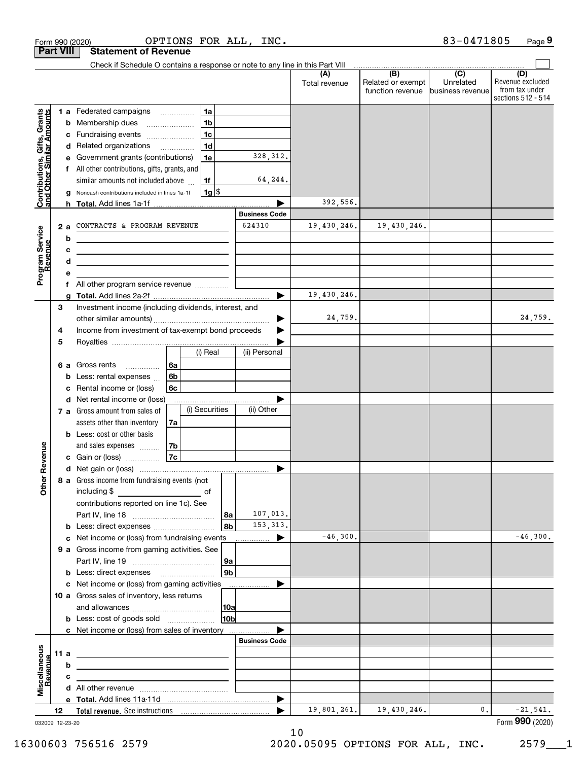| <b>Part VIII</b><br>Check if Schedule O contains a response or note to any line in this Part VIII<br>$\overline{(\mathsf{B})}$ $\overline{(\mathsf{C})}$<br>(A)<br>Related or exempt<br>Unrelated<br>Total revenue<br>function revenue<br>lbusiness revenue<br>1 a Federated campaigns<br>1a<br>Contributions, Gifts, Grants<br>and Other Similar Amounts<br>1 <sub>b</sub><br>Membership dues<br>b<br>1 <sub>c</sub><br>Fundraising events<br>с<br>1 <sub>d</sub><br>d Related organizations<br>328, 312.<br>Government grants (contributions)<br>1e<br>е<br>f All other contributions, gifts, grants, and<br>64,244.<br>1f<br>similar amounts not included above<br> 1g <br>Noncash contributions included in lines 1a-1f<br>g<br>392,556.<br><b>Business Code</b><br>624310<br>19,430,246.<br>CONTRACTS & PROGRAM REVENUE<br>19,430,246.<br>2a<br>Program Service<br>Revenue<br>b<br><u> 1989 - Johann Barn, fransk politik amerikansk politik (</u><br>с<br><u> 1980 - Andrea Stadt Britain, amerikansk politiker (</u><br>d<br><u> 1989 - Johann Stein, mars an deus an deus Amerikaanse komme</u><br>е<br>f All other program service revenue<br>19,430,246.<br>a<br>Investment income (including dividends, interest, and<br>3<br>24,759.<br>Income from investment of tax-exempt bond proceeds<br>4<br>5<br>(ii) Personal<br>(i) Real<br>6 a Gross rents<br>6a<br>.<br>6 <sub>b</sub><br>Less: rental expenses<br>b<br>Rental income or (loss)<br>6с<br>c<br>d Net rental income or (loss)<br>(i) Securities<br>(ii) Other<br>7 a Gross amount from sales of<br>assets other than inventory<br>7a<br><b>b</b> Less: cost or other basis<br>evenue<br>and sales expenses<br>7b<br>7c<br>c Gain or (loss)<br>Other R<br>8 a Gross income from fundraising events (not<br>including \$<br>contributions reported on line 1c). See<br>107,013.<br>  8a<br>153, 313.<br>8b<br>b<br>$-46,300.$<br>Net income or (loss) from fundraising events<br>▶<br>с<br>9 a Gross income from gaming activities. See<br>  9a<br>9 <sub>b</sub><br>c Net income or (loss) from gaming activities<br>10 a Gross sales of inventory, less returns<br> 10a<br>10 <sub>b</sub><br><b>b</b> Less: cost of goods sold<br>c Net income or (loss) from sales of inventory<br><b>Business Code</b><br>Miscellaneous<br>Revenue<br>11a<br><u> 1980 - Johann Stein, marwolaethau a bhann an t-Amhainn an t-Amhainn an t-Amhainn an t-Amhainn an t-Amhainn an</u><br>b<br>с<br>the contract of the contract of the contract of the contract of the contract of<br>$\blacktriangleright$ | Form 990 (2020) | OPTIONS FOR ALL,            | INC. |  | 83-0471805 | Page 9                                                          |
|------------------------------------------------------------------------------------------------------------------------------------------------------------------------------------------------------------------------------------------------------------------------------------------------------------------------------------------------------------------------------------------------------------------------------------------------------------------------------------------------------------------------------------------------------------------------------------------------------------------------------------------------------------------------------------------------------------------------------------------------------------------------------------------------------------------------------------------------------------------------------------------------------------------------------------------------------------------------------------------------------------------------------------------------------------------------------------------------------------------------------------------------------------------------------------------------------------------------------------------------------------------------------------------------------------------------------------------------------------------------------------------------------------------------------------------------------------------------------------------------------------------------------------------------------------------------------------------------------------------------------------------------------------------------------------------------------------------------------------------------------------------------------------------------------------------------------------------------------------------------------------------------------------------------------------------------------------------------------------------------------------------------------------------------------------------------------------------------------------------------------------------------------------------------------------------------------------------------------------------------------------------------------------------------------------------------------------------------------------------------------------------------------------------------------------------------------------------------------------------------------------------------------------------------------------------|-----------------|-----------------------------|------|--|------------|-----------------------------------------------------------------|
|                                                                                                                                                                                                                                                                                                                                                                                                                                                                                                                                                                                                                                                                                                                                                                                                                                                                                                                                                                                                                                                                                                                                                                                                                                                                                                                                                                                                                                                                                                                                                                                                                                                                                                                                                                                                                                                                                                                                                                                                                                                                                                                                                                                                                                                                                                                                                                                                                                                                                                                                                                  |                 | <b>Statement of Revenue</b> |      |  |            |                                                                 |
|                                                                                                                                                                                                                                                                                                                                                                                                                                                                                                                                                                                                                                                                                                                                                                                                                                                                                                                                                                                                                                                                                                                                                                                                                                                                                                                                                                                                                                                                                                                                                                                                                                                                                                                                                                                                                                                                                                                                                                                                                                                                                                                                                                                                                                                                                                                                                                                                                                                                                                                                                                  |                 |                             |      |  |            |                                                                 |
|                                                                                                                                                                                                                                                                                                                                                                                                                                                                                                                                                                                                                                                                                                                                                                                                                                                                                                                                                                                                                                                                                                                                                                                                                                                                                                                                                                                                                                                                                                                                                                                                                                                                                                                                                                                                                                                                                                                                                                                                                                                                                                                                                                                                                                                                                                                                                                                                                                                                                                                                                                  |                 |                             |      |  |            | (D)<br>Revenue excluded<br>from tax under<br>sections 512 - 514 |
|                                                                                                                                                                                                                                                                                                                                                                                                                                                                                                                                                                                                                                                                                                                                                                                                                                                                                                                                                                                                                                                                                                                                                                                                                                                                                                                                                                                                                                                                                                                                                                                                                                                                                                                                                                                                                                                                                                                                                                                                                                                                                                                                                                                                                                                                                                                                                                                                                                                                                                                                                                  |                 |                             |      |  |            |                                                                 |
|                                                                                                                                                                                                                                                                                                                                                                                                                                                                                                                                                                                                                                                                                                                                                                                                                                                                                                                                                                                                                                                                                                                                                                                                                                                                                                                                                                                                                                                                                                                                                                                                                                                                                                                                                                                                                                                                                                                                                                                                                                                                                                                                                                                                                                                                                                                                                                                                                                                                                                                                                                  |                 |                             |      |  |            |                                                                 |
|                                                                                                                                                                                                                                                                                                                                                                                                                                                                                                                                                                                                                                                                                                                                                                                                                                                                                                                                                                                                                                                                                                                                                                                                                                                                                                                                                                                                                                                                                                                                                                                                                                                                                                                                                                                                                                                                                                                                                                                                                                                                                                                                                                                                                                                                                                                                                                                                                                                                                                                                                                  |                 |                             |      |  |            |                                                                 |
|                                                                                                                                                                                                                                                                                                                                                                                                                                                                                                                                                                                                                                                                                                                                                                                                                                                                                                                                                                                                                                                                                                                                                                                                                                                                                                                                                                                                                                                                                                                                                                                                                                                                                                                                                                                                                                                                                                                                                                                                                                                                                                                                                                                                                                                                                                                                                                                                                                                                                                                                                                  |                 |                             |      |  |            |                                                                 |
|                                                                                                                                                                                                                                                                                                                                                                                                                                                                                                                                                                                                                                                                                                                                                                                                                                                                                                                                                                                                                                                                                                                                                                                                                                                                                                                                                                                                                                                                                                                                                                                                                                                                                                                                                                                                                                                                                                                                                                                                                                                                                                                                                                                                                                                                                                                                                                                                                                                                                                                                                                  |                 |                             |      |  |            |                                                                 |
|                                                                                                                                                                                                                                                                                                                                                                                                                                                                                                                                                                                                                                                                                                                                                                                                                                                                                                                                                                                                                                                                                                                                                                                                                                                                                                                                                                                                                                                                                                                                                                                                                                                                                                                                                                                                                                                                                                                                                                                                                                                                                                                                                                                                                                                                                                                                                                                                                                                                                                                                                                  |                 |                             |      |  |            |                                                                 |
|                                                                                                                                                                                                                                                                                                                                                                                                                                                                                                                                                                                                                                                                                                                                                                                                                                                                                                                                                                                                                                                                                                                                                                                                                                                                                                                                                                                                                                                                                                                                                                                                                                                                                                                                                                                                                                                                                                                                                                                                                                                                                                                                                                                                                                                                                                                                                                                                                                                                                                                                                                  |                 |                             |      |  |            |                                                                 |
|                                                                                                                                                                                                                                                                                                                                                                                                                                                                                                                                                                                                                                                                                                                                                                                                                                                                                                                                                                                                                                                                                                                                                                                                                                                                                                                                                                                                                                                                                                                                                                                                                                                                                                                                                                                                                                                                                                                                                                                                                                                                                                                                                                                                                                                                                                                                                                                                                                                                                                                                                                  |                 |                             |      |  |            |                                                                 |
|                                                                                                                                                                                                                                                                                                                                                                                                                                                                                                                                                                                                                                                                                                                                                                                                                                                                                                                                                                                                                                                                                                                                                                                                                                                                                                                                                                                                                                                                                                                                                                                                                                                                                                                                                                                                                                                                                                                                                                                                                                                                                                                                                                                                                                                                                                                                                                                                                                                                                                                                                                  |                 |                             |      |  |            |                                                                 |
|                                                                                                                                                                                                                                                                                                                                                                                                                                                                                                                                                                                                                                                                                                                                                                                                                                                                                                                                                                                                                                                                                                                                                                                                                                                                                                                                                                                                                                                                                                                                                                                                                                                                                                                                                                                                                                                                                                                                                                                                                                                                                                                                                                                                                                                                                                                                                                                                                                                                                                                                                                  |                 |                             |      |  |            |                                                                 |
|                                                                                                                                                                                                                                                                                                                                                                                                                                                                                                                                                                                                                                                                                                                                                                                                                                                                                                                                                                                                                                                                                                                                                                                                                                                                                                                                                                                                                                                                                                                                                                                                                                                                                                                                                                                                                                                                                                                                                                                                                                                                                                                                                                                                                                                                                                                                                                                                                                                                                                                                                                  |                 |                             |      |  |            |                                                                 |
|                                                                                                                                                                                                                                                                                                                                                                                                                                                                                                                                                                                                                                                                                                                                                                                                                                                                                                                                                                                                                                                                                                                                                                                                                                                                                                                                                                                                                                                                                                                                                                                                                                                                                                                                                                                                                                                                                                                                                                                                                                                                                                                                                                                                                                                                                                                                                                                                                                                                                                                                                                  |                 |                             |      |  |            |                                                                 |
|                                                                                                                                                                                                                                                                                                                                                                                                                                                                                                                                                                                                                                                                                                                                                                                                                                                                                                                                                                                                                                                                                                                                                                                                                                                                                                                                                                                                                                                                                                                                                                                                                                                                                                                                                                                                                                                                                                                                                                                                                                                                                                                                                                                                                                                                                                                                                                                                                                                                                                                                                                  |                 |                             |      |  |            |                                                                 |
|                                                                                                                                                                                                                                                                                                                                                                                                                                                                                                                                                                                                                                                                                                                                                                                                                                                                                                                                                                                                                                                                                                                                                                                                                                                                                                                                                                                                                                                                                                                                                                                                                                                                                                                                                                                                                                                                                                                                                                                                                                                                                                                                                                                                                                                                                                                                                                                                                                                                                                                                                                  |                 |                             |      |  |            |                                                                 |
|                                                                                                                                                                                                                                                                                                                                                                                                                                                                                                                                                                                                                                                                                                                                                                                                                                                                                                                                                                                                                                                                                                                                                                                                                                                                                                                                                                                                                                                                                                                                                                                                                                                                                                                                                                                                                                                                                                                                                                                                                                                                                                                                                                                                                                                                                                                                                                                                                                                                                                                                                                  |                 |                             |      |  |            |                                                                 |
|                                                                                                                                                                                                                                                                                                                                                                                                                                                                                                                                                                                                                                                                                                                                                                                                                                                                                                                                                                                                                                                                                                                                                                                                                                                                                                                                                                                                                                                                                                                                                                                                                                                                                                                                                                                                                                                                                                                                                                                                                                                                                                                                                                                                                                                                                                                                                                                                                                                                                                                                                                  |                 |                             |      |  |            |                                                                 |
|                                                                                                                                                                                                                                                                                                                                                                                                                                                                                                                                                                                                                                                                                                                                                                                                                                                                                                                                                                                                                                                                                                                                                                                                                                                                                                                                                                                                                                                                                                                                                                                                                                                                                                                                                                                                                                                                                                                                                                                                                                                                                                                                                                                                                                                                                                                                                                                                                                                                                                                                                                  |                 |                             |      |  |            |                                                                 |
|                                                                                                                                                                                                                                                                                                                                                                                                                                                                                                                                                                                                                                                                                                                                                                                                                                                                                                                                                                                                                                                                                                                                                                                                                                                                                                                                                                                                                                                                                                                                                                                                                                                                                                                                                                                                                                                                                                                                                                                                                                                                                                                                                                                                                                                                                                                                                                                                                                                                                                                                                                  |                 |                             |      |  |            |                                                                 |
|                                                                                                                                                                                                                                                                                                                                                                                                                                                                                                                                                                                                                                                                                                                                                                                                                                                                                                                                                                                                                                                                                                                                                                                                                                                                                                                                                                                                                                                                                                                                                                                                                                                                                                                                                                                                                                                                                                                                                                                                                                                                                                                                                                                                                                                                                                                                                                                                                                                                                                                                                                  |                 |                             |      |  |            |                                                                 |
|                                                                                                                                                                                                                                                                                                                                                                                                                                                                                                                                                                                                                                                                                                                                                                                                                                                                                                                                                                                                                                                                                                                                                                                                                                                                                                                                                                                                                                                                                                                                                                                                                                                                                                                                                                                                                                                                                                                                                                                                                                                                                                                                                                                                                                                                                                                                                                                                                                                                                                                                                                  |                 |                             |      |  |            | 24,759.                                                         |
|                                                                                                                                                                                                                                                                                                                                                                                                                                                                                                                                                                                                                                                                                                                                                                                                                                                                                                                                                                                                                                                                                                                                                                                                                                                                                                                                                                                                                                                                                                                                                                                                                                                                                                                                                                                                                                                                                                                                                                                                                                                                                                                                                                                                                                                                                                                                                                                                                                                                                                                                                                  |                 |                             |      |  |            |                                                                 |
|                                                                                                                                                                                                                                                                                                                                                                                                                                                                                                                                                                                                                                                                                                                                                                                                                                                                                                                                                                                                                                                                                                                                                                                                                                                                                                                                                                                                                                                                                                                                                                                                                                                                                                                                                                                                                                                                                                                                                                                                                                                                                                                                                                                                                                                                                                                                                                                                                                                                                                                                                                  |                 |                             |      |  |            |                                                                 |
|                                                                                                                                                                                                                                                                                                                                                                                                                                                                                                                                                                                                                                                                                                                                                                                                                                                                                                                                                                                                                                                                                                                                                                                                                                                                                                                                                                                                                                                                                                                                                                                                                                                                                                                                                                                                                                                                                                                                                                                                                                                                                                                                                                                                                                                                                                                                                                                                                                                                                                                                                                  |                 |                             |      |  |            |                                                                 |
|                                                                                                                                                                                                                                                                                                                                                                                                                                                                                                                                                                                                                                                                                                                                                                                                                                                                                                                                                                                                                                                                                                                                                                                                                                                                                                                                                                                                                                                                                                                                                                                                                                                                                                                                                                                                                                                                                                                                                                                                                                                                                                                                                                                                                                                                                                                                                                                                                                                                                                                                                                  |                 |                             |      |  |            |                                                                 |
|                                                                                                                                                                                                                                                                                                                                                                                                                                                                                                                                                                                                                                                                                                                                                                                                                                                                                                                                                                                                                                                                                                                                                                                                                                                                                                                                                                                                                                                                                                                                                                                                                                                                                                                                                                                                                                                                                                                                                                                                                                                                                                                                                                                                                                                                                                                                                                                                                                                                                                                                                                  |                 |                             |      |  |            |                                                                 |
|                                                                                                                                                                                                                                                                                                                                                                                                                                                                                                                                                                                                                                                                                                                                                                                                                                                                                                                                                                                                                                                                                                                                                                                                                                                                                                                                                                                                                                                                                                                                                                                                                                                                                                                                                                                                                                                                                                                                                                                                                                                                                                                                                                                                                                                                                                                                                                                                                                                                                                                                                                  |                 |                             |      |  |            |                                                                 |
|                                                                                                                                                                                                                                                                                                                                                                                                                                                                                                                                                                                                                                                                                                                                                                                                                                                                                                                                                                                                                                                                                                                                                                                                                                                                                                                                                                                                                                                                                                                                                                                                                                                                                                                                                                                                                                                                                                                                                                                                                                                                                                                                                                                                                                                                                                                                                                                                                                                                                                                                                                  |                 |                             |      |  |            |                                                                 |
|                                                                                                                                                                                                                                                                                                                                                                                                                                                                                                                                                                                                                                                                                                                                                                                                                                                                                                                                                                                                                                                                                                                                                                                                                                                                                                                                                                                                                                                                                                                                                                                                                                                                                                                                                                                                                                                                                                                                                                                                                                                                                                                                                                                                                                                                                                                                                                                                                                                                                                                                                                  |                 |                             |      |  |            |                                                                 |
|                                                                                                                                                                                                                                                                                                                                                                                                                                                                                                                                                                                                                                                                                                                                                                                                                                                                                                                                                                                                                                                                                                                                                                                                                                                                                                                                                                                                                                                                                                                                                                                                                                                                                                                                                                                                                                                                                                                                                                                                                                                                                                                                                                                                                                                                                                                                                                                                                                                                                                                                                                  |                 |                             |      |  |            |                                                                 |
|                                                                                                                                                                                                                                                                                                                                                                                                                                                                                                                                                                                                                                                                                                                                                                                                                                                                                                                                                                                                                                                                                                                                                                                                                                                                                                                                                                                                                                                                                                                                                                                                                                                                                                                                                                                                                                                                                                                                                                                                                                                                                                                                                                                                                                                                                                                                                                                                                                                                                                                                                                  |                 |                             |      |  |            |                                                                 |
|                                                                                                                                                                                                                                                                                                                                                                                                                                                                                                                                                                                                                                                                                                                                                                                                                                                                                                                                                                                                                                                                                                                                                                                                                                                                                                                                                                                                                                                                                                                                                                                                                                                                                                                                                                                                                                                                                                                                                                                                                                                                                                                                                                                                                                                                                                                                                                                                                                                                                                                                                                  |                 |                             |      |  |            |                                                                 |
|                                                                                                                                                                                                                                                                                                                                                                                                                                                                                                                                                                                                                                                                                                                                                                                                                                                                                                                                                                                                                                                                                                                                                                                                                                                                                                                                                                                                                                                                                                                                                                                                                                                                                                                                                                                                                                                                                                                                                                                                                                                                                                                                                                                                                                                                                                                                                                                                                                                                                                                                                                  |                 |                             |      |  |            |                                                                 |
|                                                                                                                                                                                                                                                                                                                                                                                                                                                                                                                                                                                                                                                                                                                                                                                                                                                                                                                                                                                                                                                                                                                                                                                                                                                                                                                                                                                                                                                                                                                                                                                                                                                                                                                                                                                                                                                                                                                                                                                                                                                                                                                                                                                                                                                                                                                                                                                                                                                                                                                                                                  |                 |                             |      |  |            |                                                                 |
|                                                                                                                                                                                                                                                                                                                                                                                                                                                                                                                                                                                                                                                                                                                                                                                                                                                                                                                                                                                                                                                                                                                                                                                                                                                                                                                                                                                                                                                                                                                                                                                                                                                                                                                                                                                                                                                                                                                                                                                                                                                                                                                                                                                                                                                                                                                                                                                                                                                                                                                                                                  |                 |                             |      |  |            |                                                                 |
|                                                                                                                                                                                                                                                                                                                                                                                                                                                                                                                                                                                                                                                                                                                                                                                                                                                                                                                                                                                                                                                                                                                                                                                                                                                                                                                                                                                                                                                                                                                                                                                                                                                                                                                                                                                                                                                                                                                                                                                                                                                                                                                                                                                                                                                                                                                                                                                                                                                                                                                                                                  |                 |                             |      |  |            |                                                                 |
|                                                                                                                                                                                                                                                                                                                                                                                                                                                                                                                                                                                                                                                                                                                                                                                                                                                                                                                                                                                                                                                                                                                                                                                                                                                                                                                                                                                                                                                                                                                                                                                                                                                                                                                                                                                                                                                                                                                                                                                                                                                                                                                                                                                                                                                                                                                                                                                                                                                                                                                                                                  |                 |                             |      |  |            |                                                                 |
|                                                                                                                                                                                                                                                                                                                                                                                                                                                                                                                                                                                                                                                                                                                                                                                                                                                                                                                                                                                                                                                                                                                                                                                                                                                                                                                                                                                                                                                                                                                                                                                                                                                                                                                                                                                                                                                                                                                                                                                                                                                                                                                                                                                                                                                                                                                                                                                                                                                                                                                                                                  |                 |                             |      |  |            |                                                                 |
|                                                                                                                                                                                                                                                                                                                                                                                                                                                                                                                                                                                                                                                                                                                                                                                                                                                                                                                                                                                                                                                                                                                                                                                                                                                                                                                                                                                                                                                                                                                                                                                                                                                                                                                                                                                                                                                                                                                                                                                                                                                                                                                                                                                                                                                                                                                                                                                                                                                                                                                                                                  |                 |                             |      |  |            |                                                                 |
|                                                                                                                                                                                                                                                                                                                                                                                                                                                                                                                                                                                                                                                                                                                                                                                                                                                                                                                                                                                                                                                                                                                                                                                                                                                                                                                                                                                                                                                                                                                                                                                                                                                                                                                                                                                                                                                                                                                                                                                                                                                                                                                                                                                                                                                                                                                                                                                                                                                                                                                                                                  |                 |                             |      |  |            | $-46,300.$                                                      |
|                                                                                                                                                                                                                                                                                                                                                                                                                                                                                                                                                                                                                                                                                                                                                                                                                                                                                                                                                                                                                                                                                                                                                                                                                                                                                                                                                                                                                                                                                                                                                                                                                                                                                                                                                                                                                                                                                                                                                                                                                                                                                                                                                                                                                                                                                                                                                                                                                                                                                                                                                                  |                 |                             |      |  |            |                                                                 |
|                                                                                                                                                                                                                                                                                                                                                                                                                                                                                                                                                                                                                                                                                                                                                                                                                                                                                                                                                                                                                                                                                                                                                                                                                                                                                                                                                                                                                                                                                                                                                                                                                                                                                                                                                                                                                                                                                                                                                                                                                                                                                                                                                                                                                                                                                                                                                                                                                                                                                                                                                                  |                 |                             |      |  |            |                                                                 |
|                                                                                                                                                                                                                                                                                                                                                                                                                                                                                                                                                                                                                                                                                                                                                                                                                                                                                                                                                                                                                                                                                                                                                                                                                                                                                                                                                                                                                                                                                                                                                                                                                                                                                                                                                                                                                                                                                                                                                                                                                                                                                                                                                                                                                                                                                                                                                                                                                                                                                                                                                                  |                 |                             |      |  |            |                                                                 |
|                                                                                                                                                                                                                                                                                                                                                                                                                                                                                                                                                                                                                                                                                                                                                                                                                                                                                                                                                                                                                                                                                                                                                                                                                                                                                                                                                                                                                                                                                                                                                                                                                                                                                                                                                                                                                                                                                                                                                                                                                                                                                                                                                                                                                                                                                                                                                                                                                                                                                                                                                                  |                 |                             |      |  |            |                                                                 |
|                                                                                                                                                                                                                                                                                                                                                                                                                                                                                                                                                                                                                                                                                                                                                                                                                                                                                                                                                                                                                                                                                                                                                                                                                                                                                                                                                                                                                                                                                                                                                                                                                                                                                                                                                                                                                                                                                                                                                                                                                                                                                                                                                                                                                                                                                                                                                                                                                                                                                                                                                                  |                 |                             |      |  |            |                                                                 |
|                                                                                                                                                                                                                                                                                                                                                                                                                                                                                                                                                                                                                                                                                                                                                                                                                                                                                                                                                                                                                                                                                                                                                                                                                                                                                                                                                                                                                                                                                                                                                                                                                                                                                                                                                                                                                                                                                                                                                                                                                                                                                                                                                                                                                                                                                                                                                                                                                                                                                                                                                                  |                 |                             |      |  |            |                                                                 |
|                                                                                                                                                                                                                                                                                                                                                                                                                                                                                                                                                                                                                                                                                                                                                                                                                                                                                                                                                                                                                                                                                                                                                                                                                                                                                                                                                                                                                                                                                                                                                                                                                                                                                                                                                                                                                                                                                                                                                                                                                                                                                                                                                                                                                                                                                                                                                                                                                                                                                                                                                                  |                 |                             |      |  |            |                                                                 |
|                                                                                                                                                                                                                                                                                                                                                                                                                                                                                                                                                                                                                                                                                                                                                                                                                                                                                                                                                                                                                                                                                                                                                                                                                                                                                                                                                                                                                                                                                                                                                                                                                                                                                                                                                                                                                                                                                                                                                                                                                                                                                                                                                                                                                                                                                                                                                                                                                                                                                                                                                                  |                 |                             |      |  |            |                                                                 |
|                                                                                                                                                                                                                                                                                                                                                                                                                                                                                                                                                                                                                                                                                                                                                                                                                                                                                                                                                                                                                                                                                                                                                                                                                                                                                                                                                                                                                                                                                                                                                                                                                                                                                                                                                                                                                                                                                                                                                                                                                                                                                                                                                                                                                                                                                                                                                                                                                                                                                                                                                                  |                 |                             |      |  |            |                                                                 |
|                                                                                                                                                                                                                                                                                                                                                                                                                                                                                                                                                                                                                                                                                                                                                                                                                                                                                                                                                                                                                                                                                                                                                                                                                                                                                                                                                                                                                                                                                                                                                                                                                                                                                                                                                                                                                                                                                                                                                                                                                                                                                                                                                                                                                                                                                                                                                                                                                                                                                                                                                                  |                 |                             |      |  |            |                                                                 |
|                                                                                                                                                                                                                                                                                                                                                                                                                                                                                                                                                                                                                                                                                                                                                                                                                                                                                                                                                                                                                                                                                                                                                                                                                                                                                                                                                                                                                                                                                                                                                                                                                                                                                                                                                                                                                                                                                                                                                                                                                                                                                                                                                                                                                                                                                                                                                                                                                                                                                                                                                                  |                 |                             |      |  |            |                                                                 |
|                                                                                                                                                                                                                                                                                                                                                                                                                                                                                                                                                                                                                                                                                                                                                                                                                                                                                                                                                                                                                                                                                                                                                                                                                                                                                                                                                                                                                                                                                                                                                                                                                                                                                                                                                                                                                                                                                                                                                                                                                                                                                                                                                                                                                                                                                                                                                                                                                                                                                                                                                                  |                 |                             |      |  |            |                                                                 |
|                                                                                                                                                                                                                                                                                                                                                                                                                                                                                                                                                                                                                                                                                                                                                                                                                                                                                                                                                                                                                                                                                                                                                                                                                                                                                                                                                                                                                                                                                                                                                                                                                                                                                                                                                                                                                                                                                                                                                                                                                                                                                                                                                                                                                                                                                                                                                                                                                                                                                                                                                                  |                 |                             |      |  |            |                                                                 |
|                                                                                                                                                                                                                                                                                                                                                                                                                                                                                                                                                                                                                                                                                                                                                                                                                                                                                                                                                                                                                                                                                                                                                                                                                                                                                                                                                                                                                                                                                                                                                                                                                                                                                                                                                                                                                                                                                                                                                                                                                                                                                                                                                                                                                                                                                                                                                                                                                                                                                                                                                                  |                 |                             |      |  |            |                                                                 |
|                                                                                                                                                                                                                                                                                                                                                                                                                                                                                                                                                                                                                                                                                                                                                                                                                                                                                                                                                                                                                                                                                                                                                                                                                                                                                                                                                                                                                                                                                                                                                                                                                                                                                                                                                                                                                                                                                                                                                                                                                                                                                                                                                                                                                                                                                                                                                                                                                                                                                                                                                                  |                 |                             |      |  |            |                                                                 |
| 19,430,246.<br>19,801,261.<br>$\mathbf{0}$ .<br>12                                                                                                                                                                                                                                                                                                                                                                                                                                                                                                                                                                                                                                                                                                                                                                                                                                                                                                                                                                                                                                                                                                                                                                                                                                                                                                                                                                                                                                                                                                                                                                                                                                                                                                                                                                                                                                                                                                                                                                                                                                                                                                                                                                                                                                                                                                                                                                                                                                                                                                               |                 |                             |      |  |            | $-21,541.$                                                      |

10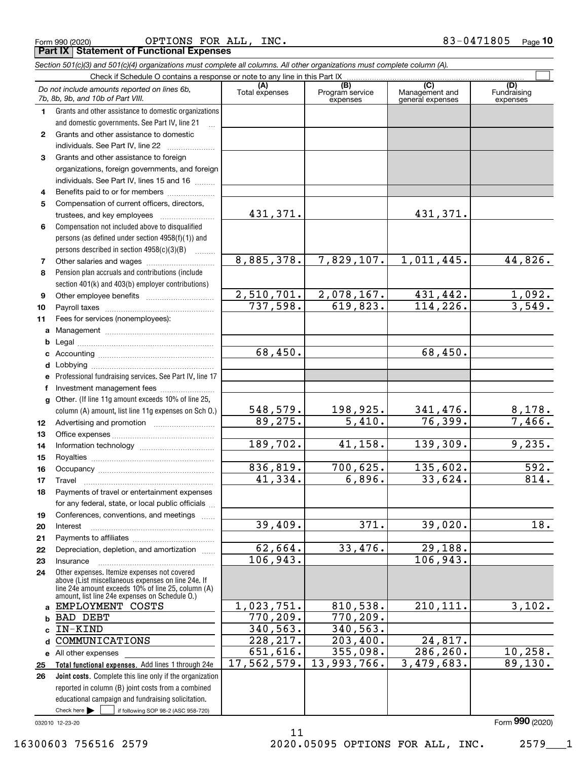|  | Form 990 (2020) |
|--|-----------------|
|  |                 |

Form 990 (2020) Page **Part IX Statement of Functional Expenses** OPTIONS FOR ALL, INC. 83-0471805

|              | Section 501(c)(3) and 501(c)(4) organizations must complete all columns. All other organizations must complete column (A).                                                                                 |                       |                                    |                                           |                                |
|--------------|------------------------------------------------------------------------------------------------------------------------------------------------------------------------------------------------------------|-----------------------|------------------------------------|-------------------------------------------|--------------------------------|
|              | Check if Schedule O contains a response or note to any line in this Part IX                                                                                                                                |                       |                                    |                                           |                                |
|              | Do not include amounts reported on lines 6b,<br>7b, 8b, 9b, and 10b of Part VIII.                                                                                                                          | (A)<br>Total expenses | (B)<br>Program service<br>expenses | (C)<br>Management and<br>general expenses | (D)<br>Fundraising<br>expenses |
| 1.           | Grants and other assistance to domestic organizations                                                                                                                                                      |                       |                                    |                                           |                                |
|              | and domestic governments. See Part IV, line 21                                                                                                                                                             |                       |                                    |                                           |                                |
| $\mathbf{2}$ | Grants and other assistance to domestic                                                                                                                                                                    |                       |                                    |                                           |                                |
|              | individuals. See Part IV, line 22                                                                                                                                                                          |                       |                                    |                                           |                                |
| 3            | Grants and other assistance to foreign                                                                                                                                                                     |                       |                                    |                                           |                                |
|              | organizations, foreign governments, and foreign                                                                                                                                                            |                       |                                    |                                           |                                |
|              | individuals. See Part IV, lines 15 and 16                                                                                                                                                                  |                       |                                    |                                           |                                |
| 4            | Benefits paid to or for members                                                                                                                                                                            |                       |                                    |                                           |                                |
| 5            | Compensation of current officers, directors,                                                                                                                                                               |                       |                                    |                                           |                                |
|              | trustees, and key employees                                                                                                                                                                                | 431,371.              |                                    | 431,371.                                  |                                |
| 6            | Compensation not included above to disqualified                                                                                                                                                            |                       |                                    |                                           |                                |
|              | persons (as defined under section 4958(f)(1)) and                                                                                                                                                          |                       |                                    |                                           |                                |
|              | persons described in section 4958(c)(3)(B)                                                                                                                                                                 |                       |                                    |                                           |                                |
| 7            |                                                                                                                                                                                                            | 8,885,378.            | 7,829,107.                         | 1,011,445.                                | 44,826.                        |
| 8            | Pension plan accruals and contributions (include                                                                                                                                                           |                       |                                    |                                           |                                |
|              | section 401(k) and 403(b) employer contributions)                                                                                                                                                          |                       |                                    |                                           |                                |
| 9            |                                                                                                                                                                                                            | 2,510,701.            | 2,078,167.                         | 431,442.                                  | $\frac{1,092.}{3,549.}$        |
| 10           |                                                                                                                                                                                                            | 737,598.              | 619,823.                           | 114, 226.                                 |                                |
| 11           | Fees for services (nonemployees):                                                                                                                                                                          |                       |                                    |                                           |                                |
| a            |                                                                                                                                                                                                            |                       |                                    |                                           |                                |
| b            |                                                                                                                                                                                                            |                       |                                    |                                           |                                |
| c            |                                                                                                                                                                                                            | 68,450.               |                                    | 68,450.                                   |                                |
| d            |                                                                                                                                                                                                            |                       |                                    |                                           |                                |
| е            | Professional fundraising services. See Part IV, line 17                                                                                                                                                    |                       |                                    |                                           |                                |
| f            | Investment management fees                                                                                                                                                                                 |                       |                                    |                                           |                                |
| g            | Other. (If line 11g amount exceeds 10% of line 25,                                                                                                                                                         |                       |                                    |                                           |                                |
|              | column (A) amount, list line 11g expenses on Sch O.)                                                                                                                                                       | <u>548,579.</u>       | $\frac{198,925.}{5,410.}$          | $\frac{341,476.}{76,399.}$                | $\frac{8,178.}{7,466.}$        |
| 12           |                                                                                                                                                                                                            | 89,275.               |                                    |                                           |                                |
| 13           |                                                                                                                                                                                                            |                       |                                    |                                           |                                |
| 14           |                                                                                                                                                                                                            | 189,702.              | 41,158.                            | 139,309.                                  | 9,235.                         |
| 15           |                                                                                                                                                                                                            |                       |                                    |                                           |                                |
| 16           |                                                                                                                                                                                                            | 836,819.              | 700,625.                           | 135,602.                                  | 592.                           |
| 17           |                                                                                                                                                                                                            | 41,334.               | 6,896.                             | 33,624.                                   | 814.                           |
| 18           | Payments of travel or entertainment expenses                                                                                                                                                               |                       |                                    |                                           |                                |
|              | for any federal, state, or local public officials                                                                                                                                                          |                       |                                    |                                           |                                |
| 19           | Conferences, conventions, and meetings                                                                                                                                                                     |                       |                                    |                                           |                                |
| 20           | Interest                                                                                                                                                                                                   | 39,409.               | 371.                               | 39,020.                                   | 18.                            |
| 21           |                                                                                                                                                                                                            |                       |                                    |                                           |                                |
| 22           | Depreciation, depletion, and amortization                                                                                                                                                                  | 62,664.               | 33,476.                            | 29,188.                                   |                                |
| 23           | Insurance                                                                                                                                                                                                  | 106,943.              |                                    | 106,943.                                  |                                |
| 24           | Other expenses. Itemize expenses not covered<br>above (List miscellaneous expenses on line 24e. If<br>line 24e amount exceeds 10% of line 25, column (A)<br>amount, list line 24e expenses on Schedule 0.) |                       |                                    |                                           |                                |
| a            | EMPLOYMENT COSTS                                                                                                                                                                                           | 1,023,751.            | 810,538.                           | $\overline{210,111}.$                     | 3,102.                         |
| b            | <b>BAD DEBT</b>                                                                                                                                                                                            | 770, 209.             | 770, 209.                          |                                           |                                |
| c            | IN-KIND                                                                                                                                                                                                    | 340, 563.             | 340, 563.                          |                                           |                                |
| d            | COMMUNICATIONS                                                                                                                                                                                             | 228, 217.             | 203,400.                           | 24,817.                                   |                                |
|              | e All other expenses                                                                                                                                                                                       | 651,616.              | 355,098.                           | 286, 260.                                 | 10, 258.                       |
| 25           | Total functional expenses. Add lines 1 through 24e                                                                                                                                                         | 17,562,579.           | 13,993,766.                        | 3,479,683.                                | 89,130.                        |
| 26           | Joint costs. Complete this line only if the organization                                                                                                                                                   |                       |                                    |                                           |                                |
|              | reported in column (B) joint costs from a combined                                                                                                                                                         |                       |                                    |                                           |                                |
|              | educational campaign and fundraising solicitation.                                                                                                                                                         |                       |                                    |                                           |                                |
|              | Check here $\blacktriangleright$<br>if following SOP 98-2 (ASC 958-720)                                                                                                                                    |                       |                                    |                                           |                                |

11

032010 12-23-20

16300603 756516 2579 2020.05095 OPTIONS FOR ALL, INC. 2579\_\_\_1

Form (2020) **990**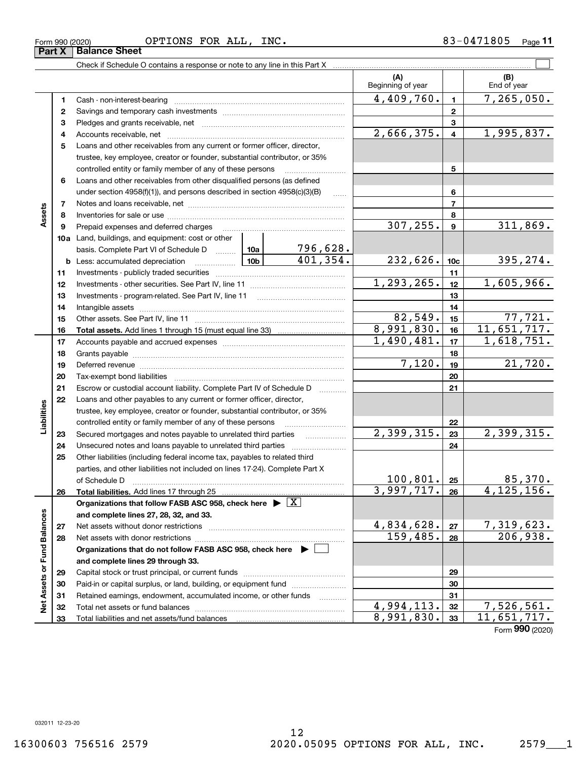| .805<br><b>FOR</b><br>OPTIONS<br>---<br>INC.<br>. .<br>$-01$<br>ALL<br>Form 990 (2020) | Page |
|----------------------------------------------------------------------------------------|------|
|----------------------------------------------------------------------------------------|------|

**Part X Balance Sheet**

|                             |              |                                                                                                                                                                                                                                                                                                                                                                                                                                                                |                 |                     | (A)<br>Beginning of year |                         | (B)<br>End of year |
|-----------------------------|--------------|----------------------------------------------------------------------------------------------------------------------------------------------------------------------------------------------------------------------------------------------------------------------------------------------------------------------------------------------------------------------------------------------------------------------------------------------------------------|-----------------|---------------------|--------------------------|-------------------------|--------------------|
|                             | 1            |                                                                                                                                                                                                                                                                                                                                                                                                                                                                |                 |                     | 4,409,760.               | $\mathbf{1}$            | 7, 265, 050.       |
|                             | $\mathbf{2}$ |                                                                                                                                                                                                                                                                                                                                                                                                                                                                |                 | $\mathbf{2}$        |                          |                         |                    |
|                             | 3            |                                                                                                                                                                                                                                                                                                                                                                                                                                                                |                 |                     |                          | 3                       |                    |
|                             | 4            |                                                                                                                                                                                                                                                                                                                                                                                                                                                                |                 |                     | 2,666,375.               | $\overline{\mathbf{4}}$ | 1,995,837.         |
|                             | 5            | Loans and other receivables from any current or former officer, director,                                                                                                                                                                                                                                                                                                                                                                                      |                 |                     |                          |                         |                    |
|                             |              | trustee, key employee, creator or founder, substantial contributor, or 35%                                                                                                                                                                                                                                                                                                                                                                                     |                 |                     |                          |                         |                    |
|                             |              | controlled entity or family member of any of these persons                                                                                                                                                                                                                                                                                                                                                                                                     |                 |                     |                          | 5                       |                    |
|                             | 6            | Loans and other receivables from other disqualified persons (as defined                                                                                                                                                                                                                                                                                                                                                                                        |                 |                     |                          |                         |                    |
|                             |              | under section $4958(f)(1)$ , and persons described in section $4958(c)(3)(B)$                                                                                                                                                                                                                                                                                                                                                                                  |                 | $\ldots$            |                          | 6                       |                    |
|                             | 7            |                                                                                                                                                                                                                                                                                                                                                                                                                                                                |                 |                     |                          | $\overline{7}$          |                    |
| Assets                      | 8            |                                                                                                                                                                                                                                                                                                                                                                                                                                                                |                 |                     |                          | 8                       |                    |
|                             | 9            | Prepaid expenses and deferred charges                                                                                                                                                                                                                                                                                                                                                                                                                          |                 |                     | 307, 255.                | $\boldsymbol{9}$        | 311,869.           |
|                             |              | 10a Land, buildings, and equipment: cost or other                                                                                                                                                                                                                                                                                                                                                                                                              |                 |                     |                          |                         |                    |
|                             |              | basis. Complete Part VI of Schedule D                                                                                                                                                                                                                                                                                                                                                                                                                          | 10a             | 796,628.            |                          |                         |                    |
|                             |              | <b>b</b> Less: accumulated depreciation                                                                                                                                                                                                                                                                                                                                                                                                                        | 10 <sub>b</sub> | 401,354.            | 232,626.                 | 10 <sub>c</sub>         | 395,274.           |
|                             | 11           |                                                                                                                                                                                                                                                                                                                                                                                                                                                                |                 |                     |                          | 11                      |                    |
|                             | 12           |                                                                                                                                                                                                                                                                                                                                                                                                                                                                |                 |                     | 1,293,265.               | 12                      | 1,605,966.         |
|                             | 13           |                                                                                                                                                                                                                                                                                                                                                                                                                                                                |                 |                     |                          | 13                      |                    |
|                             | 14           |                                                                                                                                                                                                                                                                                                                                                                                                                                                                |                 |                     |                          | 14                      |                    |
|                             | 15           |                                                                                                                                                                                                                                                                                                                                                                                                                                                                |                 |                     | 82,549.                  | 15                      | 77,721.            |
|                             | 16           |                                                                                                                                                                                                                                                                                                                                                                                                                                                                |                 |                     | 8,991,830.               | 16                      | 11,651,717.        |
|                             | 17           |                                                                                                                                                                                                                                                                                                                                                                                                                                                                |                 |                     | 1,490,481.               | 17                      | 1,618,751.         |
|                             | 18           |                                                                                                                                                                                                                                                                                                                                                                                                                                                                |                 |                     |                          | 18                      |                    |
|                             | 19           |                                                                                                                                                                                                                                                                                                                                                                                                                                                                |                 |                     | 7,120.                   | 19                      | 21,720.            |
|                             | 20           |                                                                                                                                                                                                                                                                                                                                                                                                                                                                |                 |                     |                          | 20                      |                    |
|                             | 21           | Escrow or custodial account liability. Complete Part IV of Schedule D                                                                                                                                                                                                                                                                                                                                                                                          |                 |                     |                          | 21                      |                    |
|                             | 22           | Loans and other payables to any current or former officer, director,                                                                                                                                                                                                                                                                                                                                                                                           |                 |                     |                          |                         |                    |
| Liabilities                 |              | trustee, key employee, creator or founder, substantial contributor, or 35%                                                                                                                                                                                                                                                                                                                                                                                     |                 |                     |                          |                         |                    |
|                             |              | controlled entity or family member of any of these persons                                                                                                                                                                                                                                                                                                                                                                                                     |                 |                     | 2,399,315.               | 22                      | 2,399,315.         |
|                             | 23           | Secured mortgages and notes payable to unrelated third parties                                                                                                                                                                                                                                                                                                                                                                                                 |                 | 23                  |                          |                         |                    |
|                             | 24           | Unsecured notes and loans payable to unrelated third parties                                                                                                                                                                                                                                                                                                                                                                                                   |                 |                     |                          | 24                      |                    |
|                             | 25           | Other liabilities (including federal income tax, payables to related third                                                                                                                                                                                                                                                                                                                                                                                     |                 |                     |                          |                         |                    |
|                             |              | parties, and other liabilities not included on lines 17-24). Complete Part X                                                                                                                                                                                                                                                                                                                                                                                   |                 |                     | $100, 801$ . 25          |                         | 85,370.            |
|                             | 26           | of Schedule D<br>$\begin{minipage}{0.5\textwidth} \begin{tabular}{ l l l } \hline & \multicolumn{1}{ l l } \hline & \multicolumn{1}{ l } \multicolumn{1}{ l } \hline \multicolumn{1}{ l } \multicolumn{1}{ l } \multicolumn{1}{ l } \multicolumn{1}{ l } \multicolumn{1}{ l } \multicolumn{1}{ l } \multicolumn{1}{ l } \multicolumn{1}{ l } \multicolumn{1}{ l } \multicolumn{1}{ l } \multicolumn{1}{ l } \multicolumn{1}{ l } \multicolumn{1}{ l } \multic$ |                 |                     | 3,997,717. 26            |                         | 4, 125, 156.       |
|                             |              | Organizations that follow FASB ASC 958, check here $\blacktriangleright \lfloor X \rfloor$                                                                                                                                                                                                                                                                                                                                                                     |                 |                     |                          |                         |                    |
|                             |              | and complete lines 27, 28, 32, and 33.                                                                                                                                                                                                                                                                                                                                                                                                                         |                 |                     |                          |                         |                    |
|                             | 27           | Net assets without donor restrictions                                                                                                                                                                                                                                                                                                                                                                                                                          |                 |                     | 4,834,628.               | 27                      | <u>7,319,623.</u>  |
|                             | 28           |                                                                                                                                                                                                                                                                                                                                                                                                                                                                |                 |                     | 159,485.                 | 28                      | 206,938.           |
|                             |              | Organizations that do not follow FASB ASC 958, check here ▶ □                                                                                                                                                                                                                                                                                                                                                                                                  |                 |                     |                          |                         |                    |
|                             |              | and complete lines 29 through 33.                                                                                                                                                                                                                                                                                                                                                                                                                              |                 |                     |                          |                         |                    |
|                             | 29           |                                                                                                                                                                                                                                                                                                                                                                                                                                                                |                 |                     |                          | 29                      |                    |
| Net Assets or Fund Balances | 30           | Paid-in or capital surplus, or land, building, or equipment fund                                                                                                                                                                                                                                                                                                                                                                                               |                 |                     |                          | 30                      |                    |
|                             | 31           | Retained earnings, endowment, accumulated income, or other funds                                                                                                                                                                                                                                                                                                                                                                                               |                 | 1.1.1.1.1.1.1.1.1.1 |                          | 31                      |                    |
|                             | 32           | Total net assets or fund balances                                                                                                                                                                                                                                                                                                                                                                                                                              |                 |                     | 4,994,113.               | 32                      | 7,526,561.         |
|                             | 33           | Total liabilities and net assets/fund balances                                                                                                                                                                                                                                                                                                                                                                                                                 |                 |                     | 8,991,830.               | 33                      | 11,651,717.        |
|                             |              |                                                                                                                                                                                                                                                                                                                                                                                                                                                                |                 |                     |                          |                         |                    |

Form (2020) **990**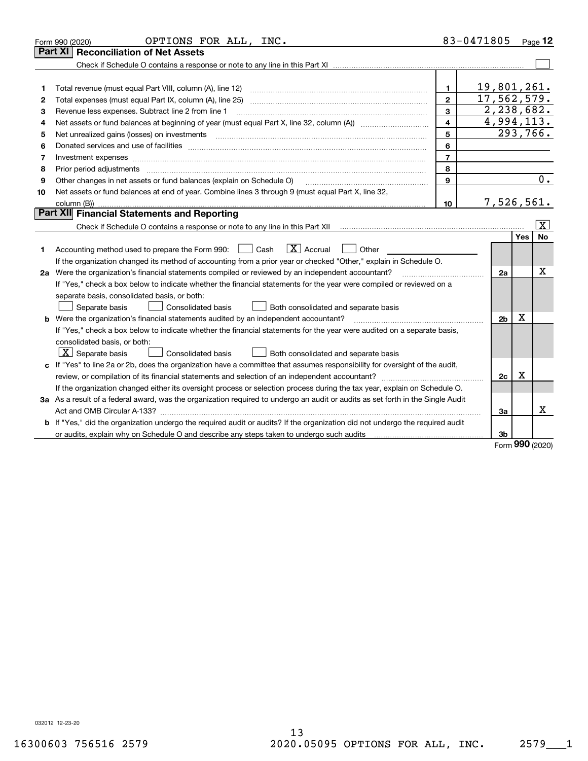|    | OPTIONS FOR ALL, INC.<br>Form 990 (2020)                                                                                                                                                                                       |                | 83-0471805     |     | $P_{\text{aqe}}$ 12     |
|----|--------------------------------------------------------------------------------------------------------------------------------------------------------------------------------------------------------------------------------|----------------|----------------|-----|-------------------------|
|    | <b>Reconciliation of Net Assets</b><br>Part XI                                                                                                                                                                                 |                |                |     |                         |
|    |                                                                                                                                                                                                                                |                |                |     |                         |
|    |                                                                                                                                                                                                                                |                |                |     |                         |
| 1  | Total revenue (must equal Part VIII, column (A), line 12)                                                                                                                                                                      | $\mathbf{1}$   | 19,801,261.    |     |                         |
| 2  |                                                                                                                                                                                                                                | $\mathbf{2}$   | 17,562,579.    |     |                         |
| З  | Revenue less expenses. Subtract line 2 from line 1                                                                                                                                                                             | 3              | 2,238,682.     |     |                         |
| 4  |                                                                                                                                                                                                                                | 4              | 4,994,113.     |     |                         |
| 5  | Net unrealized gains (losses) on investments                                                                                                                                                                                   | 5              |                |     | 293,766.                |
| 6  | Donated services and use of facilities [111] Donated and the service of facilities [11] Donated services and use of facilities [11] Donated and the service of the service of the service of the service of the service of the | 6              |                |     |                         |
| 7  | Investment expenses www.communication.com/www.communication.com/www.communication.com/www.com                                                                                                                                  | $\overline{7}$ |                |     |                         |
| 8  | Prior period adjustments                                                                                                                                                                                                       | 8              |                |     |                         |
| 9  | Other changes in net assets or fund balances (explain on Schedule O)                                                                                                                                                           | 9              |                |     | 0.                      |
| 10 | Net assets or fund balances at end of year. Combine lines 3 through 9 (must equal Part X, line 32,                                                                                                                             |                |                |     |                         |
|    |                                                                                                                                                                                                                                | 10             | 7,526,561.     |     |                         |
|    | Part XII Financial Statements and Reporting                                                                                                                                                                                    |                |                |     |                         |
|    |                                                                                                                                                                                                                                |                |                |     | $\overline{\mathbf{X}}$ |
|    |                                                                                                                                                                                                                                |                |                | Yes | No                      |
| 1  | $ X $ Accrual<br>Accounting method used to prepare the Form 990: <u>I</u> Cash<br>Other                                                                                                                                        |                |                |     |                         |
|    | If the organization changed its method of accounting from a prior year or checked "Other," explain in Schedule O.                                                                                                              |                |                |     |                         |
|    | 2a Were the organization's financial statements compiled or reviewed by an independent accountant?                                                                                                                             |                | 2a             |     | х                       |
|    | If "Yes," check a box below to indicate whether the financial statements for the year were compiled or reviewed on a                                                                                                           |                |                |     |                         |
|    | separate basis, consolidated basis, or both:                                                                                                                                                                                   |                |                |     |                         |
|    | Both consolidated and separate basis<br>Separate basis<br><b>Consolidated basis</b>                                                                                                                                            |                |                |     |                         |
|    | <b>b</b> Were the organization's financial statements audited by an independent accountant?                                                                                                                                    |                | 2 <sub>b</sub> | X   |                         |
|    | If "Yes," check a box below to indicate whether the financial statements for the year were audited on a separate basis,                                                                                                        |                |                |     |                         |
|    | consolidated basis, or both:                                                                                                                                                                                                   |                |                |     |                         |
|    | $X$ Separate basis<br>Consolidated basis<br>Both consolidated and separate basis                                                                                                                                               |                |                |     |                         |
|    | c If "Yes" to line 2a or 2b, does the organization have a committee that assumes responsibility for oversight of the audit,                                                                                                    |                |                |     |                         |
|    |                                                                                                                                                                                                                                |                | 2c             | х   |                         |
|    | If the organization changed either its oversight process or selection process during the tax year, explain on Schedule O.                                                                                                      |                |                |     |                         |
|    | 3a As a result of a federal award, was the organization required to undergo an audit or audits as set forth in the Single Audit                                                                                                |                |                |     |                         |
|    |                                                                                                                                                                                                                                |                | 3a             |     | X                       |
|    | b If "Yes," did the organization undergo the required audit or audits? If the organization did not undergo the required audit                                                                                                  |                |                |     |                         |
|    |                                                                                                                                                                                                                                |                | 3b             | מהה |                         |

Form (2020) **990**

032012 12-23-20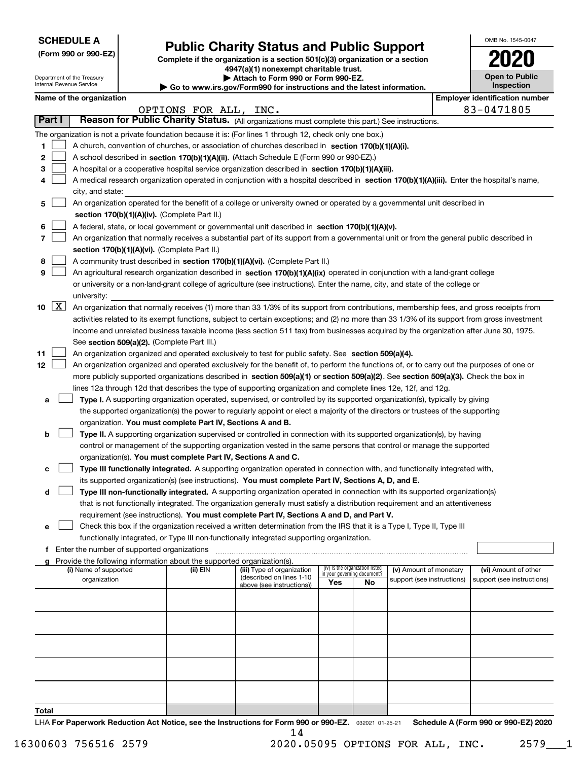| <b>SCHEDULE A</b> |
|-------------------|
|-------------------|

Department of the Treasury Internal Revenue Service

| (Form 990 or 990-EZ) |  |  |  |  |
|----------------------|--|--|--|--|
|----------------------|--|--|--|--|

# **Public Charity Status and Public Support**

**Complete if the organization is a section 501(c)(3) organization or a section 4947(a)(1) nonexempt charitable trust.**

**| Attach to Form 990 or Form 990-EZ.** 

**| Go to www.irs.gov/Form990 for instructions and the latest information.**

| OMB No 1545-0047                    |
|-------------------------------------|
| 2020                                |
| <b>Open to Public</b><br>Inspection |

|  | Name of the organization |  |
|--|--------------------------|--|

|              |                    | Name of the organization                                                                                                                                                                                                                                        |          |                                                        |                             |                                 |                                                      |  | <b>Employer identification number</b>              |
|--------------|--------------------|-----------------------------------------------------------------------------------------------------------------------------------------------------------------------------------------------------------------------------------------------------------------|----------|--------------------------------------------------------|-----------------------------|---------------------------------|------------------------------------------------------|--|----------------------------------------------------|
|              |                    | 83-0471805<br>OPTIONS FOR ALL, INC.<br>Reason for Public Charity Status. (All organizations must complete this part.) See instructions.                                                                                                                         |          |                                                        |                             |                                 |                                                      |  |                                                    |
|              | Part I             |                                                                                                                                                                                                                                                                 |          |                                                        |                             |                                 |                                                      |  |                                                    |
|              |                    | The organization is not a private foundation because it is: (For lines 1 through 12, check only one box.)                                                                                                                                                       |          |                                                        |                             |                                 |                                                      |  |                                                    |
| 1.           |                    | A church, convention of churches, or association of churches described in section 170(b)(1)(A)(i).                                                                                                                                                              |          |                                                        |                             |                                 |                                                      |  |                                                    |
| 2            |                    | A school described in section 170(b)(1)(A)(ii). (Attach Schedule E (Form 990 or 990-EZ).)                                                                                                                                                                       |          |                                                        |                             |                                 |                                                      |  |                                                    |
| 3            |                    | A hospital or a cooperative hospital service organization described in section $170(b)(1)(A)(iii)$ .                                                                                                                                                            |          |                                                        |                             |                                 |                                                      |  |                                                    |
| 4            |                    | A medical research organization operated in conjunction with a hospital described in section 170(b)(1)(A)(iii). Enter the hospital's name,                                                                                                                      |          |                                                        |                             |                                 |                                                      |  |                                                    |
|              |                    | city, and state:                                                                                                                                                                                                                                                |          |                                                        |                             |                                 |                                                      |  |                                                    |
| 5            |                    | An organization operated for the benefit of a college or university owned or operated by a governmental unit described in                                                                                                                                       |          |                                                        |                             |                                 |                                                      |  |                                                    |
|              |                    | section 170(b)(1)(A)(iv). (Complete Part II.)                                                                                                                                                                                                                   |          |                                                        |                             |                                 |                                                      |  |                                                    |
| 6            |                    | A federal, state, or local government or governmental unit described in section 170(b)(1)(A)(v).                                                                                                                                                                |          |                                                        |                             |                                 |                                                      |  |                                                    |
| 7            |                    | An organization that normally receives a substantial part of its support from a governmental unit or from the general public described in                                                                                                                       |          |                                                        |                             |                                 |                                                      |  |                                                    |
|              |                    | section 170(b)(1)(A)(vi). (Complete Part II.)                                                                                                                                                                                                                   |          |                                                        |                             |                                 |                                                      |  |                                                    |
| 8            |                    | A community trust described in section 170(b)(1)(A)(vi). (Complete Part II.)                                                                                                                                                                                    |          |                                                        |                             |                                 |                                                      |  |                                                    |
| 9            |                    |                                                                                                                                                                                                                                                                 |          |                                                        |                             |                                 |                                                      |  |                                                    |
|              |                    | An agricultural research organization described in section 170(b)(1)(A)(ix) operated in conjunction with a land-grant college<br>or university or a non-land-grant college of agriculture (see instructions). Enter the name, city, and state of the college or |          |                                                        |                             |                                 |                                                      |  |                                                    |
|              |                    |                                                                                                                                                                                                                                                                 |          |                                                        |                             |                                 |                                                      |  |                                                    |
|              | $\boxed{\text{X}}$ | university:                                                                                                                                                                                                                                                     |          |                                                        |                             |                                 |                                                      |  |                                                    |
| 10           |                    | An organization that normally receives (1) more than 33 1/3% of its support from contributions, membership fees, and gross receipts from                                                                                                                        |          |                                                        |                             |                                 |                                                      |  |                                                    |
|              |                    | activities related to its exempt functions, subject to certain exceptions; and (2) no more than 33 1/3% of its support from gross investment                                                                                                                    |          |                                                        |                             |                                 |                                                      |  |                                                    |
|              |                    | income and unrelated business taxable income (less section 511 tax) from businesses acquired by the organization after June 30, 1975.                                                                                                                           |          |                                                        |                             |                                 |                                                      |  |                                                    |
|              |                    | See section 509(a)(2). (Complete Part III.)                                                                                                                                                                                                                     |          |                                                        |                             |                                 |                                                      |  |                                                    |
| 11           |                    | An organization organized and operated exclusively to test for public safety. See section 509(a)(4).                                                                                                                                                            |          |                                                        |                             |                                 |                                                      |  |                                                    |
| 12           |                    | An organization organized and operated exclusively for the benefit of, to perform the functions of, or to carry out the purposes of one or                                                                                                                      |          |                                                        |                             |                                 |                                                      |  |                                                    |
|              |                    | more publicly supported organizations described in section 509(a)(1) or section 509(a)(2). See section 509(a)(3). Check the box in                                                                                                                              |          |                                                        |                             |                                 |                                                      |  |                                                    |
|              |                    | lines 12a through 12d that describes the type of supporting organization and complete lines 12e, 12f, and 12g.                                                                                                                                                  |          |                                                        |                             |                                 |                                                      |  |                                                    |
| а            |                    | Type I. A supporting organization operated, supervised, or controlled by its supported organization(s), typically by giving                                                                                                                                     |          |                                                        |                             |                                 |                                                      |  |                                                    |
|              |                    | the supported organization(s) the power to regularly appoint or elect a majority of the directors or trustees of the supporting                                                                                                                                 |          |                                                        |                             |                                 |                                                      |  |                                                    |
|              |                    | organization. You must complete Part IV, Sections A and B.                                                                                                                                                                                                      |          |                                                        |                             |                                 |                                                      |  |                                                    |
| b            |                    | Type II. A supporting organization supervised or controlled in connection with its supported organization(s), by having                                                                                                                                         |          |                                                        |                             |                                 |                                                      |  |                                                    |
|              |                    | control or management of the supporting organization vested in the same persons that control or manage the supported                                                                                                                                            |          |                                                        |                             |                                 |                                                      |  |                                                    |
|              |                    | organization(s). You must complete Part IV, Sections A and C.                                                                                                                                                                                                   |          |                                                        |                             |                                 |                                                      |  |                                                    |
| с            |                    | Type III functionally integrated. A supporting organization operated in connection with, and functionally integrated with,                                                                                                                                      |          |                                                        |                             |                                 |                                                      |  |                                                    |
|              |                    | its supported organization(s) (see instructions). You must complete Part IV, Sections A, D, and E.                                                                                                                                                              |          |                                                        |                             |                                 |                                                      |  |                                                    |
| d            |                    | Type III non-functionally integrated. A supporting organization operated in connection with its supported organization(s)                                                                                                                                       |          |                                                        |                             |                                 |                                                      |  |                                                    |
|              |                    | that is not functionally integrated. The organization generally must satisfy a distribution requirement and an attentiveness                                                                                                                                    |          |                                                        |                             |                                 |                                                      |  |                                                    |
|              |                    | requirement (see instructions). You must complete Part IV, Sections A and D, and Part V.                                                                                                                                                                        |          |                                                        |                             |                                 |                                                      |  |                                                    |
|              |                    | Check this box if the organization received a written determination from the IRS that it is a Type I, Type II, Type III                                                                                                                                         |          |                                                        |                             |                                 |                                                      |  |                                                    |
|              |                    | functionally integrated, or Type III non-functionally integrated supporting organization.                                                                                                                                                                       |          |                                                        |                             |                                 |                                                      |  |                                                    |
|              |                    | f Enter the number of supported organizations                                                                                                                                                                                                                   |          |                                                        |                             |                                 |                                                      |  |                                                    |
|              |                    | g Provide the following information about the supported organization(s).                                                                                                                                                                                        |          |                                                        |                             | (iv) Is the organization listed |                                                      |  |                                                    |
|              |                    | (i) Name of supported<br>organization                                                                                                                                                                                                                           | (ii) EIN | (iii) Type of organization<br>(described on lines 1-10 | in your governing document? |                                 | (v) Amount of monetary<br>support (see instructions) |  | (vi) Amount of other<br>support (see instructions) |
|              |                    |                                                                                                                                                                                                                                                                 |          | above (see instructions))                              | Yes                         | No                              |                                                      |  |                                                    |
|              |                    |                                                                                                                                                                                                                                                                 |          |                                                        |                             |                                 |                                                      |  |                                                    |
|              |                    |                                                                                                                                                                                                                                                                 |          |                                                        |                             |                                 |                                                      |  |                                                    |
|              |                    |                                                                                                                                                                                                                                                                 |          |                                                        |                             |                                 |                                                      |  |                                                    |
|              |                    |                                                                                                                                                                                                                                                                 |          |                                                        |                             |                                 |                                                      |  |                                                    |
|              |                    |                                                                                                                                                                                                                                                                 |          |                                                        |                             |                                 |                                                      |  |                                                    |
|              |                    |                                                                                                                                                                                                                                                                 |          |                                                        |                             |                                 |                                                      |  |                                                    |
|              |                    |                                                                                                                                                                                                                                                                 |          |                                                        |                             |                                 |                                                      |  |                                                    |
|              |                    |                                                                                                                                                                                                                                                                 |          |                                                        |                             |                                 |                                                      |  |                                                    |
|              |                    |                                                                                                                                                                                                                                                                 |          |                                                        |                             |                                 |                                                      |  |                                                    |
|              |                    |                                                                                                                                                                                                                                                                 |          |                                                        |                             |                                 |                                                      |  |                                                    |
| <b>Total</b> |                    |                                                                                                                                                                                                                                                                 |          |                                                        |                             |                                 |                                                      |  |                                                    |

LHA For Paperwork Reduction Act Notice, see the Instructions for Form 990 or 990-EZ. <sub>032021</sub> o1-25-21 Schedule A (Form 990 or 990-EZ) 2020 14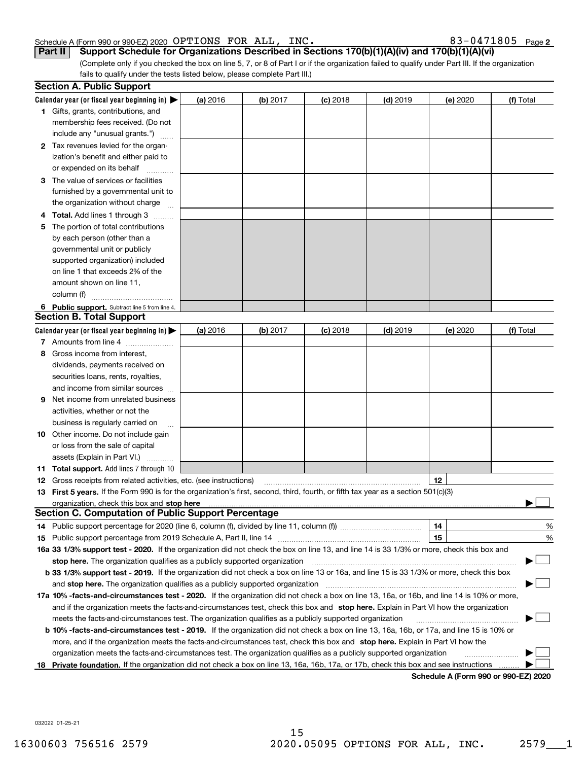#### Schedule A (Form 990 or 990-EZ) 2020  $\rm{OPTIONS}$   $\rm{FOR}$   $\rm{ALL}$  ,  $\rm{INC}$  .  $\rm{C}$  and  $\rm{C}$  and  $\rm{83-0471805}$   $\rm{Page}$

**2**

(Complete only if you checked the box on line 5, 7, or 8 of Part I or if the organization failed to qualify under Part III. If the organization fails to qualify under the tests listed below, please complete Part III.) **Part II Support Schedule for Organizations Described in Sections 170(b)(1)(A)(iv) and 170(b)(1)(A)(vi)**

|    | <b>Section A. Public Support</b>                                                                                                               |          |          |            |            |          |                                      |
|----|------------------------------------------------------------------------------------------------------------------------------------------------|----------|----------|------------|------------|----------|--------------------------------------|
|    | Calendar year (or fiscal year beginning in) $\blacktriangleright$                                                                              | (a) 2016 | (b) 2017 | $(c)$ 2018 | $(d)$ 2019 | (e) 2020 | (f) Total                            |
|    | <b>1</b> Gifts, grants, contributions, and                                                                                                     |          |          |            |            |          |                                      |
|    | membership fees received. (Do not                                                                                                              |          |          |            |            |          |                                      |
|    | include any "unusual grants.")                                                                                                                 |          |          |            |            |          |                                      |
|    | <b>2</b> Tax revenues levied for the organ-                                                                                                    |          |          |            |            |          |                                      |
|    | ization's benefit and either paid to                                                                                                           |          |          |            |            |          |                                      |
|    | or expended on its behalf                                                                                                                      |          |          |            |            |          |                                      |
|    | 3 The value of services or facilities                                                                                                          |          |          |            |            |          |                                      |
|    | furnished by a governmental unit to                                                                                                            |          |          |            |            |          |                                      |
|    | the organization without charge                                                                                                                |          |          |            |            |          |                                      |
|    | 4 Total. Add lines 1 through 3                                                                                                                 |          |          |            |            |          |                                      |
| 5. | The portion of total contributions                                                                                                             |          |          |            |            |          |                                      |
|    | by each person (other than a                                                                                                                   |          |          |            |            |          |                                      |
|    | governmental unit or publicly                                                                                                                  |          |          |            |            |          |                                      |
|    | supported organization) included                                                                                                               |          |          |            |            |          |                                      |
|    | on line 1 that exceeds 2% of the                                                                                                               |          |          |            |            |          |                                      |
|    | amount shown on line 11,                                                                                                                       |          |          |            |            |          |                                      |
|    | column (f)                                                                                                                                     |          |          |            |            |          |                                      |
|    | 6 Public support. Subtract line 5 from line 4.                                                                                                 |          |          |            |            |          |                                      |
|    | <b>Section B. Total Support</b>                                                                                                                |          |          |            |            |          |                                      |
|    | Calendar year (or fiscal year beginning in)                                                                                                    | (a) 2016 | (b) 2017 | $(c)$ 2018 | $(d)$ 2019 | (e) 2020 | (f) Total                            |
|    | 7 Amounts from line 4                                                                                                                          |          |          |            |            |          |                                      |
|    | 8 Gross income from interest,                                                                                                                  |          |          |            |            |          |                                      |
|    | dividends, payments received on                                                                                                                |          |          |            |            |          |                                      |
|    | securities loans, rents, royalties,                                                                                                            |          |          |            |            |          |                                      |
|    | and income from similar sources                                                                                                                |          |          |            |            |          |                                      |
| 9. | Net income from unrelated business                                                                                                             |          |          |            |            |          |                                      |
|    | activities, whether or not the                                                                                                                 |          |          |            |            |          |                                      |
|    | business is regularly carried on                                                                                                               |          |          |            |            |          |                                      |
|    | <b>10</b> Other income. Do not include gain                                                                                                    |          |          |            |            |          |                                      |
|    | or loss from the sale of capital                                                                                                               |          |          |            |            |          |                                      |
|    | assets (Explain in Part VI.)                                                                                                                   |          |          |            |            |          |                                      |
|    | <b>11 Total support.</b> Add lines 7 through 10                                                                                                |          |          |            |            |          |                                      |
|    | <b>12</b> Gross receipts from related activities, etc. (see instructions)                                                                      |          |          |            |            | 12       |                                      |
|    | 13 First 5 years. If the Form 990 is for the organization's first, second, third, fourth, or fifth tax year as a section 501(c)(3)             |          |          |            |            |          |                                      |
|    | organization, check this box and <b>stop here</b> www.communication.communication.communication.communication.communic                         |          |          |            |            |          |                                      |
|    | <b>Section C. Computation of Public Support Percentage</b>                                                                                     |          |          |            |            |          |                                      |
|    |                                                                                                                                                |          |          |            |            | 14       | %                                    |
|    |                                                                                                                                                |          |          |            |            | 15       | $\%$                                 |
|    | 16a 33 1/3% support test - 2020. If the organization did not check the box on line 13, and line 14 is 33 1/3% or more, check this box and      |          |          |            |            |          |                                      |
|    | stop here. The organization qualifies as a publicly supported organization                                                                     |          |          |            |            |          |                                      |
|    | b 33 1/3% support test - 2019. If the organization did not check a box on line 13 or 16a, and line 15 is 33 1/3% or more, check this box       |          |          |            |            |          |                                      |
|    | and stop here. The organization qualifies as a publicly supported organization                                                                 |          |          |            |            |          |                                      |
|    | 17a 10% -facts-and-circumstances test - 2020. If the organization did not check a box on line 13, 16a, or 16b, and line 14 is 10% or more,     |          |          |            |            |          |                                      |
|    | and if the organization meets the facts-and-circumstances test, check this box and stop here. Explain in Part VI how the organization          |          |          |            |            |          |                                      |
|    | meets the facts-and-circumstances test. The organization qualifies as a publicly supported organization                                        |          |          |            |            |          |                                      |
|    | <b>b 10% -facts-and-circumstances test - 2019.</b> If the organization did not check a box on line 13, 16a, 16b, or 17a, and line 15 is 10% or |          |          |            |            |          |                                      |
|    | more, and if the organization meets the facts-and-circumstances test, check this box and stop here. Explain in Part VI how the                 |          |          |            |            |          |                                      |
|    | organization meets the facts-and-circumstances test. The organization qualifies as a publicly supported organization                           |          |          |            |            |          |                                      |
|    | 18 Private foundation. If the organization did not check a box on line 13, 16a, 16b, 17a, or 17b, check this box and see instructions          |          |          |            |            |          |                                      |
|    |                                                                                                                                                |          |          |            |            |          | Schedule A (Form 990 or 990-F7) 2020 |

**Schedule A (Form 990 or 990-EZ) 2020**

032022 01-25-21

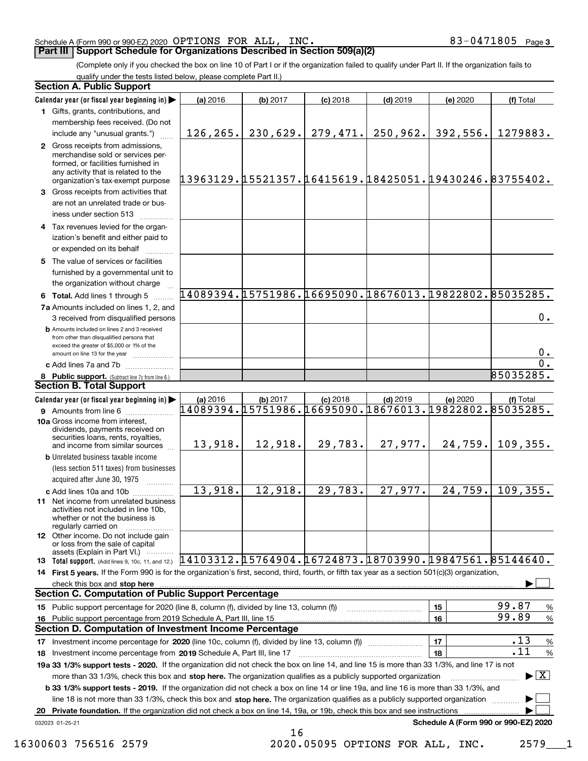### Schedule A (Form 990 or 990-EZ) 2020  $\rm{OPTIONS}$   $\rm{FOR}$   $\rm{ALL}$  ,  $\rm{INC}$  .  $\rm{C}$  and  $\rm{C}$  and  $\rm{83-0471805}$   $\rm{Page}$

# **Part III Support Schedule for Organizations Described in Section 509(a)(2)**

(Complete only if you checked the box on line 10 of Part I or if the organization failed to qualify under Part II. If the organization fails to qualify under the tests listed below, please complete Part II.)

|    | <b>Section A. Public Support</b>                                                                                                                                                                                        |                                                        |                |            |            |          |                                                        |
|----|-------------------------------------------------------------------------------------------------------------------------------------------------------------------------------------------------------------------------|--------------------------------------------------------|----------------|------------|------------|----------|--------------------------------------------------------|
|    | Calendar year (or fiscal year beginning in)                                                                                                                                                                             | (a) 2016                                               | (b) 2017       | $(c)$ 2018 | $(d)$ 2019 | (e) 2020 | (f) Total                                              |
|    | 1 Gifts, grants, contributions, and                                                                                                                                                                                     |                                                        |                |            |            |          |                                                        |
|    | membership fees received. (Do not                                                                                                                                                                                       |                                                        |                |            |            |          |                                                        |
|    | include any "unusual grants.")                                                                                                                                                                                          | 126, 265.                                              | 230,629.       | 279,471.   | 250,962.   | 392,556. | 1279883.                                               |
|    | 2 Gross receipts from admissions,<br>merchandise sold or services per-<br>formed, or facilities furnished in<br>any activity that is related to the<br>organization's tax-exempt purpose                                | 13963129.15521357.16415619.18425051.19430246.83755402. |                |            |            |          |                                                        |
|    | 3 Gross receipts from activities that<br>are not an unrelated trade or bus-                                                                                                                                             |                                                        |                |            |            |          |                                                        |
|    | iness under section 513                                                                                                                                                                                                 |                                                        |                |            |            |          |                                                        |
|    | 4 Tax revenues levied for the organ-<br>ization's benefit and either paid to<br>or expended on its behalf                                                                                                               |                                                        |                |            |            |          |                                                        |
|    | 5 The value of services or facilities<br>furnished by a governmental unit to                                                                                                                                            |                                                        |                |            |            |          |                                                        |
|    | the organization without charge                                                                                                                                                                                         | 14089394.15751986.16695090.18676013.19822802.85035285. |                |            |            |          |                                                        |
|    | 6 Total. Add lines 1 through 5                                                                                                                                                                                          |                                                        |                |            |            |          |                                                        |
|    | 7a Amounts included on lines 1, 2, and<br>3 received from disqualified persons                                                                                                                                          |                                                        |                |            |            |          | $0$ .                                                  |
|    | <b>b</b> Amounts included on lines 2 and 3 received<br>from other than disqualified persons that<br>exceed the greater of \$5,000 or 1% of the                                                                          |                                                        |                |            |            |          | 0.                                                     |
|    | amount on line 13 for the year                                                                                                                                                                                          |                                                        |                |            |            |          | 0.                                                     |
|    | c Add lines 7a and 7b                                                                                                                                                                                                   |                                                        |                |            |            |          | 85035285.                                              |
|    | 8 Public support. (Subtract line 7c from line 6.)<br><b>Section B. Total Support</b>                                                                                                                                    |                                                        |                |            |            |          |                                                        |
|    | Calendar year (or fiscal year beginning in)                                                                                                                                                                             | (a) 2016                                               | (b) 2017       | $(c)$ 2018 | $(d)$ 2019 | (e) 2020 | (f) Total                                              |
|    | 9 Amounts from line 6                                                                                                                                                                                                   | 14089394.15751986.16695090.18676013.19822802.85035285. |                |            |            |          |                                                        |
|    | 10a Gross income from interest,<br>dividends, payments received on<br>securities loans, rents, royalties,                                                                                                               | 13,918.                                                | 12,918.        | 29,783.    | 27,977.    | 24,759.  | 109, 355.                                              |
|    | and income from similar sources<br><b>b</b> Unrelated business taxable income                                                                                                                                           |                                                        |                |            |            |          |                                                        |
|    | (less section 511 taxes) from businesses<br>acquired after June 30, 1975                                                                                                                                                |                                                        |                |            |            |          |                                                        |
|    | c Add lines 10a and 10b                                                                                                                                                                                                 | 13,918.                                                | 12,918.        | 29,783.    | 27,977.    | 24, 759. | 109, 355.                                              |
|    | 11 Net income from unrelated business<br>activities not included in line 10b,<br>whether or not the business is<br>regularly carried on                                                                                 |                                                        |                |            |            |          |                                                        |
|    | <b>12</b> Other income. Do not include gain<br>or loss from the sale of capital<br>assets (Explain in Part VI.)                                                                                                         |                                                        |                |            |            |          |                                                        |
|    | 13 Total support. (Add lines 9, 10c, 11, and 12.) $14103312.15764904.16724873.18703990.19847561.85144640.$                                                                                                              |                                                        |                |            |            |          |                                                        |
|    | 14 First 5 years. If the Form 990 is for the organization's first, second, third, fourth, or fifth tax year as a section 501(c)(3) organization,                                                                        |                                                        |                |            |            |          |                                                        |
|    | check this box and stop here                                                                                                                                                                                            |                                                        |                |            |            |          |                                                        |
|    | <b>Section C. Computation of Public Support Percentage</b>                                                                                                                                                              |                                                        |                |            |            |          |                                                        |
|    | 15 Public support percentage for 2020 (line 8, column (f), divided by line 13, column (f))                                                                                                                              |                                                        |                |            |            | 15       | 99.87<br>%                                             |
|    | 16 Public support percentage from 2019 Schedule A, Part III, line 15<br><b>Section D. Computation of Investment Income Percentage</b>                                                                                   |                                                        |                |            |            | 16       | 99.89<br>$\%$                                          |
|    |                                                                                                                                                                                                                         |                                                        |                |            |            |          | .13                                                    |
|    | 17 Investment income percentage for 2020 (line 10c, column (f), divided by line 13, column (f))                                                                                                                         |                                                        |                |            |            | 17<br>18 | %<br>.11<br>%                                          |
|    | 18 Investment income percentage from 2019 Schedule A, Part III, line 17<br>19a 33 1/3% support tests - 2020. If the organization did not check the box on line 14, and line 15 is more than 33 1/3%, and line 17 is not |                                                        |                |            |            |          |                                                        |
|    | more than 33 1/3%, check this box and stop here. The organization qualifies as a publicly supported organization                                                                                                        |                                                        |                |            |            |          | $\blacktriangleright$ $\lfloor$ $\mathbf{X}$ $\rfloor$ |
|    | <b>b 33 1/3% support tests - 2019.</b> If the organization did not check a box on line 14 or line 19a, and line 16 is more than 33 1/3%, and                                                                            |                                                        |                |            |            |          |                                                        |
|    | line 18 is not more than 33 1/3%, check this box and stop here. The organization qualifies as a publicly supported organization                                                                                         |                                                        |                |            |            |          |                                                        |
| 20 | <b>Private foundation.</b> If the organization did not check a box on line 14, 19a, or 19b, check this box and see instructions                                                                                         |                                                        |                |            |            |          |                                                        |
|    | 032023 01-25-21                                                                                                                                                                                                         |                                                        |                |            |            |          | Schedule A (Form 990 or 990-EZ) 2020                   |
|    |                                                                                                                                                                                                                         |                                                        | 1 <sub>c</sub> |            |            |          |                                                        |

16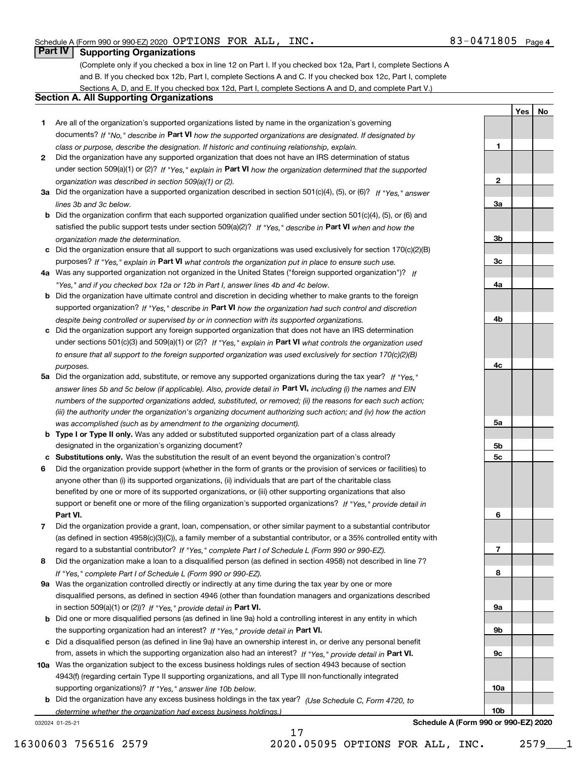**1**

**2**

**3a**

**3b**

**3c**

**4a**

**4b**

**YesNo**

# **Part IV Supporting Organizations**

(Complete only if you checked a box in line 12 on Part I. If you checked box 12a, Part I, complete Sections A and B. If you checked box 12b, Part I, complete Sections A and C. If you checked box 12c, Part I, complete Sections A, D, and E. If you checked box 12d, Part I, complete Sections A and D, and complete Part V.)

## **Section A. All Supporting Organizations**

- **1** Are all of the organization's supported organizations listed by name in the organization's governing documents? If "No," describe in **Part VI** how the supported organizations are designated. If designated by *class or purpose, describe the designation. If historic and continuing relationship, explain.*
- **2** Did the organization have any supported organization that does not have an IRS determination of status under section 509(a)(1) or (2)? If "Yes," explain in Part VI how the organization determined that the supported *organization was described in section 509(a)(1) or (2).*
- **3a** Did the organization have a supported organization described in section 501(c)(4), (5), or (6)? If "Yes," answer *lines 3b and 3c below.*
- **b** Did the organization confirm that each supported organization qualified under section 501(c)(4), (5), or (6) and satisfied the public support tests under section 509(a)(2)? If "Yes," describe in **Part VI** when and how the *organization made the determination.*
- **c**Did the organization ensure that all support to such organizations was used exclusively for section 170(c)(2)(B) purposes? If "Yes," explain in **Part VI** what controls the organization put in place to ensure such use.
- **4a***If* Was any supported organization not organized in the United States ("foreign supported organization")? *"Yes," and if you checked box 12a or 12b in Part I, answer lines 4b and 4c below.*
- **b** Did the organization have ultimate control and discretion in deciding whether to make grants to the foreign supported organization? If "Yes," describe in **Part VI** how the organization had such control and discretion *despite being controlled or supervised by or in connection with its supported organizations.*
- **c** Did the organization support any foreign supported organization that does not have an IRS determination under sections 501(c)(3) and 509(a)(1) or (2)? If "Yes," explain in **Part VI** what controls the organization used *to ensure that all support to the foreign supported organization was used exclusively for section 170(c)(2)(B) purposes.*
- **5a** Did the organization add, substitute, or remove any supported organizations during the tax year? If "Yes," answer lines 5b and 5c below (if applicable). Also, provide detail in **Part VI,** including (i) the names and EIN *numbers of the supported organizations added, substituted, or removed; (ii) the reasons for each such action; (iii) the authority under the organization's organizing document authorizing such action; and (iv) how the action was accomplished (such as by amendment to the organizing document).*
- **b** Type I or Type II only. Was any added or substituted supported organization part of a class already designated in the organization's organizing document?
- **cSubstitutions only.**  Was the substitution the result of an event beyond the organization's control?
- **6** Did the organization provide support (whether in the form of grants or the provision of services or facilities) to **Part VI.** *If "Yes," provide detail in* support or benefit one or more of the filing organization's supported organizations? anyone other than (i) its supported organizations, (ii) individuals that are part of the charitable class benefited by one or more of its supported organizations, or (iii) other supporting organizations that also
- **7**Did the organization provide a grant, loan, compensation, or other similar payment to a substantial contributor *If "Yes," complete Part I of Schedule L (Form 990 or 990-EZ).* regard to a substantial contributor? (as defined in section 4958(c)(3)(C)), a family member of a substantial contributor, or a 35% controlled entity with
- **8** Did the organization make a loan to a disqualified person (as defined in section 4958) not described in line 7? *If "Yes," complete Part I of Schedule L (Form 990 or 990-EZ).*
- **9a** Was the organization controlled directly or indirectly at any time during the tax year by one or more in section 509(a)(1) or (2))? If "Yes," *provide detail in* <code>Part VI.</code> disqualified persons, as defined in section 4946 (other than foundation managers and organizations described
- **b** Did one or more disqualified persons (as defined in line 9a) hold a controlling interest in any entity in which the supporting organization had an interest? If "Yes," provide detail in P**art VI**.
- **c**Did a disqualified person (as defined in line 9a) have an ownership interest in, or derive any personal benefit from, assets in which the supporting organization also had an interest? If "Yes," provide detail in P**art VI.**
- **10a** Was the organization subject to the excess business holdings rules of section 4943 because of section supporting organizations)? If "Yes," answer line 10b below. 4943(f) (regarding certain Type II supporting organizations, and all Type III non-functionally integrated
- **b** Did the organization have any excess business holdings in the tax year? (Use Schedule C, Form 4720, to *determine whether the organization had excess business holdings.)*

17

032024 01-25-21

**4c5a 5b5c6789a 9b9c10a10b**

**Schedule A (Form 990 or 990-EZ) 2020**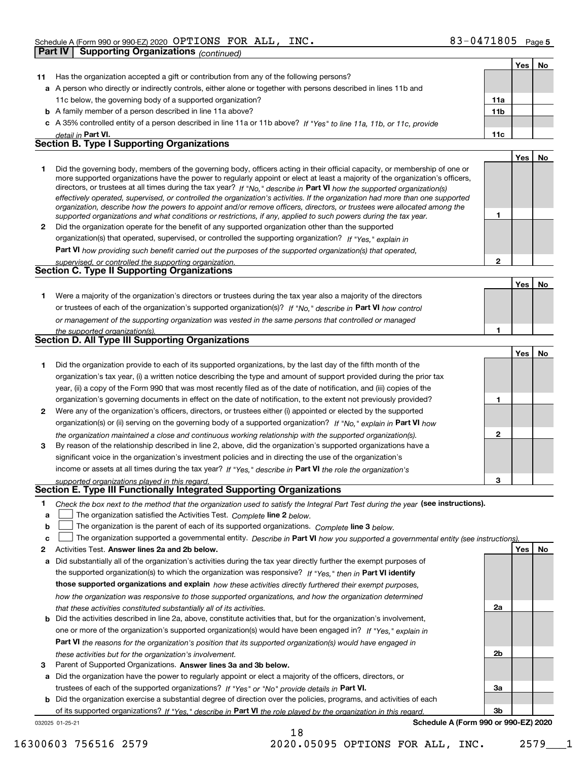|              | <b>Supporting Organizations (continued)</b><br>Part IV                                                                                                                                                                                                     |                 |     |    |
|--------------|------------------------------------------------------------------------------------------------------------------------------------------------------------------------------------------------------------------------------------------------------------|-----------------|-----|----|
|              |                                                                                                                                                                                                                                                            |                 | Yes | No |
| 11           | Has the organization accepted a gift or contribution from any of the following persons?                                                                                                                                                                    |                 |     |    |
|              | a A person who directly or indirectly controls, either alone or together with persons described in lines 11b and                                                                                                                                           |                 |     |    |
|              | 11c below, the governing body of a supported organization?                                                                                                                                                                                                 | 11a             |     |    |
|              | <b>b</b> A family member of a person described in line 11a above?                                                                                                                                                                                          | 11 <sub>b</sub> |     |    |
|              | c A 35% controlled entity of a person described in line 11a or 11b above? If "Yes" to line 11a, 11b, or 11c, provide                                                                                                                                       |                 |     |    |
|              | detail in Part VI.                                                                                                                                                                                                                                         | 11c             |     |    |
|              | <b>Section B. Type I Supporting Organizations</b>                                                                                                                                                                                                          |                 |     |    |
|              |                                                                                                                                                                                                                                                            |                 | Yes | No |
| 1.           | Did the governing body, members of the governing body, officers acting in their official capacity, or membership of one or                                                                                                                                 |                 |     |    |
|              | more supported organizations have the power to regularly appoint or elect at least a majority of the organization's officers,                                                                                                                              |                 |     |    |
|              | directors, or trustees at all times during the tax year? If "No," describe in Part VI how the supported organization(s)                                                                                                                                    |                 |     |    |
|              | effectively operated, supervised, or controlled the organization's activities. If the organization had more than one supported<br>organization, describe how the powers to appoint and/or remove officers, directors, or trustees were allocated among the |                 |     |    |
|              | supported organizations and what conditions or restrictions, if any, applied to such powers during the tax year.                                                                                                                                           | 1               |     |    |
| $\mathbf{2}$ | Did the organization operate for the benefit of any supported organization other than the supported                                                                                                                                                        |                 |     |    |
|              | organization(s) that operated, supervised, or controlled the supporting organization? If "Yes," explain in                                                                                                                                                 |                 |     |    |
|              | <b>Part VI</b> how providing such benefit carried out the purposes of the supported organization(s) that operated,                                                                                                                                         |                 |     |    |
|              | supervised, or controlled the supporting organization.                                                                                                                                                                                                     | $\mathbf{2}$    |     |    |
|              | Section C. Type II Supporting Organizations                                                                                                                                                                                                                |                 |     |    |
|              |                                                                                                                                                                                                                                                            |                 | Yes | No |
| 1.           | Were a majority of the organization's directors or trustees during the tax year also a majority of the directors                                                                                                                                           |                 |     |    |
|              | or trustees of each of the organization's supported organization(s)? If "No," describe in Part VI how control                                                                                                                                              |                 |     |    |
|              | or management of the supporting organization was vested in the same persons that controlled or managed                                                                                                                                                     |                 |     |    |
|              | the supported organization(s).                                                                                                                                                                                                                             | 1               |     |    |
|              | Section D. All Type III Supporting Organizations                                                                                                                                                                                                           |                 |     |    |
|              |                                                                                                                                                                                                                                                            |                 | Yes | No |
| 1.           | Did the organization provide to each of its supported organizations, by the last day of the fifth month of the                                                                                                                                             |                 |     |    |
|              | organization's tax year, (i) a written notice describing the type and amount of support provided during the prior tax                                                                                                                                      |                 |     |    |
|              | year, (ii) a copy of the Form 990 that was most recently filed as of the date of notification, and (iii) copies of the                                                                                                                                     |                 |     |    |
|              | organization's governing documents in effect on the date of notification, to the extent not previously provided?                                                                                                                                           | 1               |     |    |
| 2            | Were any of the organization's officers, directors, or trustees either (i) appointed or elected by the supported                                                                                                                                           |                 |     |    |
|              | organization(s) or (ii) serving on the governing body of a supported organization? If "No," explain in Part VI how                                                                                                                                         |                 |     |    |
|              | the organization maintained a close and continuous working relationship with the supported organization(s).                                                                                                                                                | $\mathbf{2}$    |     |    |
| 3            | By reason of the relationship described in line 2, above, did the organization's supported organizations have a                                                                                                                                            |                 |     |    |
|              | significant voice in the organization's investment policies and in directing the use of the organization's                                                                                                                                                 |                 |     |    |
|              | income or assets at all times during the tax year? If "Yes," describe in Part VI the role the organization's                                                                                                                                               |                 |     |    |
|              | supported organizations played in this regard.<br>Section E. Type III Functionally Integrated Supporting Organizations                                                                                                                                     | з               |     |    |
|              |                                                                                                                                                                                                                                                            |                 |     |    |
| 1<br>a       | Check the box next to the method that the organization used to satisfy the Integral Part Test during the year (see instructions).<br>The organization satisfied the Activities Test. Complete line 2 below.                                                |                 |     |    |
| b            | The organization is the parent of each of its supported organizations. Complete line 3 below.                                                                                                                                                              |                 |     |    |
| c            | The organization supported a governmental entity. Describe in Part VI how you supported a governmental entity (see instructions).                                                                                                                          |                 |     |    |
| 2            | Activities Test. Answer lines 2a and 2b below.                                                                                                                                                                                                             |                 | Yes | No |
| a            | Did substantially all of the organization's activities during the tax year directly further the exempt purposes of                                                                                                                                         |                 |     |    |
|              | the supported organization(s) to which the organization was responsive? If "Yes," then in Part VI identify                                                                                                                                                 |                 |     |    |
|              | those supported organizations and explain how these activities directly furthered their exempt purposes,                                                                                                                                                   |                 |     |    |
|              | how the organization was responsive to those supported organizations, and how the organization determined                                                                                                                                                  |                 |     |    |
|              | that these activities constituted substantially all of its activities.                                                                                                                                                                                     | 2a              |     |    |
|              | <b>b</b> Did the activities described in line 2a, above, constitute activities that, but for the organization's involvement,                                                                                                                               |                 |     |    |
|              | one or more of the organization's supported organization(s) would have been engaged in? If "Yes," explain in                                                                                                                                               |                 |     |    |
|              | Part VI the reasons for the organization's position that its supported organization(s) would have engaged in                                                                                                                                               |                 |     |    |
|              | these activities but for the organization's involvement.                                                                                                                                                                                                   | 2b              |     |    |

**3** Parent of Supported Organizations. Answer lines 3a and 3b below.

**a** Did the organization have the power to regularly appoint or elect a majority of the officers, directors, or trustees of each of the supported organizations? If "Yes" or "No" provide details in **Part VI.** 

032025 01-25-21 **b** Did the organization exercise a substantial degree of direction over the policies, programs, and activities of each of its supported organizations? If "Yes," describe in Part VI the role played by the organization in this regard.

**Schedule A (Form 990 or 990-EZ) 2020**

**3a**

**3b**

18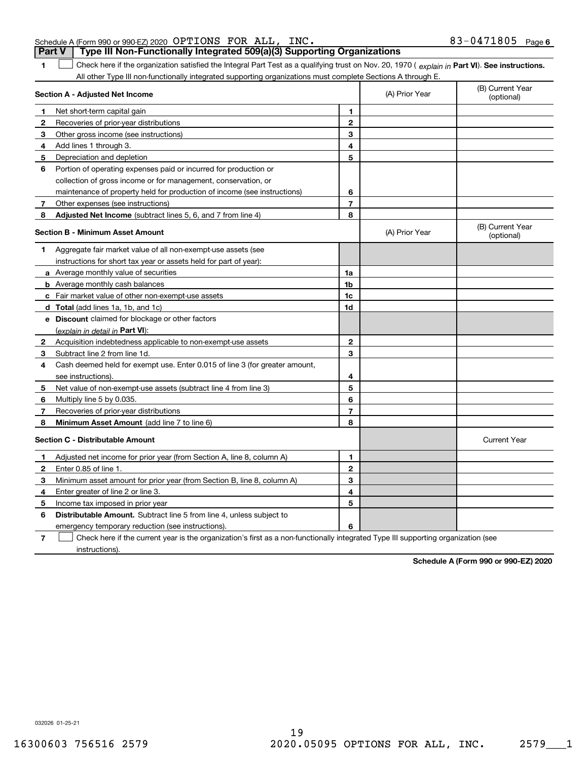| Schedule A (Form 990 or 990-EZ) 2020 OPTIONS FOR ALL, INC. |  |                                                                                       | $83 - 0471805$ Page 6 |  |
|------------------------------------------------------------|--|---------------------------------------------------------------------------------------|-----------------------|--|
|                                                            |  | <b>Part V</b> Type III Non-Functionally Integrated 509(a)(3) Supporting Organizations |                       |  |

1 Check here if the organization satisfied the Integral Part Test as a qualifying trust on Nov. 20, 1970 (explain in Part VI). See instructions. All other Type III non-functionally integrated supporting organizations must complete Sections A through E.

|              | Section A - Adjusted Net Income                                                                                                   |                | (A) Prior Year | (B) Current Year<br>(optional) |
|--------------|-----------------------------------------------------------------------------------------------------------------------------------|----------------|----------------|--------------------------------|
| 1.           | Net short-term capital gain                                                                                                       | 1              |                |                                |
| $\mathbf{2}$ | Recoveries of prior-year distributions                                                                                            | $\mathbf{2}$   |                |                                |
| 3            | Other gross income (see instructions)                                                                                             | 3              |                |                                |
| 4            | Add lines 1 through 3.                                                                                                            | 4              |                |                                |
| 5            | Depreciation and depletion                                                                                                        | 5              |                |                                |
| 6            | Portion of operating expenses paid or incurred for production or                                                                  |                |                |                                |
|              | collection of gross income or for management, conservation, or                                                                    |                |                |                                |
|              | maintenance of property held for production of income (see instructions)                                                          | 6              |                |                                |
| 7            | Other expenses (see instructions)                                                                                                 | $\overline{7}$ |                |                                |
| 8            | Adjusted Net Income (subtract lines 5, 6, and 7 from line 4)                                                                      | 8              |                |                                |
|              | <b>Section B - Minimum Asset Amount</b>                                                                                           |                | (A) Prior Year | (B) Current Year<br>(optional) |
| 1            | Aggregate fair market value of all non-exempt-use assets (see                                                                     |                |                |                                |
|              | instructions for short tax year or assets held for part of year):                                                                 |                |                |                                |
|              | <b>a</b> Average monthly value of securities                                                                                      | 1a             |                |                                |
|              | <b>b</b> Average monthly cash balances                                                                                            | 1b             |                |                                |
|              | c Fair market value of other non-exempt-use assets                                                                                | 1c             |                |                                |
|              | d Total (add lines 1a, 1b, and 1c)                                                                                                | 1d             |                |                                |
|              | e Discount claimed for blockage or other factors                                                                                  |                |                |                                |
|              | (explain in detail in Part VI):                                                                                                   |                |                |                                |
| $\mathbf{2}$ | Acquisition indebtedness applicable to non-exempt-use assets                                                                      | $\mathbf{2}$   |                |                                |
| 3            | Subtract line 2 from line 1d.                                                                                                     | 3              |                |                                |
| 4            | Cash deemed held for exempt use. Enter 0.015 of line 3 (for greater amount,                                                       |                |                |                                |
|              | see instructions)                                                                                                                 | 4              |                |                                |
| 5            | Net value of non-exempt-use assets (subtract line 4 from line 3)                                                                  | 5              |                |                                |
| 6            | Multiply line 5 by 0.035.                                                                                                         | 6              |                |                                |
| 7            | Recoveries of prior-year distributions                                                                                            | $\overline{7}$ |                |                                |
| 8            | Minimum Asset Amount (add line 7 to line 6)                                                                                       | 8              |                |                                |
|              | <b>Section C - Distributable Amount</b>                                                                                           |                |                | <b>Current Year</b>            |
| 1            | Adjusted net income for prior year (from Section A, line 8, column A)                                                             | 1              |                |                                |
| 2            | Enter 0.85 of line 1.                                                                                                             | $\overline{2}$ |                |                                |
| 3            | Minimum asset amount for prior year (from Section B, line 8, column A)                                                            | 3              |                |                                |
| 4            | Enter greater of line 2 or line 3.                                                                                                | 4              |                |                                |
| 5            | Income tax imposed in prior year                                                                                                  | 5              |                |                                |
| 6            | <b>Distributable Amount.</b> Subtract line 5 from line 4, unless subject to                                                       |                |                |                                |
|              | emergency temporary reduction (see instructions).                                                                                 | 6              |                |                                |
| 7            | Check here if the current year is the organization's first as a non-functionally integrated Type III supporting organization (see |                |                |                                |

instructions).

**1**

**Schedule A (Form 990 or 990-EZ) 2020**

032026 01-25-21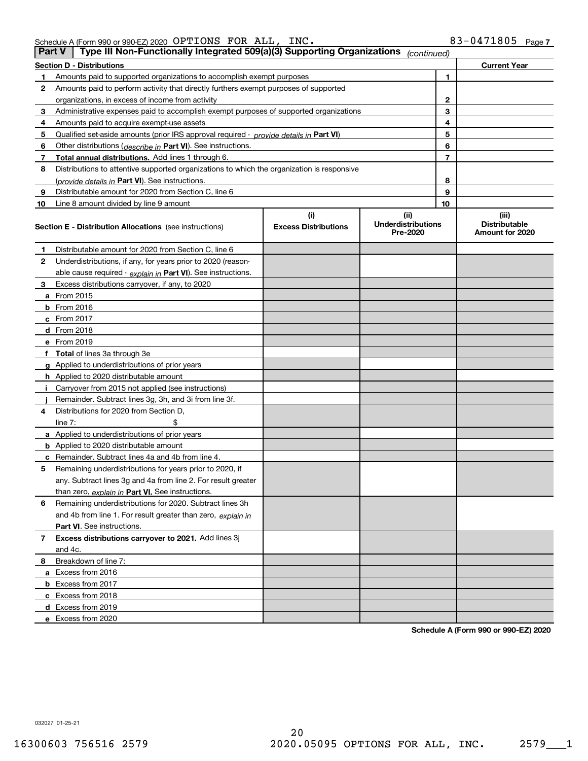| Schedule A (Form 990 or 990-EZ) 2020 $\rm \, OPTIONS \, \, FOR \, \, ALL$ , |  | INC. | 83-0471805<br>Page, |
|-----------------------------------------------------------------------------|--|------|---------------------|
|                                                                             |  |      |                     |

| <b>Part V</b> | Type III Non-Functionally Integrated 509(a)(3) Supporting Organizations                    |                             | (continued)                           |    |                                         |  |  |  |
|---------------|--------------------------------------------------------------------------------------------|-----------------------------|---------------------------------------|----|-----------------------------------------|--|--|--|
|               | <b>Section D - Distributions</b>                                                           |                             |                                       |    | <b>Current Year</b>                     |  |  |  |
| 1             | 1<br>Amounts paid to supported organizations to accomplish exempt purposes                 |                             |                                       |    |                                         |  |  |  |
| 2             | Amounts paid to perform activity that directly furthers exempt purposes of supported       |                             |                                       |    |                                         |  |  |  |
|               | organizations, in excess of income from activity                                           |                             |                                       |    |                                         |  |  |  |
| 3             | Administrative expenses paid to accomplish exempt purposes of supported organizations      |                             |                                       | 3  |                                         |  |  |  |
| 4             | Amounts paid to acquire exempt-use assets                                                  |                             |                                       | 4  |                                         |  |  |  |
| 5             | Qualified set-aside amounts (prior IRS approval required - provide details in Part VI)     |                             |                                       | 5  |                                         |  |  |  |
| 6             | Other distributions (describe in Part VI). See instructions.                               |                             |                                       | 6  |                                         |  |  |  |
| 7             | Total annual distributions. Add lines 1 through 6.                                         |                             |                                       | 7  |                                         |  |  |  |
| 8             | Distributions to attentive supported organizations to which the organization is responsive |                             |                                       |    |                                         |  |  |  |
|               | (provide details in Part VI). See instructions.                                            |                             |                                       | 8  |                                         |  |  |  |
| 9             | Distributable amount for 2020 from Section C, line 6                                       |                             |                                       | 9  |                                         |  |  |  |
| 10            | Line 8 amount divided by line 9 amount                                                     |                             |                                       | 10 |                                         |  |  |  |
|               |                                                                                            | (i)                         | (ii)                                  |    | (iii)                                   |  |  |  |
|               | <b>Section E - Distribution Allocations</b> (see instructions)                             | <b>Excess Distributions</b> | <b>Underdistributions</b><br>Pre-2020 |    | <b>Distributable</b><br>Amount for 2020 |  |  |  |
| 1             | Distributable amount for 2020 from Section C, line 6                                       |                             |                                       |    |                                         |  |  |  |
| 2             | Underdistributions, if any, for years prior to 2020 (reason-                               |                             |                                       |    |                                         |  |  |  |
|               | able cause required - explain in Part VI). See instructions.                               |                             |                                       |    |                                         |  |  |  |
| 3             | Excess distributions carryover, if any, to 2020                                            |                             |                                       |    |                                         |  |  |  |
|               | <b>a</b> From 2015                                                                         |                             |                                       |    |                                         |  |  |  |
|               | <b>b</b> From 2016                                                                         |                             |                                       |    |                                         |  |  |  |
|               | c From 2017                                                                                |                             |                                       |    |                                         |  |  |  |
|               | <b>d</b> From 2018                                                                         |                             |                                       |    |                                         |  |  |  |
|               | e From 2019                                                                                |                             |                                       |    |                                         |  |  |  |
|               | f Total of lines 3a through 3e                                                             |                             |                                       |    |                                         |  |  |  |
|               | g Applied to underdistributions of prior years                                             |                             |                                       |    |                                         |  |  |  |
|               | <b>h</b> Applied to 2020 distributable amount                                              |                             |                                       |    |                                         |  |  |  |
|               | Carryover from 2015 not applied (see instructions)                                         |                             |                                       |    |                                         |  |  |  |
|               | Remainder. Subtract lines 3g, 3h, and 3i from line 3f.                                     |                             |                                       |    |                                         |  |  |  |
| 4             | Distributions for 2020 from Section D,                                                     |                             |                                       |    |                                         |  |  |  |
|               | line $7:$                                                                                  |                             |                                       |    |                                         |  |  |  |
|               | a Applied to underdistributions of prior years                                             |                             |                                       |    |                                         |  |  |  |
|               | <b>b</b> Applied to 2020 distributable amount                                              |                             |                                       |    |                                         |  |  |  |
|               | c Remainder. Subtract lines 4a and 4b from line 4.                                         |                             |                                       |    |                                         |  |  |  |
| 5             | Remaining underdistributions for years prior to 2020, if                                   |                             |                                       |    |                                         |  |  |  |
|               | any. Subtract lines 3g and 4a from line 2. For result greater                              |                             |                                       |    |                                         |  |  |  |
|               | than zero, explain in Part VI. See instructions.                                           |                             |                                       |    |                                         |  |  |  |
| 6             | Remaining underdistributions for 2020. Subtract lines 3h                                   |                             |                                       |    |                                         |  |  |  |
|               | and 4b from line 1. For result greater than zero, explain in                               |                             |                                       |    |                                         |  |  |  |
|               | Part VI. See instructions.                                                                 |                             |                                       |    |                                         |  |  |  |
| 7             | Excess distributions carryover to 2021. Add lines 3j                                       |                             |                                       |    |                                         |  |  |  |
|               | and 4c.                                                                                    |                             |                                       |    |                                         |  |  |  |
| 8             | Breakdown of line 7:                                                                       |                             |                                       |    |                                         |  |  |  |
|               | a Excess from 2016                                                                         |                             |                                       |    |                                         |  |  |  |
|               | <b>b</b> Excess from 2017                                                                  |                             |                                       |    |                                         |  |  |  |
|               | c Excess from 2018                                                                         |                             |                                       |    |                                         |  |  |  |
|               | d Excess from 2019                                                                         |                             |                                       |    |                                         |  |  |  |
|               | e Excess from 2020                                                                         |                             |                                       |    |                                         |  |  |  |

**Schedule A (Form 990 or 990-EZ) 2020**

032027 01-25-21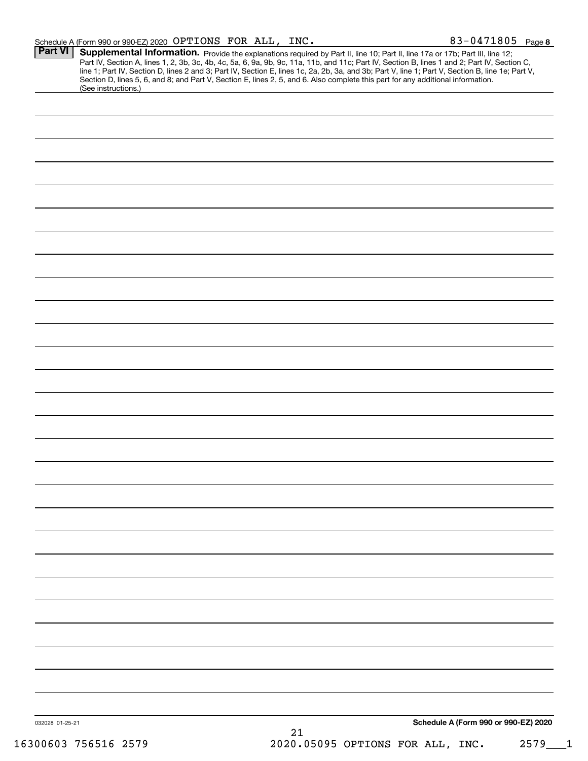| Schedule A (Form 990 or 990-EZ) 2020 $\rm \,OPTIONS \,$ $\rm \,FOR \,$ $\rm \,ALL$ , |  | INC. | 83-0471805<br>Page 8 |  |
|--------------------------------------------------------------------------------------|--|------|----------------------|--|
|                                                                                      |  |      |                      |  |

| Part VI         | Supplemental Information. Provide the explanations required by Part II, line 10; Part II, line 17a or 17b; Part III, line 12;<br>Part IV, Section A, lines 1, 2, 3b, 3c, 4b, 4c, 5a, 6, 9a, 9b, 9c, 11a, 11b, and 11c; Part IV, Section B, lines 1 and 2; Part IV, Section C,<br>line 1; Part IV, Section D, lines 2 and 3; Part IV, Section E, lines 1c, 2a, 2b, 3a, and 3b; Part V, line 1; Part V, Section B, line 1e; Part V,<br>Section D, lines 5, 6, and 8; and Part V, Section E, lines 2, 5, and 6. Also complete this part for any additional information.<br>(See instructions.) |
|-----------------|---------------------------------------------------------------------------------------------------------------------------------------------------------------------------------------------------------------------------------------------------------------------------------------------------------------------------------------------------------------------------------------------------------------------------------------------------------------------------------------------------------------------------------------------------------------------------------------------|
|                 |                                                                                                                                                                                                                                                                                                                                                                                                                                                                                                                                                                                             |
|                 |                                                                                                                                                                                                                                                                                                                                                                                                                                                                                                                                                                                             |
|                 |                                                                                                                                                                                                                                                                                                                                                                                                                                                                                                                                                                                             |
|                 |                                                                                                                                                                                                                                                                                                                                                                                                                                                                                                                                                                                             |
|                 |                                                                                                                                                                                                                                                                                                                                                                                                                                                                                                                                                                                             |
|                 |                                                                                                                                                                                                                                                                                                                                                                                                                                                                                                                                                                                             |
|                 |                                                                                                                                                                                                                                                                                                                                                                                                                                                                                                                                                                                             |
|                 |                                                                                                                                                                                                                                                                                                                                                                                                                                                                                                                                                                                             |
|                 |                                                                                                                                                                                                                                                                                                                                                                                                                                                                                                                                                                                             |
|                 |                                                                                                                                                                                                                                                                                                                                                                                                                                                                                                                                                                                             |
|                 |                                                                                                                                                                                                                                                                                                                                                                                                                                                                                                                                                                                             |
|                 |                                                                                                                                                                                                                                                                                                                                                                                                                                                                                                                                                                                             |
|                 |                                                                                                                                                                                                                                                                                                                                                                                                                                                                                                                                                                                             |
|                 |                                                                                                                                                                                                                                                                                                                                                                                                                                                                                                                                                                                             |
|                 |                                                                                                                                                                                                                                                                                                                                                                                                                                                                                                                                                                                             |
|                 |                                                                                                                                                                                                                                                                                                                                                                                                                                                                                                                                                                                             |
|                 |                                                                                                                                                                                                                                                                                                                                                                                                                                                                                                                                                                                             |
|                 |                                                                                                                                                                                                                                                                                                                                                                                                                                                                                                                                                                                             |
|                 |                                                                                                                                                                                                                                                                                                                                                                                                                                                                                                                                                                                             |
|                 |                                                                                                                                                                                                                                                                                                                                                                                                                                                                                                                                                                                             |
|                 |                                                                                                                                                                                                                                                                                                                                                                                                                                                                                                                                                                                             |
|                 |                                                                                                                                                                                                                                                                                                                                                                                                                                                                                                                                                                                             |
|                 |                                                                                                                                                                                                                                                                                                                                                                                                                                                                                                                                                                                             |
|                 |                                                                                                                                                                                                                                                                                                                                                                                                                                                                                                                                                                                             |
|                 |                                                                                                                                                                                                                                                                                                                                                                                                                                                                                                                                                                                             |
|                 |                                                                                                                                                                                                                                                                                                                                                                                                                                                                                                                                                                                             |
|                 |                                                                                                                                                                                                                                                                                                                                                                                                                                                                                                                                                                                             |
|                 |                                                                                                                                                                                                                                                                                                                                                                                                                                                                                                                                                                                             |
|                 |                                                                                                                                                                                                                                                                                                                                                                                                                                                                                                                                                                                             |
|                 |                                                                                                                                                                                                                                                                                                                                                                                                                                                                                                                                                                                             |
|                 |                                                                                                                                                                                                                                                                                                                                                                                                                                                                                                                                                                                             |
|                 |                                                                                                                                                                                                                                                                                                                                                                                                                                                                                                                                                                                             |
|                 |                                                                                                                                                                                                                                                                                                                                                                                                                                                                                                                                                                                             |
| 032028 01-25-21 | Schedule A (Form 990 or 990-EZ) 2020<br>21                                                                                                                                                                                                                                                                                                                                                                                                                                                                                                                                                  |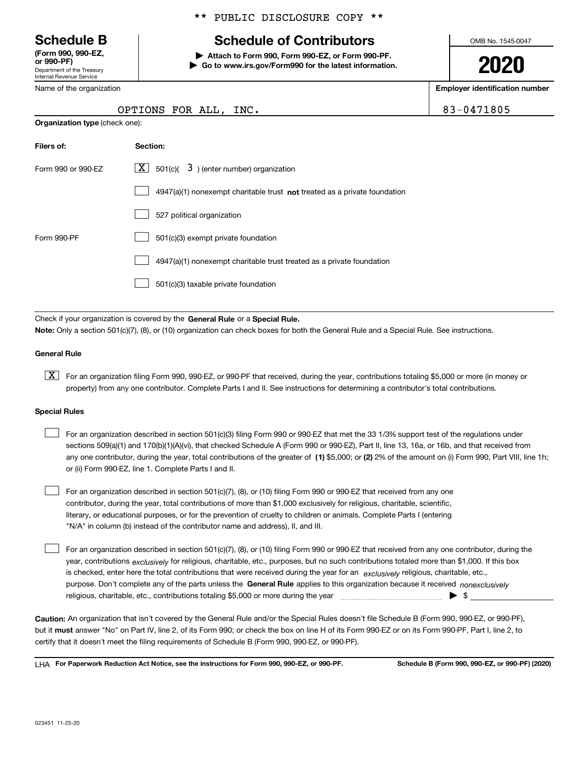Department of the Treasury Internal Revenue Service **(Form 990, 990-EZ, or 990-PF)**

Name of the organization

## \*\* PUBLIC DISCLOSURE COPY \*\*

# **Schedule B Schedule of Contributors**

**| Attach to Form 990, Form 990-EZ, or Form 990-PF. | Go to www.irs.gov/Form990 for the latest information.** OMB No. 1545-0047

**2020**

**Employer identification number**

83-0471805

| <b>Organization type (check one):</b> | OPTIONS FOR ALL, INC.                                       |
|---------------------------------------|-------------------------------------------------------------|
| Filers of:                            | Section:                                                    |
| Form 990 or 990-FZ                    | $\boxed{\mathbf{X}}$ 501(c)( 3) (enter number) organization |

|             | $4947(a)(1)$ nonexempt charitable trust <b>not</b> treated as a private foundation |
|-------------|------------------------------------------------------------------------------------|
|             | 527 political organization                                                         |
| Form 990-PF | 501(c)(3) exempt private foundation                                                |
|             | 4947(a)(1) nonexempt charitable trust treated as a private foundation              |
|             | 501(c)(3) taxable private foundation                                               |

Check if your organization is covered by the **General Rule** or a **Special Rule. Note:**  Only a section 501(c)(7), (8), or (10) organization can check boxes for both the General Rule and a Special Rule. See instructions.

### **General Rule**

 $\boxed{\textbf{X}}$  For an organization filing Form 990, 990-EZ, or 990-PF that received, during the year, contributions totaling \$5,000 or more (in money or property) from any one contributor. Complete Parts I and II. See instructions for determining a contributor's total contributions.

#### **Special Rules**

| For an organization described in section 501(c)(3) filing Form 990 or 990-EZ that met the 33 1/3% support test of the regulations under               |
|-------------------------------------------------------------------------------------------------------------------------------------------------------|
| sections 509(a)(1) and 170(b)(1)(A)(vi), that checked Schedule A (Form 990 or 990-EZ), Part II, line 13, 16a, or 16b, and that received from          |
| any one contributor, during the year, total contributions of the greater of (1) \$5,000; or (2) 2% of the amount on (i) Form 990, Part VIII, line 1h; |
| or (ii) Form 990-EZ, line 1. Complete Parts I and II.                                                                                                 |

For an organization described in section 501(c)(7), (8), or (10) filing Form 990 or 990-EZ that received from any one contributor, during the year, total contributions of more than \$1,000 exclusively for religious, charitable, scientific, literary, or educational purposes, or for the prevention of cruelty to children or animals. Complete Parts I (entering "N/A" in column (b) instead of the contributor name and address), II, and III.  $\mathcal{L}^{\text{max}}$ 

purpose. Don't complete any of the parts unless the **General Rule** applies to this organization because it received *nonexclusively* year, contributions <sub>exclusively</sub> for religious, charitable, etc., purposes, but no such contributions totaled more than \$1,000. If this box is checked, enter here the total contributions that were received during the year for an *exclusively* religious, charitable, etc., For an organization described in section 501(c)(7), (8), or (10) filing Form 990 or 990-EZ that received from any one contributor, during the religious, charitable, etc., contributions totaling \$5,000 or more during the year  $\Box$ — $\Box$   $\Box$  $\mathcal{L}^{\text{max}}$ 

**Caution:**  An organization that isn't covered by the General Rule and/or the Special Rules doesn't file Schedule B (Form 990, 990-EZ, or 990-PF),  **must** but it answer "No" on Part IV, line 2, of its Form 990; or check the box on line H of its Form 990-EZ or on its Form 990-PF, Part I, line 2, to certify that it doesn't meet the filing requirements of Schedule B (Form 990, 990-EZ, or 990-PF).

**For Paperwork Reduction Act Notice, see the instructions for Form 990, 990-EZ, or 990-PF. Schedule B (Form 990, 990-EZ, or 990-PF) (2020)** LHA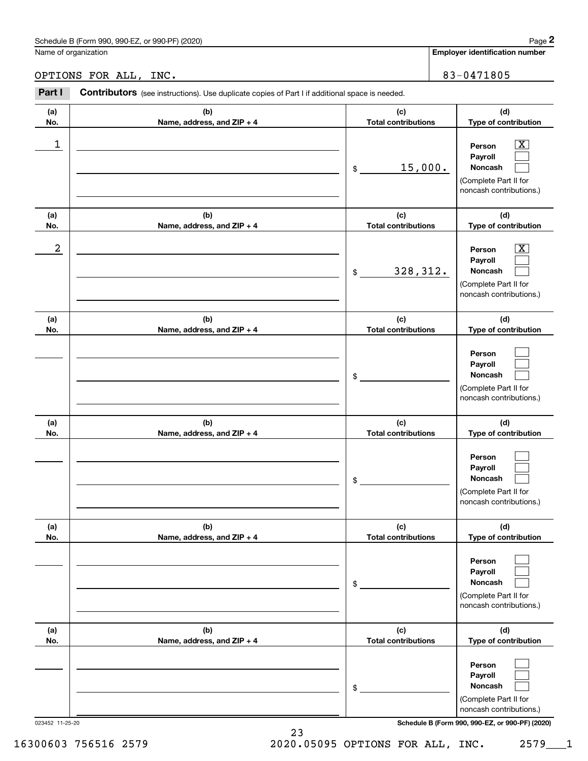|                 | Schedule B (Form 990, 990-EZ, or 990-PF) (2020)                                                |                                   | Page 2                                                                                           |
|-----------------|------------------------------------------------------------------------------------------------|-----------------------------------|--------------------------------------------------------------------------------------------------|
|                 | Name of organization                                                                           |                                   | <b>Employer identification number</b>                                                            |
|                 | OPTIONS FOR ALL, INC.                                                                          |                                   | 83-0471805                                                                                       |
| Part I          | Contributors (see instructions). Use duplicate copies of Part I if additional space is needed. |                                   |                                                                                                  |
| (a)<br>No.      | (b)<br>Name, address, and ZIP + 4                                                              | (c)<br><b>Total contributions</b> | (d)<br>Type of contribution                                                                      |
| $\mathbf 1$     |                                                                                                | 15,000.<br>\$                     | $\mathbf{X}$<br>Person<br>Payroll<br>Noncash<br>(Complete Part II for<br>noncash contributions.) |
| (a)<br>No.      | (b)<br>Name, address, and ZIP + 4                                                              | (c)<br><b>Total contributions</b> | (d)<br>Type of contribution                                                                      |
| 2               |                                                                                                | 328, 312.<br>\$                   | $\mathbf{X}$<br>Person<br>Payroll<br>Noncash<br>(Complete Part II for<br>noncash contributions.) |
| (a)<br>No.      | (b)<br>Name, address, and ZIP + 4                                                              | (c)<br><b>Total contributions</b> | (d)<br>Type of contribution                                                                      |
|                 |                                                                                                | \$                                | Person<br>Payroll<br>Noncash<br>(Complete Part II for<br>noncash contributions.)                 |
| (a)<br>No.      | (b)<br>Name, address, and ZIP + 4                                                              | (c)<br><b>Total contributions</b> | (d)<br>Type of contribution                                                                      |
|                 |                                                                                                | \$                                | Person<br>Payroll<br>Noncash<br>(Complete Part II for<br>noncash contributions.)                 |
| (a)<br>No.      | (b)<br>Name, address, and ZIP + 4                                                              | (c)<br><b>Total contributions</b> | (d)<br>Type of contribution                                                                      |
|                 |                                                                                                | \$                                | Person<br>Payroll<br>Noncash<br>(Complete Part II for<br>noncash contributions.)                 |
| (a)<br>No.      | (b)<br>Name, address, and ZIP + 4                                                              | (c)<br><b>Total contributions</b> | (d)<br>Type of contribution                                                                      |
|                 |                                                                                                | \$                                | Person<br>Payroll<br>Noncash<br>(Complete Part II for<br>noncash contributions.)                 |
| 023452 11-25-20 |                                                                                                |                                   | Schedule B (Form 990, 990-EZ, or 990-PF) (2020)                                                  |



23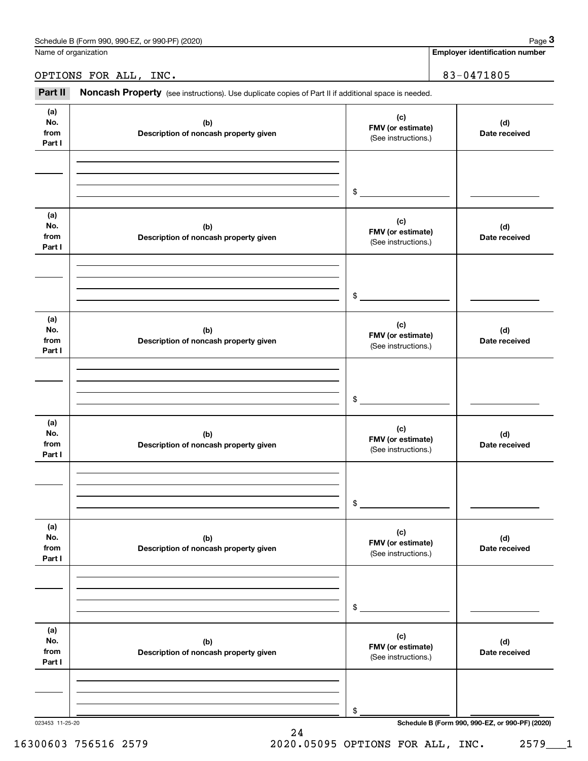Name of organization

# OPTIONS FOR ALL, INC. | 83-0471805

(see instructions). Use duplicate copies of Part II if additional space is needed.<br> **1999 PETIONS FOR ALL, INC.**<br>
1999 PART II **Noncash Property** (see instructions). Use duplicate copies of Part II if additional space is n

| (a)<br>No.<br>from<br>Part I | (b)<br>Description of noncash property given | (c)<br>FMV (or estimate)<br>(See instructions.) | (d)<br>Date received                            |
|------------------------------|----------------------------------------------|-------------------------------------------------|-------------------------------------------------|
|                              |                                              | \$                                              |                                                 |
| (a)<br>No.<br>from<br>Part I | (b)<br>Description of noncash property given | (c)<br>FMV (or estimate)<br>(See instructions.) | (d)<br>Date received                            |
|                              |                                              | \$                                              |                                                 |
| (a)<br>No.<br>from<br>Part I | (b)<br>Description of noncash property given | (c)<br>FMV (or estimate)<br>(See instructions.) | (d)<br>Date received                            |
|                              |                                              | \$                                              |                                                 |
| (a)<br>No.<br>from<br>Part I | (b)<br>Description of noncash property given | (c)<br>FMV (or estimate)<br>(See instructions.) | (d)<br>Date received                            |
|                              |                                              | \$                                              |                                                 |
| (a)<br>No.<br>from<br>Part I | (b)<br>Description of noncash property given | (c)<br>FMV (or estimate)<br>(See instructions.) | (d)<br>Date received                            |
|                              |                                              | \$                                              |                                                 |
| (a)<br>No.<br>from<br>Part I | (b)<br>Description of noncash property given | (c)<br>FMV (or estimate)<br>(See instructions.) | (d)<br>Date received                            |
|                              |                                              | \$                                              |                                                 |
| 023453 11-25-20              |                                              |                                                 | Schedule B (Form 990, 990-EZ, or 990-PF) (2020) |

# 16300603 756516 2579 2020.05095 OPTIONS FOR ALL, INC. 2579\_\_\_1

24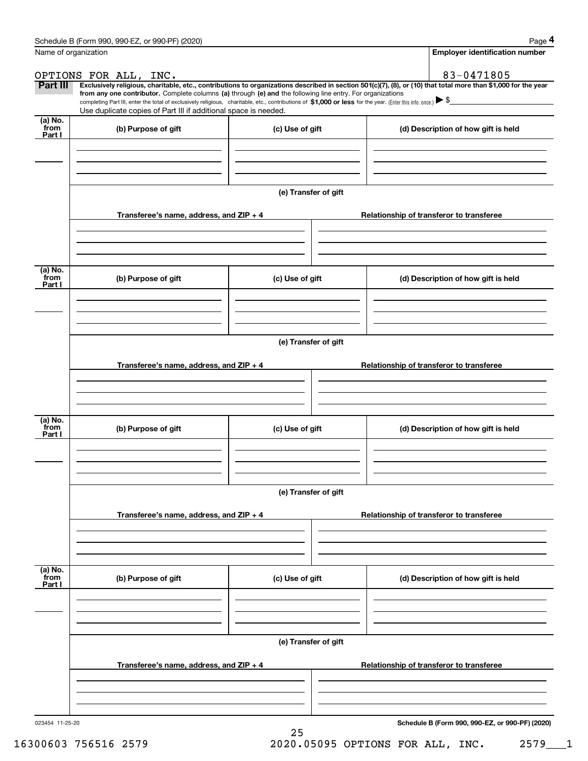|                           | Schedule B (Form 990, 990-EZ, or 990-PF) (2020)                                                                                                                                   |                      |                                                                                                                                                                | Page 4 |
|---------------------------|-----------------------------------------------------------------------------------------------------------------------------------------------------------------------------------|----------------------|----------------------------------------------------------------------------------------------------------------------------------------------------------------|--------|
|                           | Name of organization                                                                                                                                                              |                      | <b>Employer identification number</b>                                                                                                                          |        |
|                           | OPTIONS FOR ALL, INC.                                                                                                                                                             |                      | 83-0471805                                                                                                                                                     |        |
| Part III                  | from any one contributor. Complete columns (a) through (e) and the following line entry. For organizations                                                                        |                      | Exclusively religious, charitable, etc., contributions to organizations described in section 501(c)(7), (8), or (10) that total more than \$1,000 for the year |        |
|                           | completing Part III, enter the total of exclusively religious, charitable, etc., contributions of \$1,000 or less for the year. (Enter this info. once.) $\blacktriangleright$ \$ |                      |                                                                                                                                                                |        |
| $(a)$ No.                 | Use duplicate copies of Part III if additional space is needed.                                                                                                                   |                      |                                                                                                                                                                |        |
| from<br>Part I            | (b) Purpose of gift                                                                                                                                                               | (c) Use of gift      | (d) Description of how gift is held                                                                                                                            |        |
|                           |                                                                                                                                                                                   |                      |                                                                                                                                                                |        |
|                           |                                                                                                                                                                                   |                      |                                                                                                                                                                |        |
|                           |                                                                                                                                                                                   |                      |                                                                                                                                                                |        |
|                           |                                                                                                                                                                                   | (e) Transfer of gift |                                                                                                                                                                |        |
|                           | Transferee's name, address, and ZIP + 4                                                                                                                                           |                      | Relationship of transferor to transferee                                                                                                                       |        |
|                           |                                                                                                                                                                                   |                      |                                                                                                                                                                |        |
|                           |                                                                                                                                                                                   |                      |                                                                                                                                                                |        |
|                           |                                                                                                                                                                                   |                      |                                                                                                                                                                |        |
| (a) No.<br>from           |                                                                                                                                                                                   |                      |                                                                                                                                                                |        |
| Part I                    | (b) Purpose of gift                                                                                                                                                               | (c) Use of gift      | (d) Description of how gift is held                                                                                                                            |        |
|                           |                                                                                                                                                                                   |                      |                                                                                                                                                                |        |
|                           |                                                                                                                                                                                   |                      |                                                                                                                                                                |        |
|                           |                                                                                                                                                                                   |                      |                                                                                                                                                                |        |
|                           |                                                                                                                                                                                   | (e) Transfer of gift |                                                                                                                                                                |        |
|                           | Transferee's name, address, and $ZIP + 4$                                                                                                                                         |                      | Relationship of transferor to transferee                                                                                                                       |        |
|                           |                                                                                                                                                                                   |                      |                                                                                                                                                                |        |
|                           |                                                                                                                                                                                   |                      |                                                                                                                                                                |        |
|                           |                                                                                                                                                                                   |                      |                                                                                                                                                                |        |
| (a) No.<br>from           | (b) Purpose of gift                                                                                                                                                               | (c) Use of gift      | (d) Description of how gift is held                                                                                                                            |        |
| Part I                    |                                                                                                                                                                                   |                      |                                                                                                                                                                |        |
|                           |                                                                                                                                                                                   |                      |                                                                                                                                                                |        |
|                           |                                                                                                                                                                                   |                      |                                                                                                                                                                |        |
|                           |                                                                                                                                                                                   | (e) Transfer of gift |                                                                                                                                                                |        |
|                           |                                                                                                                                                                                   |                      |                                                                                                                                                                |        |
|                           | Transferee's name, address, and $ZIP + 4$                                                                                                                                         |                      | Relationship of transferor to transferee                                                                                                                       |        |
|                           |                                                                                                                                                                                   |                      |                                                                                                                                                                |        |
|                           |                                                                                                                                                                                   |                      |                                                                                                                                                                |        |
|                           |                                                                                                                                                                                   |                      |                                                                                                                                                                |        |
| (a) No.<br>from<br>Part I | (b) Purpose of gift                                                                                                                                                               | (c) Use of gift      | (d) Description of how gift is held                                                                                                                            |        |
|                           |                                                                                                                                                                                   |                      |                                                                                                                                                                |        |
|                           |                                                                                                                                                                                   |                      |                                                                                                                                                                |        |
|                           |                                                                                                                                                                                   |                      |                                                                                                                                                                |        |
|                           |                                                                                                                                                                                   | (e) Transfer of gift |                                                                                                                                                                |        |
|                           | Transferee's name, address, and $ZIP + 4$                                                                                                                                         |                      | Relationship of transferor to transferee                                                                                                                       |        |
|                           |                                                                                                                                                                                   |                      |                                                                                                                                                                |        |
|                           |                                                                                                                                                                                   |                      |                                                                                                                                                                |        |
|                           |                                                                                                                                                                                   |                      |                                                                                                                                                                |        |
| 023454 11-25-20           |                                                                                                                                                                                   |                      | Schedule B (Form 990, 990-EZ, or 990-PF) (2020)                                                                                                                |        |

25

**Schedule B (Form 990, 990-EZ, or 990-PF) (2020)**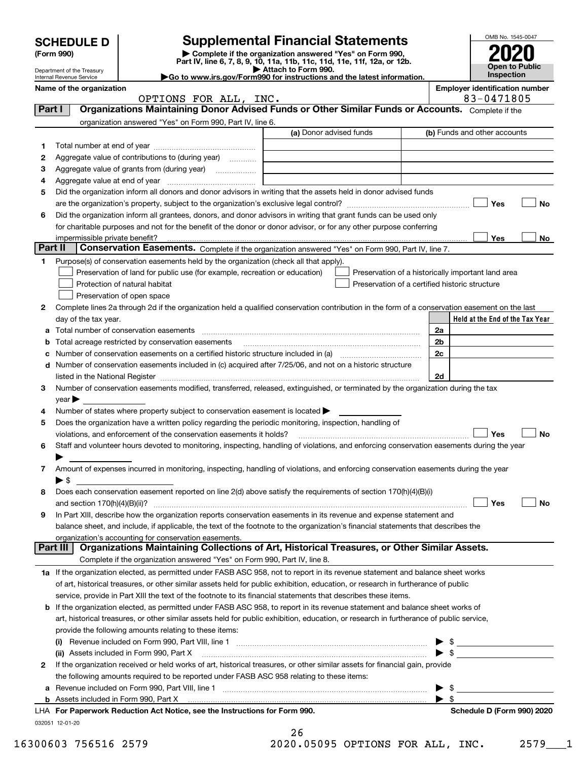|         |                                                                                                                                                                       |                                                                                                                                                                                                                                         |                         |                                                    |                         | OMB No. 1545-0047               |  |
|---------|-----------------------------------------------------------------------------------------------------------------------------------------------------------------------|-----------------------------------------------------------------------------------------------------------------------------------------------------------------------------------------------------------------------------------------|-------------------------|----------------------------------------------------|-------------------------|---------------------------------|--|
|         | <b>Supplemental Financial Statements</b><br><b>SCHEDULE D</b><br>Complete if the organization answered "Yes" on Form 990,<br>(Form 990)                               |                                                                                                                                                                                                                                         |                         |                                                    |                         |                                 |  |
|         |                                                                                                                                                                       | Part IV, line 6, 7, 8, 9, 10, 11a, 11b, 11c, 11d, 11e, 11f, 12a, or 12b.                                                                                                                                                                |                         |                                                    |                         | <b>Open to Public</b>           |  |
|         | Attach to Form 990.<br>Department of the Treasury<br>Inspection<br>Go to www.irs.gov/Form990 for instructions and the latest information.<br>Internal Revenue Service |                                                                                                                                                                                                                                         |                         |                                                    |                         |                                 |  |
|         | <b>Employer identification number</b><br>Name of the organization<br>83-0471805<br>OPTIONS FOR ALL, INC.                                                              |                                                                                                                                                                                                                                         |                         |                                                    |                         |                                 |  |
| Part I  |                                                                                                                                                                       | Organizations Maintaining Donor Advised Funds or Other Similar Funds or Accounts. Complete if the                                                                                                                                       |                         |                                                    |                         |                                 |  |
|         |                                                                                                                                                                       | organization answered "Yes" on Form 990, Part IV, line 6.                                                                                                                                                                               |                         |                                                    |                         |                                 |  |
|         |                                                                                                                                                                       |                                                                                                                                                                                                                                         | (a) Donor advised funds |                                                    |                         | (b) Funds and other accounts    |  |
| 1       |                                                                                                                                                                       |                                                                                                                                                                                                                                         |                         |                                                    |                         |                                 |  |
| 2       |                                                                                                                                                                       | Aggregate value of contributions to (during year)                                                                                                                                                                                       |                         |                                                    |                         |                                 |  |
| З       |                                                                                                                                                                       | Aggregate value of grants from (during year)                                                                                                                                                                                            |                         |                                                    |                         |                                 |  |
| 4       |                                                                                                                                                                       |                                                                                                                                                                                                                                         |                         |                                                    |                         |                                 |  |
| 5       |                                                                                                                                                                       | Did the organization inform all donors and donor advisors in writing that the assets held in donor advised funds                                                                                                                        |                         |                                                    |                         |                                 |  |
|         |                                                                                                                                                                       |                                                                                                                                                                                                                                         |                         |                                                    |                         | Yes<br>No                       |  |
| 6       |                                                                                                                                                                       | Did the organization inform all grantees, donors, and donor advisors in writing that grant funds can be used only<br>for charitable purposes and not for the benefit of the donor or donor advisor, or for any other purpose conferring |                         |                                                    |                         |                                 |  |
|         | impermissible private benefit?                                                                                                                                        |                                                                                                                                                                                                                                         |                         |                                                    |                         | Yes<br>No                       |  |
| Part II |                                                                                                                                                                       | Conservation Easements. Complete if the organization answered "Yes" on Form 990, Part IV, line 7.                                                                                                                                       |                         |                                                    |                         |                                 |  |
| 1.      |                                                                                                                                                                       | Purpose(s) of conservation easements held by the organization (check all that apply).                                                                                                                                                   |                         |                                                    |                         |                                 |  |
|         |                                                                                                                                                                       | Preservation of land for public use (for example, recreation or education)                                                                                                                                                              |                         | Preservation of a historically important land area |                         |                                 |  |
|         |                                                                                                                                                                       | Protection of natural habitat                                                                                                                                                                                                           |                         | Preservation of a certified historic structure     |                         |                                 |  |
|         |                                                                                                                                                                       | Preservation of open space                                                                                                                                                                                                              |                         |                                                    |                         |                                 |  |
| 2       |                                                                                                                                                                       | Complete lines 2a through 2d if the organization held a qualified conservation contribution in the form of a conservation easement on the last                                                                                          |                         |                                                    |                         |                                 |  |
|         | day of the tax year.                                                                                                                                                  |                                                                                                                                                                                                                                         |                         |                                                    |                         | Held at the End of the Tax Year |  |
| a       |                                                                                                                                                                       | Total number of conservation easements                                                                                                                                                                                                  |                         |                                                    | 2a                      |                                 |  |
| b       |                                                                                                                                                                       | Total acreage restricted by conservation easements                                                                                                                                                                                      |                         |                                                    | 2b                      |                                 |  |
| с       |                                                                                                                                                                       | Number of conservation easements on a certified historic structure included in (a) manufacture included in (a)                                                                                                                          |                         |                                                    | 2c                      |                                 |  |
| d       |                                                                                                                                                                       | Number of conservation easements included in (c) acquired after 7/25/06, and not on a historic structure                                                                                                                                |                         |                                                    |                         |                                 |  |
|         |                                                                                                                                                                       | listed in the National Register [11, 1200] [12] The National Register [11, 1200] [12] The National Register [11, 1200] [12] The National Register [11, 1200] [12] The National Register [11, 1200] [12] The National Register           |                         |                                                    | 2d                      |                                 |  |
| 3       | $\mathsf{year}$                                                                                                                                                       | Number of conservation easements modified, transferred, released, extinguished, or terminated by the organization during the tax                                                                                                        |                         |                                                    |                         |                                 |  |
| 4       |                                                                                                                                                                       | Number of states where property subject to conservation easement is located                                                                                                                                                             |                         |                                                    |                         |                                 |  |
| 5       |                                                                                                                                                                       | Does the organization have a written policy regarding the periodic monitoring, inspection, handling of                                                                                                                                  |                         |                                                    |                         |                                 |  |
|         |                                                                                                                                                                       | violations, and enforcement of the conservation easements it holds?                                                                                                                                                                     |                         |                                                    |                         | Yes<br>No                       |  |
| 6       |                                                                                                                                                                       | Staff and volunteer hours devoted to monitoring, inspecting, handling of violations, and enforcing conservation easements during the year                                                                                               |                         |                                                    |                         |                                 |  |
|         |                                                                                                                                                                       |                                                                                                                                                                                                                                         |                         |                                                    |                         |                                 |  |
| 7       |                                                                                                                                                                       | Amount of expenses incurred in monitoring, inspecting, handling of violations, and enforcing conservation easements during the year                                                                                                     |                         |                                                    |                         |                                 |  |
|         | $\blacktriangleright$ \$                                                                                                                                              |                                                                                                                                                                                                                                         |                         |                                                    |                         |                                 |  |
| 8       |                                                                                                                                                                       | Does each conservation easement reported on line 2(d) above satisfy the requirements of section 170(h)(4)(B)(i)                                                                                                                         |                         |                                                    |                         |                                 |  |
|         |                                                                                                                                                                       |                                                                                                                                                                                                                                         |                         |                                                    |                         | Yes<br>No                       |  |
| 9       |                                                                                                                                                                       | In Part XIII, describe how the organization reports conservation easements in its revenue and expense statement and                                                                                                                     |                         |                                                    |                         |                                 |  |
|         | balance sheet, and include, if applicable, the text of the footnote to the organization's financial statements that describes the                                     |                                                                                                                                                                                                                                         |                         |                                                    |                         |                                 |  |
|         | Part III                                                                                                                                                              | organization's accounting for conservation easements.<br>Organizations Maintaining Collections of Art, Historical Treasures, or Other Similar Assets.                                                                                   |                         |                                                    |                         |                                 |  |
|         |                                                                                                                                                                       | Complete if the organization answered "Yes" on Form 990, Part IV, line 8.                                                                                                                                                               |                         |                                                    |                         |                                 |  |
|         |                                                                                                                                                                       | 1a If the organization elected, as permitted under FASB ASC 958, not to report in its revenue statement and balance sheet works                                                                                                         |                         |                                                    |                         |                                 |  |
|         |                                                                                                                                                                       | of art, historical treasures, or other similar assets held for public exhibition, education, or research in furtherance of public                                                                                                       |                         |                                                    |                         |                                 |  |
|         |                                                                                                                                                                       | service, provide in Part XIII the text of the footnote to its financial statements that describes these items.                                                                                                                          |                         |                                                    |                         |                                 |  |
|         |                                                                                                                                                                       | <b>b</b> If the organization elected, as permitted under FASB ASC 958, to report in its revenue statement and balance sheet works of                                                                                                    |                         |                                                    |                         |                                 |  |
|         |                                                                                                                                                                       | art, historical treasures, or other similar assets held for public exhibition, education, or research in furtherance of public service,                                                                                                 |                         |                                                    |                         |                                 |  |
|         |                                                                                                                                                                       | provide the following amounts relating to these items:                                                                                                                                                                                  |                         |                                                    |                         |                                 |  |
|         |                                                                                                                                                                       |                                                                                                                                                                                                                                         |                         |                                                    | \$                      |                                 |  |
|         |                                                                                                                                                                       | (ii) Assets included in Form 990, Part X [11] Marten and Martin Martin Marten and Martin Martin Marten and Mar                                                                                                                          |                         |                                                    | $\blacktriangleright$ s |                                 |  |
| 2       |                                                                                                                                                                       | If the organization received or held works of art, historical treasures, or other similar assets for financial gain, provide                                                                                                            |                         |                                                    |                         |                                 |  |
|         |                                                                                                                                                                       | the following amounts required to be reported under FASB ASC 958 relating to these items:                                                                                                                                               |                         |                                                    |                         |                                 |  |
| а       |                                                                                                                                                                       |                                                                                                                                                                                                                                         |                         |                                                    | - \$                    |                                 |  |
|         |                                                                                                                                                                       | <b>b</b> Assets included in Form 990, Part X <b>Multimarrow and Construct Constructs</b> included in Form 990, Part X                                                                                                                   |                         |                                                    | $\blacktriangleright$ s | Schedule D (Form 990) 2020      |  |
|         |                                                                                                                                                                       | LHA For Paperwork Reduction Act Notice, see the Instructions for Form 990.                                                                                                                                                              |                         |                                                    |                         |                                 |  |

032051 12-01-20

26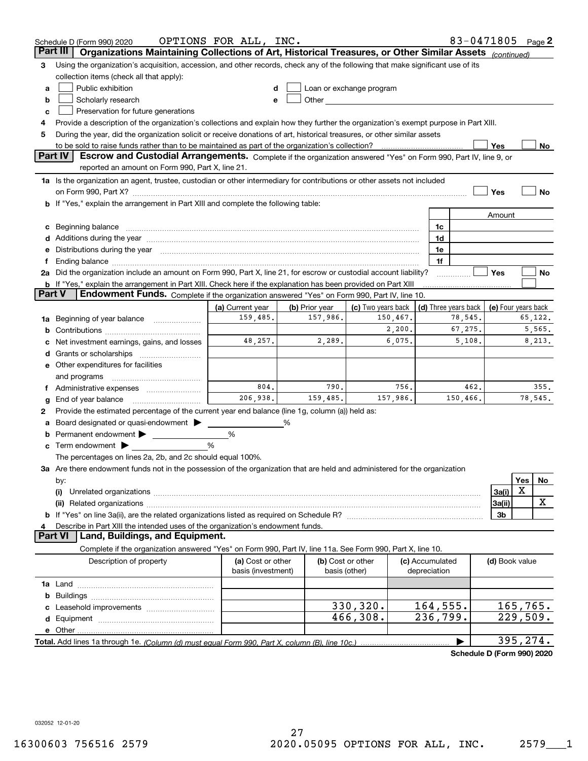|        | 83-0471805 Page 2<br>OPTIONS FOR ALL, INC.<br>Schedule D (Form 990) 2020                                                                                                                                                                                                                                                                             |                                         |                |                                                                                                                                                                                                                               |                                 |                                                  |                |          |         |
|--------|------------------------------------------------------------------------------------------------------------------------------------------------------------------------------------------------------------------------------------------------------------------------------------------------------------------------------------------------------|-----------------------------------------|----------------|-------------------------------------------------------------------------------------------------------------------------------------------------------------------------------------------------------------------------------|---------------------------------|--------------------------------------------------|----------------|----------|---------|
|        | Organizations Maintaining Collections of Art, Historical Treasures, or Other Similar Assets (continued)<br>Part III                                                                                                                                                                                                                                  |                                         |                |                                                                                                                                                                                                                               |                                 |                                                  |                |          |         |
| з      | Using the organization's acquisition, accession, and other records, check any of the following that make significant use of its                                                                                                                                                                                                                      |                                         |                |                                                                                                                                                                                                                               |                                 |                                                  |                |          |         |
|        | collection items (check all that apply):                                                                                                                                                                                                                                                                                                             |                                         |                |                                                                                                                                                                                                                               |                                 |                                                  |                |          |         |
| a      | Public exhibition                                                                                                                                                                                                                                                                                                                                    |                                         |                | Loan or exchange program                                                                                                                                                                                                      |                                 |                                                  |                |          |         |
| b      | Scholarly research                                                                                                                                                                                                                                                                                                                                   | е                                       |                | Other and the contract of the contract of the contract of the contract of the contract of the contract of the contract of the contract of the contract of the contract of the contract of the contract of the contract of the |                                 |                                                  |                |          |         |
| c      | Preservation for future generations                                                                                                                                                                                                                                                                                                                  |                                         |                |                                                                                                                                                                                                                               |                                 |                                                  |                |          |         |
| 4      | Provide a description of the organization's collections and explain how they further the organization's exempt purpose in Part XIII.                                                                                                                                                                                                                 |                                         |                |                                                                                                                                                                                                                               |                                 |                                                  |                |          |         |
| 5      | During the year, did the organization solicit or receive donations of art, historical treasures, or other similar assets                                                                                                                                                                                                                             |                                         |                |                                                                                                                                                                                                                               |                                 |                                                  |                |          |         |
|        | to be sold to raise funds rather than to be maintained as part of the organization's collection?                                                                                                                                                                                                                                                     |                                         |                |                                                                                                                                                                                                                               |                                 |                                                  | Yes            |          | No      |
|        | <b>Part IV</b><br>Escrow and Custodial Arrangements. Complete if the organization answered "Yes" on Form 990, Part IV, line 9, or                                                                                                                                                                                                                    |                                         |                |                                                                                                                                                                                                                               |                                 |                                                  |                |          |         |
|        | reported an amount on Form 990, Part X, line 21.                                                                                                                                                                                                                                                                                                     |                                         |                |                                                                                                                                                                                                                               |                                 |                                                  |                |          |         |
|        | 1a Is the organization an agent, trustee, custodian or other intermediary for contributions or other assets not included                                                                                                                                                                                                                             |                                         |                |                                                                                                                                                                                                                               |                                 |                                                  |                |          |         |
|        |                                                                                                                                                                                                                                                                                                                                                      |                                         |                |                                                                                                                                                                                                                               |                                 |                                                  | Yes            |          | No      |
|        | <b>b</b> If "Yes," explain the arrangement in Part XIII and complete the following table:                                                                                                                                                                                                                                                            |                                         |                |                                                                                                                                                                                                                               |                                 |                                                  |                |          |         |
|        |                                                                                                                                                                                                                                                                                                                                                      |                                         |                |                                                                                                                                                                                                                               |                                 |                                                  | Amount         |          |         |
| c      | Beginning balance material continuum contracts and contact the contract of the contract of the contract of the                                                                                                                                                                                                                                       |                                         |                |                                                                                                                                                                                                                               | 1c                              |                                                  |                |          |         |
|        |                                                                                                                                                                                                                                                                                                                                                      |                                         |                |                                                                                                                                                                                                                               | 1d                              |                                                  |                |          |         |
| е      | Distributions during the year manufactured and an account of the state of the state of the state of the state o                                                                                                                                                                                                                                      |                                         |                |                                                                                                                                                                                                                               | 1e                              |                                                  |                |          |         |
| Ť.     | Ending balance manufactured and contact the contract of the contract of the contract of the contract of the contract of the contract of the contract of the contract of the contract of the contract of the contract of the co<br>2a Did the organization include an amount on Form 990, Part X, line 21, for escrow or custodial account liability? |                                         |                |                                                                                                                                                                                                                               | 1f                              |                                                  | Yes            |          | No      |
|        | <b>b</b> If "Yes," explain the arrangement in Part XIII. Check here if the explanation has been provided on Part XIII                                                                                                                                                                                                                                |                                         |                |                                                                                                                                                                                                                               |                                 |                                                  |                |          |         |
| Part V | Endowment Funds. Complete if the organization answered "Yes" on Form 990, Part IV, line 10.                                                                                                                                                                                                                                                          |                                         |                |                                                                                                                                                                                                                               |                                 |                                                  |                |          |         |
|        |                                                                                                                                                                                                                                                                                                                                                      | (a) Current year                        | (b) Prior year | (c) Two years back                                                                                                                                                                                                            |                                 | (d) Three years back $\vert$ (e) Four years back |                |          |         |
| 1a     | Beginning of year balance                                                                                                                                                                                                                                                                                                                            | 159,485.                                | 157,986.       | 150,467.                                                                                                                                                                                                                      |                                 | 78,545.                                          |                |          | 65,122. |
| b      |                                                                                                                                                                                                                                                                                                                                                      |                                         |                | 2,200.                                                                                                                                                                                                                        |                                 | 67,275.                                          |                |          | 5,565.  |
|        | Net investment earnings, gains, and losses                                                                                                                                                                                                                                                                                                           | 48,257.                                 | 2,289.         | 6,075.                                                                                                                                                                                                                        |                                 | 5,108.                                           |                |          | 8,213.  |
| d      |                                                                                                                                                                                                                                                                                                                                                      |                                         |                |                                                                                                                                                                                                                               |                                 |                                                  |                |          |         |
|        | e Other expenditures for facilities                                                                                                                                                                                                                                                                                                                  |                                         |                |                                                                                                                                                                                                                               |                                 |                                                  |                |          |         |
|        | and programs                                                                                                                                                                                                                                                                                                                                         |                                         |                |                                                                                                                                                                                                                               |                                 |                                                  |                |          |         |
|        | f Administrative expenses                                                                                                                                                                                                                                                                                                                            | 804.                                    | 790.           | 756.                                                                                                                                                                                                                          |                                 | 462.                                             |                |          | 355.    |
| g      | End of year balance                                                                                                                                                                                                                                                                                                                                  | 206.938.                                | 159,485.       | 157,986.                                                                                                                                                                                                                      |                                 | 150,466.                                         |                |          | 78,545. |
| 2      | Provide the estimated percentage of the current year end balance (line 1g, column (a)) held as:                                                                                                                                                                                                                                                      |                                         |                |                                                                                                                                                                                                                               |                                 |                                                  |                |          |         |
| а      | Board designated or quasi-endowment                                                                                                                                                                                                                                                                                                                  |                                         | %              |                                                                                                                                                                                                                               |                                 |                                                  |                |          |         |
|        | Permanent endowment                                                                                                                                                                                                                                                                                                                                  | %                                       |                |                                                                                                                                                                                                                               |                                 |                                                  |                |          |         |
| c      | Term endowment $\blacktriangleright$                                                                                                                                                                                                                                                                                                                 | %                                       |                |                                                                                                                                                                                                                               |                                 |                                                  |                |          |         |
|        | The percentages on lines 2a, 2b, and 2c should equal 100%.                                                                                                                                                                                                                                                                                           |                                         |                |                                                                                                                                                                                                                               |                                 |                                                  |                |          |         |
|        | 3a Are there endowment funds not in the possession of the organization that are held and administered for the organization                                                                                                                                                                                                                           |                                         |                |                                                                                                                                                                                                                               |                                 |                                                  |                |          |         |
|        | by:                                                                                                                                                                                                                                                                                                                                                  |                                         |                |                                                                                                                                                                                                                               |                                 |                                                  |                | Yes      | No      |
|        | (i)                                                                                                                                                                                                                                                                                                                                                  |                                         |                |                                                                                                                                                                                                                               |                                 |                                                  | 3a(i)          | X        |         |
|        |                                                                                                                                                                                                                                                                                                                                                      |                                         |                |                                                                                                                                                                                                                               |                                 |                                                  | 3a(ii)         |          | х       |
|        |                                                                                                                                                                                                                                                                                                                                                      |                                         |                |                                                                                                                                                                                                                               |                                 |                                                  | 3b             |          |         |
| 4      | Describe in Part XIII the intended uses of the organization's endowment funds.<br>Land, Buildings, and Equipment.<br>Part VI                                                                                                                                                                                                                         |                                         |                |                                                                                                                                                                                                                               |                                 |                                                  |                |          |         |
|        | Complete if the organization answered "Yes" on Form 990, Part IV, line 11a. See Form 990, Part X, line 10.                                                                                                                                                                                                                                           |                                         |                |                                                                                                                                                                                                                               |                                 |                                                  |                |          |         |
|        |                                                                                                                                                                                                                                                                                                                                                      |                                         |                |                                                                                                                                                                                                                               |                                 |                                                  |                |          |         |
|        | Description of property                                                                                                                                                                                                                                                                                                                              | (a) Cost or other<br>basis (investment) |                | (b) Cost or other<br>basis (other)                                                                                                                                                                                            | (c) Accumulated<br>depreciation |                                                  | (d) Book value |          |         |
|        |                                                                                                                                                                                                                                                                                                                                                      |                                         |                |                                                                                                                                                                                                                               |                                 |                                                  |                |          |         |
| b      |                                                                                                                                                                                                                                                                                                                                                      |                                         |                |                                                                                                                                                                                                                               |                                 |                                                  |                |          |         |
|        |                                                                                                                                                                                                                                                                                                                                                      |                                         |                | 330,320.                                                                                                                                                                                                                      | 164,555.                        |                                                  |                | 165,765. |         |
|        |                                                                                                                                                                                                                                                                                                                                                      |                                         |                | 466,308.                                                                                                                                                                                                                      | 236,799.                        |                                                  |                | 229,509. |         |
|        |                                                                                                                                                                                                                                                                                                                                                      |                                         |                |                                                                                                                                                                                                                               |                                 |                                                  |                |          |         |
|        |                                                                                                                                                                                                                                                                                                                                                      |                                         |                |                                                                                                                                                                                                                               |                                 |                                                  |                | 395,274. |         |

**Schedule D (Form 990) 2020**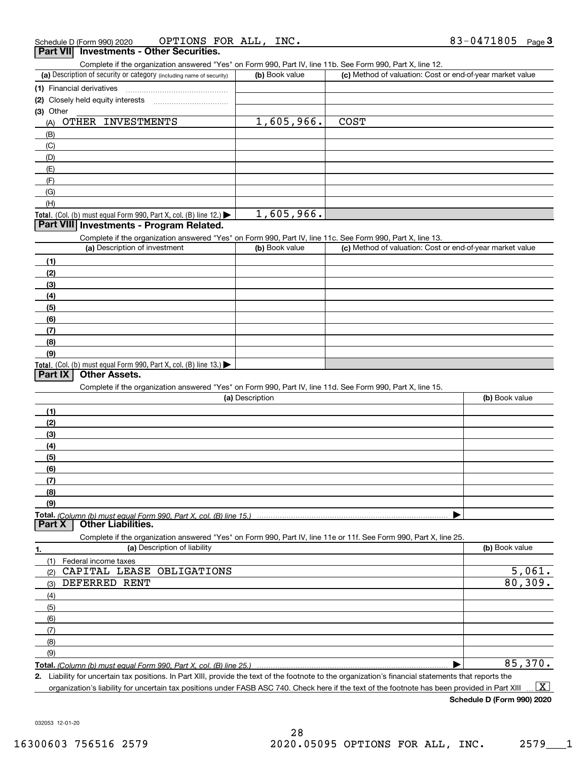| Schedule D (Form 990) 2020 | OPTIONS FOR ALL,                         | INC. | 83-0471805 | Page J |
|----------------------------|------------------------------------------|------|------------|--------|
|                            | Part VII Investments - Other Securities. |      |            |        |

|  | Part VII Investments - Other Securities. |  |  |
|--|------------------------------------------|--|--|
|--|------------------------------------------|--|--|

Complete if the organization answered "Yes" on Form 990, Part IV, line 11b. See Form 990, Part X, line 12.

| (a) Description of security or category (including name of security) | (b) Book value | (c) Method of valuation: Cost or end-of-year market value |
|----------------------------------------------------------------------|----------------|-----------------------------------------------------------|
| (1) Financial derivatives                                            |                |                                                           |
| (2) Closely held equity interests                                    |                |                                                           |
| (3) Other                                                            |                |                                                           |
| OTHER INVESTMENTS<br>(A)                                             | 1,605,966.     | <b>COST</b>                                               |
| (B)                                                                  |                |                                                           |
| (C)                                                                  |                |                                                           |
| (D)                                                                  |                |                                                           |
| (E)                                                                  |                |                                                           |
| (F)                                                                  |                |                                                           |
| (G)                                                                  |                |                                                           |
| (H)                                                                  |                |                                                           |
| Total. (Col. (b) must equal Form 990, Part X, col. (B) line $12$ .)  | 1,605,966.     |                                                           |

|  | <b>Total.</b> (Col. (b) must equal Form 990, Part X, col. (B) line 12.) $\blacktriangleright$ |  |
|--|-----------------------------------------------------------------------------------------------|--|
|  | Part VIII Investments - Program Related.                                                      |  |

Complete if the organization answered "Yes" on Form 990, Part IV, line 11c. See Form 990, Part X, line 13.

| (a) Description of investment                                                                 | (b) Book value | (c) Method of valuation: Cost or end-of-year market value |
|-----------------------------------------------------------------------------------------------|----------------|-----------------------------------------------------------|
| (1)                                                                                           |                |                                                           |
| (2)                                                                                           |                |                                                           |
| $\left(3\right)$                                                                              |                |                                                           |
| (4)                                                                                           |                |                                                           |
| $\left(5\right)$                                                                              |                |                                                           |
| (6)                                                                                           |                |                                                           |
| (7)                                                                                           |                |                                                           |
| (8)                                                                                           |                |                                                           |
| (9)                                                                                           |                |                                                           |
| <b>Total.</b> (Col. (b) must equal Form 990, Part X, col. (B) line 13.) $\blacktriangleright$ |                |                                                           |

### **Part IX Other Assets.**

Complete if the organization answered "Yes" on Form 990, Part IV, line 11d. See Form 990, Part X, line 15.

| (a) Description                                                                                                   | (b) Book value |
|-------------------------------------------------------------------------------------------------------------------|----------------|
| (1)                                                                                                               |                |
| (2)                                                                                                               |                |
| (3)                                                                                                               |                |
| (4)                                                                                                               |                |
| (5)                                                                                                               |                |
| (6)                                                                                                               |                |
|                                                                                                                   |                |
| (8)                                                                                                               |                |
| (9)                                                                                                               |                |
|                                                                                                                   |                |
| <b>Part X</b><br><b>Other Liabilities.</b>                                                                        |                |
| Complete if the organization answered "Yes" on Form 990, Part IV, line 11e or 11f. See Form 990, Part X, line 25. |                |

| 1.  | (a) Description of liability | (b) Book value |
|-----|------------------------------|----------------|
|     | (1) Federal income taxes     |                |
| (2) | CAPITAL LEASE OBLIGATIONS    | 5,061.         |
| (3) | DEFERRED RENT                | 80, 309.       |
| (4) |                              |                |
| (5) |                              |                |
| (6) |                              |                |
| (7) |                              |                |
| (8) |                              |                |
| (9) |                              |                |
|     |                              | 85,370.        |

**2.** Liability for uncertain tax positions. In Part XIII, provide the text of the footnote to the organization's financial statements that reports the organization's liability for uncertain tax positions under FASB ASC 740. Check here if the text of the footnote has been provided in Part XIII  $\boxed{\text{X}}$ 

**Schedule D (Form 990) 2020**

032053 12-01-20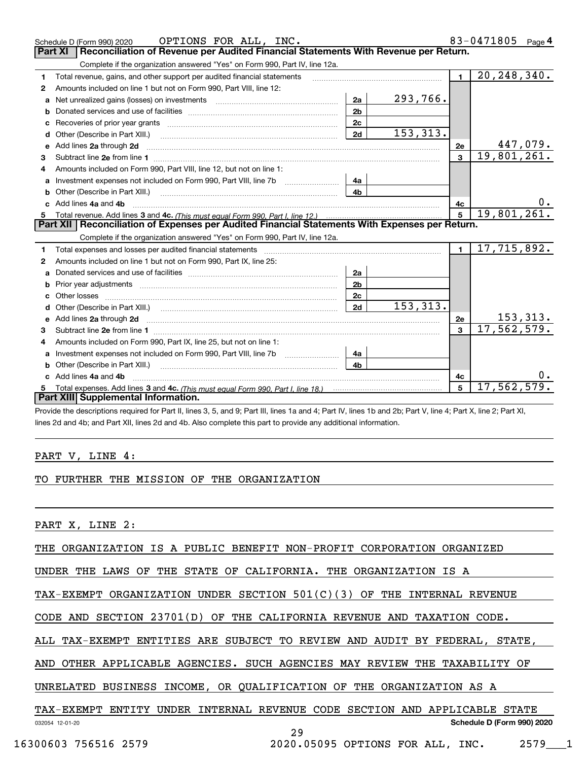|              | OPTIONS FOR ALL, INC.<br>Schedule D (Form 990) 2020                                                                                                                                                                                 |                |           |                | 83-0471805<br>Page $4$         |
|--------------|-------------------------------------------------------------------------------------------------------------------------------------------------------------------------------------------------------------------------------------|----------------|-----------|----------------|--------------------------------|
|              | Reconciliation of Revenue per Audited Financial Statements With Revenue per Return.<br>Part XI                                                                                                                                      |                |           |                |                                |
|              | Complete if the organization answered "Yes" on Form 990, Part IV, line 12a.                                                                                                                                                         |                |           |                |                                |
| 1.           | Total revenue, gains, and other support per audited financial statements                                                                                                                                                            |                |           | $\blacksquare$ | 20, 248, 340.                  |
| $\mathbf{2}$ | Amounts included on line 1 but not on Form 990, Part VIII, line 12:                                                                                                                                                                 |                |           |                |                                |
| a            |                                                                                                                                                                                                                                     | 2a             | 293,766.  |                |                                |
|              |                                                                                                                                                                                                                                     | 2 <sub>b</sub> |           |                |                                |
|              |                                                                                                                                                                                                                                     | 2c             |           |                |                                |
| d            | Other (Describe in Part XIII.) <b>Construction Contract Construction</b> Chemical Construction Chemical Chemical Chemical Chemical Chemical Chemical Chemical Chemical Chemical Chemical Chemical Chemical Chemical Chemical Chemic | 2d             | 153, 313. |                |                                |
| е            | Add lines 2a through 2d                                                                                                                                                                                                             |                |           | 2e             | $\frac{447,079.}{19,801,261.}$ |
| 3            |                                                                                                                                                                                                                                     |                |           | $\overline{3}$ |                                |
| 4            | Amounts included on Form 990, Part VIII, line 12, but not on line 1:                                                                                                                                                                |                |           |                |                                |
|              |                                                                                                                                                                                                                                     | 4а             |           |                |                                |
|              |                                                                                                                                                                                                                                     | 4b             |           |                |                                |
| c.           | Add lines 4a and 4b                                                                                                                                                                                                                 |                | 4с        | 0.             |                                |
|              |                                                                                                                                                                                                                                     |                |           |                |                                |
|              |                                                                                                                                                                                                                                     |                |           | 5              | 19,801,261.                    |
|              | Part XII   Reconciliation of Expenses per Audited Financial Statements With Expenses per Return.                                                                                                                                    |                |           |                |                                |
|              | Complete if the organization answered "Yes" on Form 990, Part IV, line 12a.                                                                                                                                                         |                |           |                |                                |
| 1            | Total expenses and losses per audited financial statements [11] [11] Total expenses and losses per audited financial statements [11] [11] Total expenses and losses per audited financial statements                                |                |           | $\blacksquare$ | 17,715,892.                    |
| 2            | Amounts included on line 1 but not on Form 990, Part IX, line 25:                                                                                                                                                                   |                |           |                |                                |
| a            |                                                                                                                                                                                                                                     | 2a             |           |                |                                |
|              |                                                                                                                                                                                                                                     | 2 <sub>b</sub> |           |                |                                |
|              |                                                                                                                                                                                                                                     | 2c             |           |                |                                |
|              |                                                                                                                                                                                                                                     | 2d             | 153, 313. |                |                                |
|              | Add lines 2a through 2d <b>contained a contained a contained a contained a</b> contained a contact the contact of the contact of the contact of the contact of the contact of the contact of the contact of the contact of the cont |                |           | 2e             | <u>153, 313.</u>               |
| 3            |                                                                                                                                                                                                                                     |                |           | $\mathbf{a}$   | 17,562,579.                    |
| 4            | Amounts included on Form 990, Part IX, line 25, but not on line 1:                                                                                                                                                                  |                |           |                |                                |
|              | Investment expenses not included on Form 990, Part VIII, line 7b [1000000000000000000000000000000000                                                                                                                                | 4a             |           |                |                                |
| b            |                                                                                                                                                                                                                                     | 4b             |           |                |                                |
|              | c Add lines 4a and 4b                                                                                                                                                                                                               |                |           | 4c             |                                |
|              | Part XIII Supplemental Information.                                                                                                                                                                                                 |                |           | 5              | 17,562,579.                    |

Provide the descriptions required for Part II, lines 3, 5, and 9; Part III, lines 1a and 4; Part IV, lines 1b and 2b; Part V, line 4; Part X, line 2; Part XI, lines 2d and 4b; and Part XII, lines 2d and 4b. Also complete this part to provide any additional information.

#### PART V, LINE 4:

#### TO FURTHER THE MISSION OF THE ORGANIZATION

PART X, LINE 2:

THE ORGANIZATION IS A PUBLIC BENEFIT NON-PROFIT CORPORATION ORGANIZED

UNDER THE LAWS OF THE STATE OF CALIFORNIA. THE ORGANIZATION IS A

TAX-EXEMPT ORGANIZATION UNDER SECTION 501(C)(3) OF THE INTERNAL REVENUE

CODE AND SECTION 23701(D) OF THE CALIFORNIA REVENUE AND TAXATION CODE.

ALL TAX-EXEMPT ENTITIES ARE SUBJECT TO REVIEW AND AUDIT BY FEDERAL, STATE,

AND OTHER APPLICABLE AGENCIES. SUCH AGENCIES MAY REVIEW THE TAXABILITY OF

UNRELATED BUSINESS INCOME, OR QUALIFICATION OF THE ORGANIZATION AS A

#### 032054 12-01-20 **Schedule D (Form 990) 2020** TAX-EXEMPT ENTITY UNDER INTERNAL REVENUE CODE SECTION AND APPLICABLE STATE

29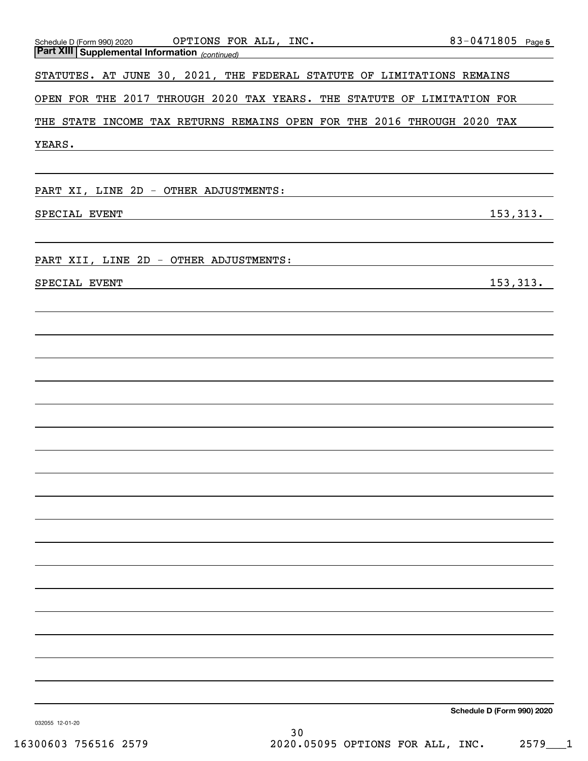| Part XIII Supplemental Information <sub>(continued)</sub><br>Part XIII Supplemental Information <sub>(continued)</sub><br>STATUTES. AT JUNE 30, 2021, THE FEDERAL STATUTE OF LIMITATIONS REMAINS<br>OPEN FOR THE 2017 THROUGH 2020 TAX YEARS. THE STATUTE OF LIMITATION FOR<br>THE STATE INCOME TAX RETURNS REMAINS OPEN FOR THE 2016 THROUGH 2020 TAX |
|--------------------------------------------------------------------------------------------------------------------------------------------------------------------------------------------------------------------------------------------------------------------------------------------------------------------------------------------------------|
|                                                                                                                                                                                                                                                                                                                                                        |
|                                                                                                                                                                                                                                                                                                                                                        |
|                                                                                                                                                                                                                                                                                                                                                        |
|                                                                                                                                                                                                                                                                                                                                                        |
| YEARS.                                                                                                                                                                                                                                                                                                                                                 |
|                                                                                                                                                                                                                                                                                                                                                        |
| PART XI, LINE 2D - OTHER ADJUSTMENTS:                                                                                                                                                                                                                                                                                                                  |
| 153, 313.<br>SPECIAL EVENT<br>and the control of the control of the control of the control of the control of the control of the control of the                                                                                                                                                                                                         |
|                                                                                                                                                                                                                                                                                                                                                        |
| PART XII, LINE 2D - OTHER ADJUSTMENTS:                                                                                                                                                                                                                                                                                                                 |
| 153, 313.<br>SPECIAL EVENT                                                                                                                                                                                                                                                                                                                             |
|                                                                                                                                                                                                                                                                                                                                                        |
|                                                                                                                                                                                                                                                                                                                                                        |
|                                                                                                                                                                                                                                                                                                                                                        |
|                                                                                                                                                                                                                                                                                                                                                        |
|                                                                                                                                                                                                                                                                                                                                                        |
|                                                                                                                                                                                                                                                                                                                                                        |
|                                                                                                                                                                                                                                                                                                                                                        |
|                                                                                                                                                                                                                                                                                                                                                        |
|                                                                                                                                                                                                                                                                                                                                                        |
|                                                                                                                                                                                                                                                                                                                                                        |
|                                                                                                                                                                                                                                                                                                                                                        |
|                                                                                                                                                                                                                                                                                                                                                        |
|                                                                                                                                                                                                                                                                                                                                                        |
|                                                                                                                                                                                                                                                                                                                                                        |
|                                                                                                                                                                                                                                                                                                                                                        |
|                                                                                                                                                                                                                                                                                                                                                        |
|                                                                                                                                                                                                                                                                                                                                                        |
|                                                                                                                                                                                                                                                                                                                                                        |
|                                                                                                                                                                                                                                                                                                                                                        |
| Schedule D (Form 990) 2020                                                                                                                                                                                                                                                                                                                             |

032055 12-01-20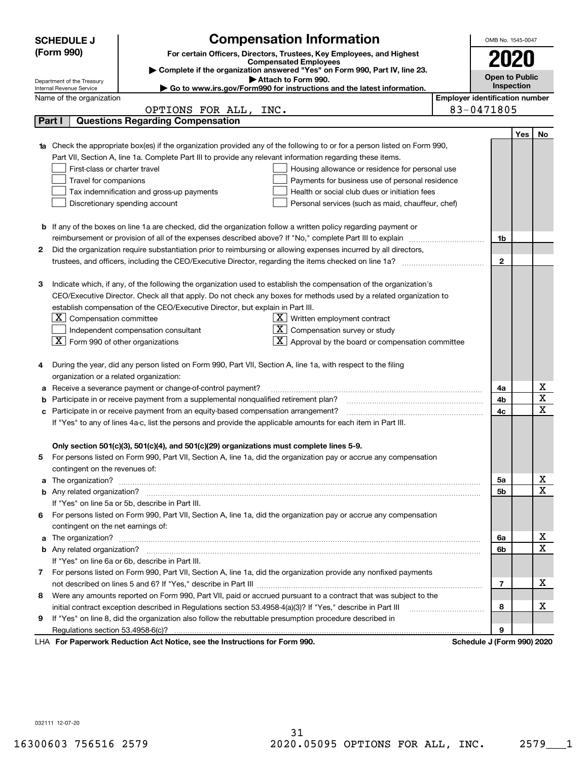|    | <b>Compensation Information</b><br><b>SCHEDULE J</b>                                                                                                                  |                                                   |                                       | OMB No. 1545-0047     |     |             |
|----|-----------------------------------------------------------------------------------------------------------------------------------------------------------------------|---------------------------------------------------|---------------------------------------|-----------------------|-----|-------------|
|    | (Form 990)<br>For certain Officers, Directors, Trustees, Key Employees, and Highest                                                                                   |                                                   |                                       |                       |     |             |
|    | <b>Compensated Employees</b>                                                                                                                                          |                                                   |                                       | 2020                  |     |             |
|    | Complete if the organization answered "Yes" on Form 990, Part IV, line 23.<br>Attach to Form 990.                                                                     |                                                   |                                       | <b>Open to Public</b> |     |             |
|    | Department of the Treasury<br>Go to www.irs.gov/Form990 for instructions and the latest information.<br>Internal Revenue Service                                      |                                                   |                                       | Inspection            |     |             |
|    | Name of the organization                                                                                                                                              |                                                   | <b>Employer identification number</b> |                       |     |             |
|    | INC.<br>OPTIONS FOR ALL,                                                                                                                                              |                                                   | 83-0471805                            |                       |     |             |
|    | <b>Questions Regarding Compensation</b><br>Part I                                                                                                                     |                                                   |                                       |                       |     |             |
|    |                                                                                                                                                                       |                                                   |                                       |                       | Yes | No          |
|    | Check the appropriate box(es) if the organization provided any of the following to or for a person listed on Form 990,                                                |                                                   |                                       |                       |     |             |
|    | Part VII, Section A, line 1a. Complete Part III to provide any relevant information regarding these items.                                                            |                                                   |                                       |                       |     |             |
|    | First-class or charter travel                                                                                                                                         | Housing allowance or residence for personal use   |                                       |                       |     |             |
|    | Travel for companions                                                                                                                                                 | Payments for business use of personal residence   |                                       |                       |     |             |
|    | Tax indemnification and gross-up payments                                                                                                                             | Health or social club dues or initiation fees     |                                       |                       |     |             |
|    | Discretionary spending account                                                                                                                                        | Personal services (such as maid, chauffeur, chef) |                                       |                       |     |             |
|    |                                                                                                                                                                       |                                                   |                                       |                       |     |             |
|    | <b>b</b> If any of the boxes on line 1a are checked, did the organization follow a written policy regarding payment or                                                |                                                   |                                       |                       |     |             |
|    |                                                                                                                                                                       |                                                   |                                       | 1b                    |     |             |
| 2  | Did the organization require substantiation prior to reimbursing or allowing expenses incurred by all directors,                                                      |                                                   |                                       |                       |     |             |
|    |                                                                                                                                                                       |                                                   |                                       | $\overline{2}$        |     |             |
|    |                                                                                                                                                                       |                                                   |                                       |                       |     |             |
| з  | Indicate which, if any, of the following the organization used to establish the compensation of the organization's                                                    |                                                   |                                       |                       |     |             |
|    | CEO/Executive Director. Check all that apply. Do not check any boxes for methods used by a related organization to                                                    |                                                   |                                       |                       |     |             |
|    | establish compensation of the CEO/Executive Director, but explain in Part III.                                                                                        |                                                   |                                       |                       |     |             |
|    | $ \mathbf{X} $ Compensation committee<br>$X$ Written employment contract                                                                                              |                                                   |                                       |                       |     |             |
|    | $X$ Compensation survey or study<br>Independent compensation consultant                                                                                               |                                                   |                                       |                       |     |             |
|    | $\boxed{\textbf{X}}$ Form 990 of other organizations<br>$\overline{X}$ Approval by the board or compensation committee                                                |                                                   |                                       |                       |     |             |
|    |                                                                                                                                                                       |                                                   |                                       |                       |     |             |
| 4  | During the year, did any person listed on Form 990, Part VII, Section A, line 1a, with respect to the filing                                                          |                                                   |                                       |                       |     |             |
|    | organization or a related organization:                                                                                                                               |                                                   |                                       |                       |     |             |
| а  | Receive a severance payment or change-of-control payment?                                                                                                             |                                                   |                                       | 4a                    |     | х           |
| b  | Participate in or receive payment from a supplemental nonqualified retirement plan?                                                                                   |                                                   |                                       | 4b                    |     | X           |
| c  | Participate in or receive payment from an equity-based compensation arrangement?                                                                                      |                                                   |                                       | 4c                    |     | X           |
|    | If "Yes" to any of lines 4a-c, list the persons and provide the applicable amounts for each item in Part III.                                                         |                                                   |                                       |                       |     |             |
|    |                                                                                                                                                                       |                                                   |                                       |                       |     |             |
|    | Only section 501(c)(3), 501(c)(4), and 501(c)(29) organizations must complete lines 5-9.                                                                              |                                                   |                                       |                       |     |             |
|    | For persons listed on Form 990, Part VII, Section A, line 1a, did the organization pay or accrue any compensation                                                     |                                                   |                                       |                       |     |             |
|    | contingent on the revenues of:                                                                                                                                        |                                                   |                                       |                       |     | X           |
| a  |                                                                                                                                                                       |                                                   |                                       | 5а                    |     | $\mathbf X$ |
|    |                                                                                                                                                                       |                                                   |                                       | 5b                    |     |             |
|    | If "Yes" on line 5a or 5b, describe in Part III.<br>For persons listed on Form 990, Part VII, Section A, line 1a, did the organization pay or accrue any compensation |                                                   |                                       |                       |     |             |
| 6. |                                                                                                                                                                       |                                                   |                                       |                       |     |             |
| a  | contingent on the net earnings of:                                                                                                                                    |                                                   |                                       | 6a                    |     | X           |
|    |                                                                                                                                                                       |                                                   |                                       | 6b                    |     | X           |
|    | If "Yes" on line 6a or 6b, describe in Part III.                                                                                                                      |                                                   |                                       |                       |     |             |
|    | 7 For persons listed on Form 990, Part VII, Section A, line 1a, did the organization provide any nonfixed payments                                                    |                                                   |                                       |                       |     |             |
|    |                                                                                                                                                                       |                                                   |                                       | 7                     |     | х           |
| 8  | Were any amounts reported on Form 990, Part VII, paid or accrued pursuant to a contract that was subject to the                                                       |                                                   |                                       |                       |     |             |
|    | initial contract exception described in Regulations section 53.4958-4(a)(3)? If "Yes," describe in Part III                                                           |                                                   |                                       | 8                     |     | х           |
| 9  | If "Yes" on line 8, did the organization also follow the rebuttable presumption procedure described in                                                                |                                                   |                                       |                       |     |             |
|    | Regulations section 53.4958-6(c)?                                                                                                                                     |                                                   |                                       | 9                     |     |             |
|    | For Departuark Reduction Act Notice, aso the Instructions for Form 000                                                                                                |                                                   | Cohodulo I (Form 000) 2020            |                       |     |             |

LHA For Paperwork Reduction Act Notice, see the Instructions for Form 990. Schedule J (Form 990) 2020

032111 12-07-20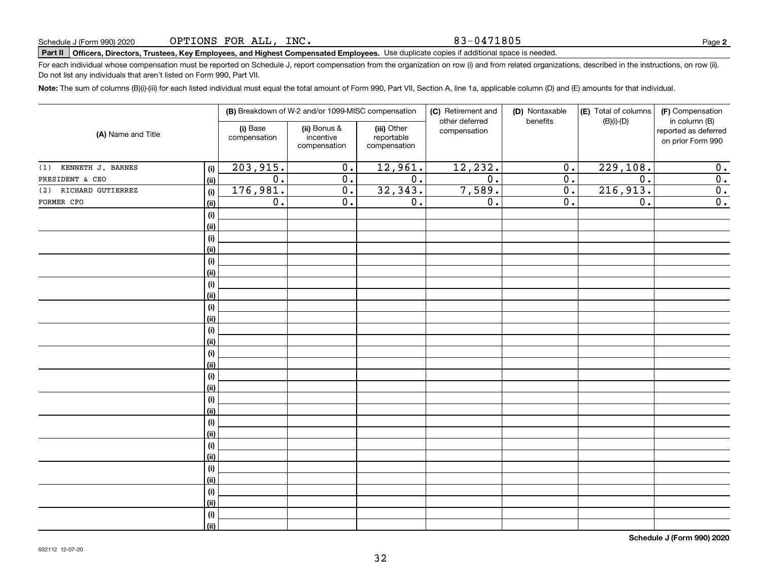83-0471805

# **Part II Officers, Directors, Trustees, Key Employees, and Highest Compensated Employees.**  Schedule J (Form 990) 2020 Page Use duplicate copies if additional space is needed.

For each individual whose compensation must be reported on Schedule J, report compensation from the organization on row (i) and from related organizations, described in the instructions, on row (ii). Do not list any individuals that aren't listed on Form 990, Part VII.

**Note:**  The sum of columns (B)(i)-(iii) for each listed individual must equal the total amount of Form 990, Part VII, Section A, line 1a, applicable column (D) and (E) amounts for that individual.

| (A) Name and Title    |             |                          | (B) Breakdown of W-2 and/or 1099-MISC compensation |                                           | (C) Retirement and<br>other deferred | (D) Nontaxable<br>benefits | (E) Total of columns | (F) Compensation<br>in column (B)         |  |
|-----------------------|-------------|--------------------------|----------------------------------------------------|-------------------------------------------|--------------------------------------|----------------------------|----------------------|-------------------------------------------|--|
|                       |             | (i) Base<br>compensation | (ii) Bonus &<br>incentive<br>compensation          | (iii) Other<br>reportable<br>compensation | compensation                         |                            | $(B)(i)-(D)$         | reported as deferred<br>on prior Form 990 |  |
| (1) KENNETH J. BARNES | (i)         | 203,915.                 | $\mathbf 0$ .                                      | 12,961.                                   | 12,232.                              | $\mathbf 0$ .              | 229,108.             | 0.                                        |  |
| PRESIDENT & CEO       | (ii)        | $\overline{0}$ .         | $\overline{0}$ .                                   | $\overline{0}$ .                          | $\overline{0}$ .                     | $\overline{0}$ .           | $\overline{0}$ .     | $\overline{\mathbf{0}}$ .                 |  |
| (2) RICHARD GUTIERREZ | (i)         | 176,981.                 | $\overline{0}$ .                                   | 32,343.                                   | 7,589.                               | $\overline{0}$ .           | 216,913.             | $\overline{0}$ .                          |  |
| FORMER CFO            | (ii)        | 0.                       | $\overline{0}$ .                                   | $\overline{0}$ .                          | $\overline{0}$ .                     | $\overline{0}$ .           | $\overline{0}$ .     | $\overline{\mathbf{0}}$ .                 |  |
|                       | (i)         |                          |                                                    |                                           |                                      |                            |                      |                                           |  |
|                       | (ii)        |                          |                                                    |                                           |                                      |                            |                      |                                           |  |
|                       | (i)         |                          |                                                    |                                           |                                      |                            |                      |                                           |  |
|                       | (ii)        |                          |                                                    |                                           |                                      |                            |                      |                                           |  |
|                       | (i)         |                          |                                                    |                                           |                                      |                            |                      |                                           |  |
|                       | (ii)        |                          |                                                    |                                           |                                      |                            |                      |                                           |  |
|                       | (i)         |                          |                                                    |                                           |                                      |                            |                      |                                           |  |
|                       | (ii)        |                          |                                                    |                                           |                                      |                            |                      |                                           |  |
|                       | (i)         |                          |                                                    |                                           |                                      |                            |                      |                                           |  |
|                       | (ii)        |                          |                                                    |                                           |                                      |                            |                      |                                           |  |
|                       | (i)         |                          |                                                    |                                           |                                      |                            |                      |                                           |  |
|                       | (ii)        |                          |                                                    |                                           |                                      |                            |                      |                                           |  |
|                       | (i)         |                          |                                                    |                                           |                                      |                            |                      |                                           |  |
|                       | (ii)        |                          |                                                    |                                           |                                      |                            |                      |                                           |  |
|                       | (i)         |                          |                                                    |                                           |                                      |                            |                      |                                           |  |
|                       | (ii)        |                          |                                                    |                                           |                                      |                            |                      |                                           |  |
|                       | (i)         |                          |                                                    |                                           |                                      |                            |                      |                                           |  |
|                       | (ii)        |                          |                                                    |                                           |                                      |                            |                      |                                           |  |
|                       | (i)<br>(ii) |                          |                                                    |                                           |                                      |                            |                      |                                           |  |
|                       | (i)         |                          |                                                    |                                           |                                      |                            |                      |                                           |  |
|                       | (ii)        |                          |                                                    |                                           |                                      |                            |                      |                                           |  |
|                       | (i)         |                          |                                                    |                                           |                                      |                            |                      |                                           |  |
|                       | (ii)        |                          |                                                    |                                           |                                      |                            |                      |                                           |  |
|                       | (i)         |                          |                                                    |                                           |                                      |                            |                      |                                           |  |
|                       | (ii)        |                          |                                                    |                                           |                                      |                            |                      |                                           |  |
|                       | (i)         |                          |                                                    |                                           |                                      |                            |                      |                                           |  |
|                       | (ii)        |                          |                                                    |                                           |                                      |                            |                      |                                           |  |
|                       |             |                          |                                                    |                                           |                                      |                            |                      |                                           |  |

**Schedule J (Form 990) 2020**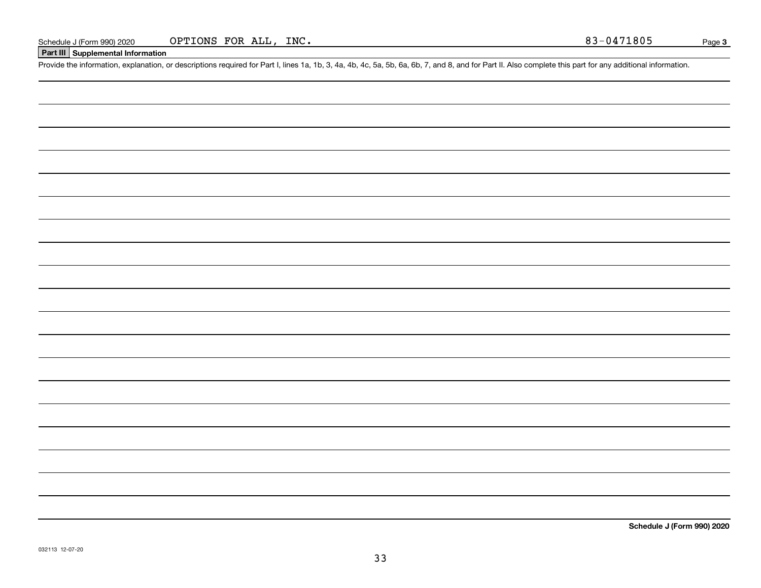### **Part III Supplemental Information**

Schedule J (Form 990) 2020 OPTIONS FOR ALL, INC.<br>Part III Supplemental Information<br>Provide the information, explanation, or descriptions required for Part I, lines 1a, 1b, 3, 4a, 4b, 4c, 5a, 5b, 6a, 6b, 7, and 8, and for P

**Schedule J (Form 990) 2020**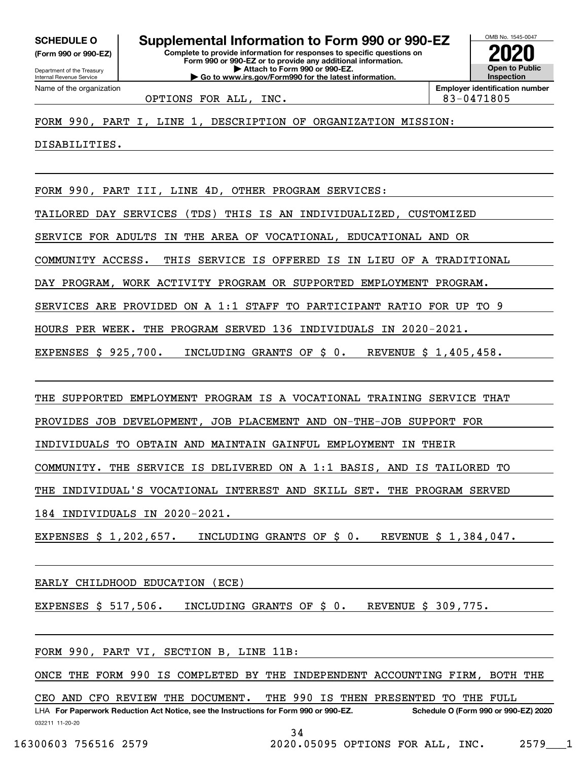**(Form 990 or 990-EZ)**

Department of the Treasury Internal Revenue Service Name of the organization

**Complete to provide information for responses to specific questions on Form 990 or 990-EZ or to provide any additional information. | Attach to Form 990 or 990-EZ. | Go to www.irs.gov/Form990 for the latest information. SCHEDULE O Supplemental Information to Form 990 or 990-EZ**



OPTIONS FOR ALL, INC. 83-0471805

FORM 990, PART I, LINE 1, DESCRIPTION OF ORGANIZATION MISSION:

DISABILITIES.

FORM 990, PART III, LINE 4D, OTHER PROGRAM SERVICES:

TAILORED DAY SERVICES (TDS) THIS IS AN INDIVIDUALIZED, CUSTOMIZED

SERVICE FOR ADULTS IN THE AREA OF VOCATIONAL, EDUCATIONAL AND OR

COMMUNITY ACCESS. THIS SERVICE IS OFFERED IS IN LIEU OF A TRADITIONAL

DAY PROGRAM, WORK ACTIVITY PROGRAM OR SUPPORTED EMPLOYMENT PROGRAM.

SERVICES ARE PROVIDED ON A 1:1 STAFF TO PARTICIPANT RATIO FOR UP TO 9

HOURS PER WEEK. THE PROGRAM SERVED 136 INDIVIDUALS IN 2020-2021.

EXPENSES \$ 925,700. INCLUDING GRANTS OF \$ 0. REVENUE \$ 1,405,458.

THE SUPPORTED EMPLOYMENT PROGRAM IS A VOCATIONAL TRAINING SERVICE THAT

PROVIDES JOB DEVELOPMENT, JOB PLACEMENT AND ON-THE-JOB SUPPORT FOR

INDIVIDUALS TO OBTAIN AND MAINTAIN GAINFUL EMPLOYMENT IN THEIR

COMMUNITY. THE SERVICE IS DELIVERED ON A 1:1 BASIS, AND IS TAILORED TO

THE INDIVIDUAL'S VOCATIONAL INTEREST AND SKILL SET. THE PROGRAM SERVED

184 INDIVIDUALS IN 2020-2021.

EXPENSES \$ 1,202,657. INCLUDING GRANTS OF \$ 0. REVENUE \$ 1,384,047.

EARLY CHILDHOOD EDUCATION (ECE)

EXPENSES \$ 517,506. INCLUDING GRANTS OF \$ 0. REVENUE \$ 309,775.

FORM 990, PART VI, SECTION B, LINE 11B:

ONCE THE FORM 990 IS COMPLETED BY THE INDEPENDENT ACCOUNTING FIRM, BOTH THE

CEO AND CFO REVIEW THE DOCUMENT. THE 990 IS THEN PRESENTED TO THE FULL

032211 11-20-20 LHA For Paperwork Reduction Act Notice, see the Instructions for Form 990 or 990-EZ. Schedule O (Form 990 or 990-EZ) 2020 34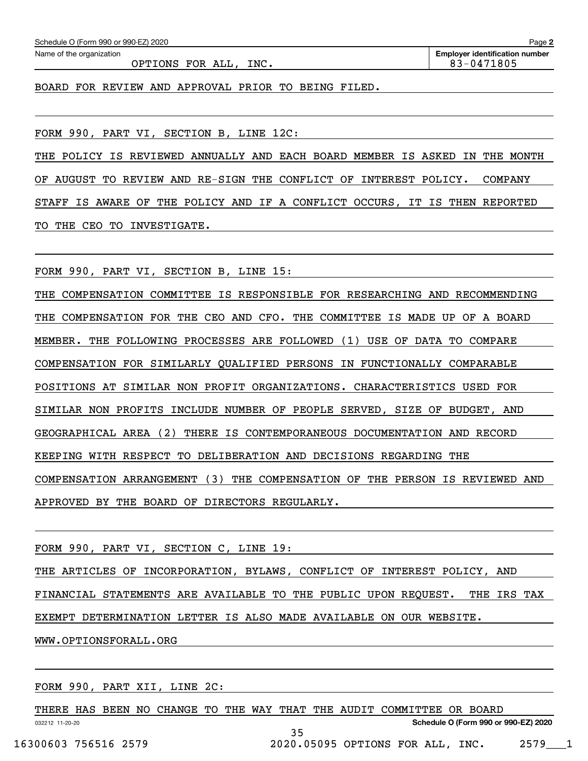| Schedule O (Form 990 or 990-EZ) 2020                          | Page 2                                |
|---------------------------------------------------------------|---------------------------------------|
| Name of the organization                                      | <b>Employer identification number</b> |
| OPTIONS FOR ALL,<br>INC.                                      | 83-0471805                            |
|                                                               |                                       |
| FOR REVIEW AND APPROVAL PRIOR TO BEING FILED.<br><b>BOARD</b> |                                       |

FORM 990, PART VI, SECTION B, LINE 12C:

THE POLICY IS REVIEWED ANNUALLY AND EACH BOARD MEMBER IS ASKED IN THE MONTH OF AUGUST TO REVIEW AND RE-SIGN THE CONFLICT OF INTEREST POLICY. COMPANY STAFF IS AWARE OF THE POLICY AND IF A CONFLICT OCCURS, IT IS THEN REPORTED TO THE CEO TO INVESTIGATE.

FORM 990, PART VI, SECTION B, LINE 15:

THE COMPENSATION COMMITTEE IS RESPONSIBLE FOR RESEARCHING AND RECOMMENDING THE COMPENSATION FOR THE CEO AND CFO. THE COMMITTEE IS MADE UP OF A BOARD MEMBER. THE FOLLOWING PROCESSES ARE FOLLOWED (1) USE OF DATA TO COMPARE COMPENSATION FOR SIMILARLY QUALIFIED PERSONS IN FUNCTIONALLY COMPARABLE POSITIONS AT SIMILAR NON PROFIT ORGANIZATIONS. CHARACTERISTICS USED FOR SIMILAR NON PROFITS INCLUDE NUMBER OF PEOPLE SERVED, SIZE OF BUDGET, AND GEOGRAPHICAL AREA (2) THERE IS CONTEMPORANEOUS DOCUMENTATION AND RECORD KEEPING WITH RESPECT TO DELIBERATION AND DECISIONS REGARDING THE COMPENSATION ARRANGEMENT (3) THE COMPENSATION OF THE PERSON IS REVIEWED AND APPROVED BY THE BOARD OF DIRECTORS REGULARLY.

FORM 990, PART VI, SECTION C, LINE 19:

THE ARTICLES OF INCORPORATION, BYLAWS, CONFLICT OF INTEREST POLICY, AND FINANCIAL STATEMENTS ARE AVAILABLE TO THE PUBLIC UPON REQUEST. THE IRS TAX EXEMPT DETERMINATION LETTER IS ALSO MADE AVAILABLE ON OUR WEBSITE. WWW.OPTIONSFORALL.ORG

FORM 990, PART XII, LINE 2C:

032212 11-20-20 **Schedule O (Form 990 or 990-EZ) 2020** THERE HAS BEEN NO CHANGE TO THE WAY THAT THE AUDIT COMMITTEE OR BOARD 35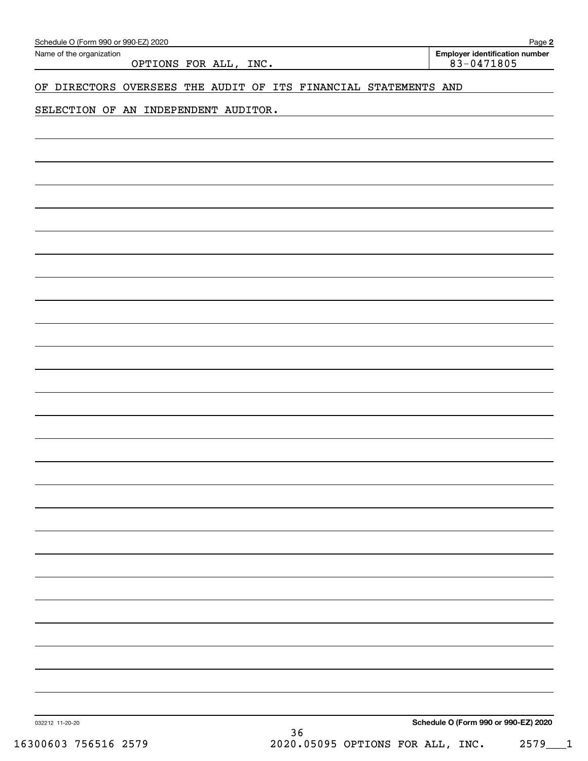| Schedule O (Form 990 or 990-EZ) 2020<br>Name of the organization<br>OPTIONS FOR ALL, INC. | Page 2<br><b>Employer identification number</b><br>$83 - 0471805$ |
|-------------------------------------------------------------------------------------------|-------------------------------------------------------------------|
| OF DIRECTORS OVERSEES THE AUDIT OF ITS FINANCIAL STATEMENTS AND                           |                                                                   |
| SELECTION OF AN INDEPENDENT AUDITOR.                                                      |                                                                   |
|                                                                                           |                                                                   |
|                                                                                           |                                                                   |
|                                                                                           |                                                                   |
|                                                                                           |                                                                   |
|                                                                                           |                                                                   |
|                                                                                           |                                                                   |
|                                                                                           |                                                                   |
|                                                                                           |                                                                   |
|                                                                                           |                                                                   |
|                                                                                           |                                                                   |
|                                                                                           |                                                                   |
|                                                                                           |                                                                   |
|                                                                                           |                                                                   |
|                                                                                           |                                                                   |
|                                                                                           |                                                                   |
|                                                                                           |                                                                   |
|                                                                                           |                                                                   |
|                                                                                           |                                                                   |
|                                                                                           |                                                                   |
|                                                                                           |                                                                   |
|                                                                                           |                                                                   |
|                                                                                           |                                                                   |
|                                                                                           |                                                                   |
|                                                                                           |                                                                   |
| 032212 11-20-20                                                                           | Schedule O (Form 990 or 990-EZ) 2020                              |
| 36                                                                                        |                                                                   |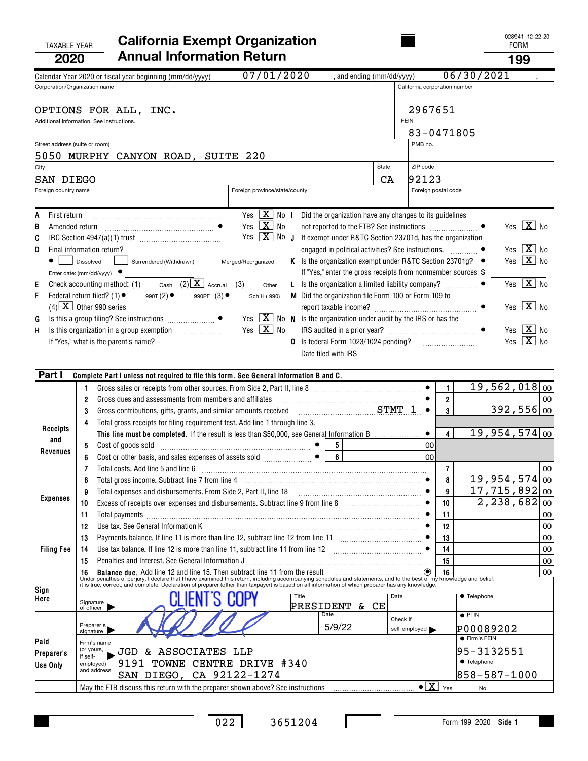| <b>TAXABLE YEAR</b><br>2020                                             | <b>California Exempt Organization</b><br><b>Annual Information Return</b>                                                                                                                                                                                                                                                                                                                                                                                        |                                                                                                                                                                                                                                  |                                                                                                                                                                                                                                                                                |                |                                                                                                                                                                               |             |                                             |                          |                                    | <b>FORM</b><br>199                             | 028941 12-22-20                                                                                                                                                                 |    |
|-------------------------------------------------------------------------|------------------------------------------------------------------------------------------------------------------------------------------------------------------------------------------------------------------------------------------------------------------------------------------------------------------------------------------------------------------------------------------------------------------------------------------------------------------|----------------------------------------------------------------------------------------------------------------------------------------------------------------------------------------------------------------------------------|--------------------------------------------------------------------------------------------------------------------------------------------------------------------------------------------------------------------------------------------------------------------------------|----------------|-------------------------------------------------------------------------------------------------------------------------------------------------------------------------------|-------------|---------------------------------------------|--------------------------|------------------------------------|------------------------------------------------|---------------------------------------------------------------------------------------------------------------------------------------------------------------------------------|----|
|                                                                         | Calendar Year 2020 or fiscal year beginning (mm/dd/yyyy)                                                                                                                                                                                                                                                                                                                                                                                                         | 07/01/2020                                                                                                                                                                                                                       |                                                                                                                                                                                                                                                                                |                | , and ending (mm/dd/yyyy)                                                                                                                                                     |             |                                             |                          | 06/30/2021                         |                                                |                                                                                                                                                                                 |    |
| Corporation/Organization name                                           |                                                                                                                                                                                                                                                                                                                                                                                                                                                                  |                                                                                                                                                                                                                                  |                                                                                                                                                                                                                                                                                |                |                                                                                                                                                                               |             | California corporation number               |                          |                                    |                                                |                                                                                                                                                                                 |    |
|                                                                         | OPTIONS FOR ALL,<br>INC.<br>Additional information. See instructions.                                                                                                                                                                                                                                                                                                                                                                                            |                                                                                                                                                                                                                                  |                                                                                                                                                                                                                                                                                |                |                                                                                                                                                                               | <b>FEIN</b> | 2967651                                     |                          |                                    |                                                |                                                                                                                                                                                 |    |
|                                                                         |                                                                                                                                                                                                                                                                                                                                                                                                                                                                  |                                                                                                                                                                                                                                  |                                                                                                                                                                                                                                                                                |                |                                                                                                                                                                               |             | 83-0471805                                  |                          |                                    |                                                |                                                                                                                                                                                 |    |
| Street address (suite or room)                                          |                                                                                                                                                                                                                                                                                                                                                                                                                                                                  |                                                                                                                                                                                                                                  |                                                                                                                                                                                                                                                                                |                |                                                                                                                                                                               |             | PMB no.                                     |                          |                                    |                                                |                                                                                                                                                                                 |    |
|                                                                         | 5050 MURPHY CANYON ROAD, SUITE 220                                                                                                                                                                                                                                                                                                                                                                                                                               |                                                                                                                                                                                                                                  |                                                                                                                                                                                                                                                                                |                |                                                                                                                                                                               | State       | ZIP code                                    |                          |                                    |                                                |                                                                                                                                                                                 |    |
| City<br>SAN DIEGO                                                       |                                                                                                                                                                                                                                                                                                                                                                                                                                                                  |                                                                                                                                                                                                                                  |                                                                                                                                                                                                                                                                                |                |                                                                                                                                                                               | CA          | 92123                                       |                          |                                    |                                                |                                                                                                                                                                                 |    |
| Foreign country name                                                    |                                                                                                                                                                                                                                                                                                                                                                                                                                                                  | Foreign province/state/county                                                                                                                                                                                                    |                                                                                                                                                                                                                                                                                |                |                                                                                                                                                                               |             | Foreign postal code                         |                          |                                    |                                                |                                                                                                                                                                                 |    |
|                                                                         |                                                                                                                                                                                                                                                                                                                                                                                                                                                                  |                                                                                                                                                                                                                                  |                                                                                                                                                                                                                                                                                |                |                                                                                                                                                                               |             |                                             |                          |                                    |                                                |                                                                                                                                                                                 |    |
| Α<br>First return<br>Amended return<br>B<br>C<br>D<br>Е<br>F<br>G<br>Н. | Final information return?<br>Dissolved<br>Surrendered (Withdrawn)<br>Enter date: $(mm/dd/yyyy)$<br>Cash $(2)$ $\overline{X}$ Accrual<br>Check accounting method: (1)<br>Federal return filed? (1) $\bullet$<br>990T(2)<br>990PF $(3)$ $\bullet$<br>$(4)$ $\overline{\mathbf{X}}$ Other 990 series<br>Is this organization in a group exemption<br>.<br>If "Yes," what is the parent's name?                                                                      | Yes $\boxed{\mathbf{X}}$ No I<br>Yes $\boxed{\mathbf{X}}$ No<br>Yes<br>Merged/Reorganized<br>(3)<br>Other<br>Sch H (990)<br>Yes $\boxed{\mathbf{X}}$ No   N Is the organization under audit by the IRS or has the<br>Yes $X_{0}$ | $\boxed{\mathbf{X}}$ No $\boxed{\mathbf{J}}$ If exempt under R&TC Section 23701d, has the organization<br>K Is the organization exempt under R&TC Section 23701g?<br>L Is the organization a limited liability company?<br>M Did the organization file Form 100 or Form 109 to |                | Did the organization have any changes to its guidelines<br>engaged in political activities? See instructions.<br>If "Yes," enter the gross receipts from nonmember sources \$ |             |                                             |                          |                                    | Yes                                            | Yes $\boxed{\mathbf{X}}$ No<br>Yes $\boxed{\mathbf{X}}$ No<br>Yes $X$ No<br>$\boxed{\mathbf{X}}$ No<br>Yes $\boxed{\mathbf{X}}$ No<br>Yes $X$ No<br>Yes $\boxed{\mathbf{X}}$ No |    |
| Part I                                                                  | Complete Part I unless not required to file this form. See General Information B and C.                                                                                                                                                                                                                                                                                                                                                                          |                                                                                                                                                                                                                                  |                                                                                                                                                                                                                                                                                |                |                                                                                                                                                                               |             |                                             |                          |                                    |                                                |                                                                                                                                                                                 |    |
|                                                                         | Gross sales or receipts from other sources. From Side 2, Part II, line 8 [11] content to the set of the set of the state of the Summann School and School and School and School and School and School and School and School an<br>1<br>Gross dues and assessments from members and affiliates<br>2<br>3<br>Gross contributions, gifts, grants, and similar amounts received<br>Total gross receipts for filing requirement test. Add line 1 through line 3.<br>4 |                                                                                                                                                                                                                                  |                                                                                                                                                                                                                                                                                |                | $STMT$ 1                                                                                                                                                                      |             | $\bullet$<br>$\bullet$                      | 1<br>$\overline{2}$<br>3 |                                    | $19,562,018$ 00<br>$392,556$ 00                |                                                                                                                                                                                 | 00 |
| Receipts                                                                | This line must be completed. If the result is less than \$50,000, see General Information B                                                                                                                                                                                                                                                                                                                                                                      |                                                                                                                                                                                                                                  |                                                                                                                                                                                                                                                                                |                |                                                                                                                                                                               |             |                                             | 4                        |                                    | $19,954,574$ 00                                |                                                                                                                                                                                 |    |
| and                                                                     | Cost of goods sold<br>5                                                                                                                                                                                                                                                                                                                                                                                                                                          |                                                                                                                                                                                                                                  |                                                                                                                                                                                                                                                                                | 5              |                                                                                                                                                                               |             | 00                                          |                          |                                    |                                                |                                                                                                                                                                                 |    |
| Revenues                                                                |                                                                                                                                                                                                                                                                                                                                                                                                                                                                  |                                                                                                                                                                                                                                  |                                                                                                                                                                                                                                                                                | 6              |                                                                                                                                                                               |             | 00                                          |                          |                                    |                                                |                                                                                                                                                                                 |    |
|                                                                         | Total costs. Add line 5 and line 6                                                                                                                                                                                                                                                                                                                                                                                                                               |                                                                                                                                                                                                                                  |                                                                                                                                                                                                                                                                                |                |                                                                                                                                                                               |             |                                             | $\overline{7}$           |                                    |                                                |                                                                                                                                                                                 | 00 |
|                                                                         | 8                                                                                                                                                                                                                                                                                                                                                                                                                                                                |                                                                                                                                                                                                                                  |                                                                                                                                                                                                                                                                                |                |                                                                                                                                                                               |             |                                             | 8                        |                                    | $19,954,574$ 00                                |                                                                                                                                                                                 |    |
| <b>Expenses</b>                                                         | Total expenses and disbursements. From Side 2, Part II, line 18<br>9                                                                                                                                                                                                                                                                                                                                                                                             |                                                                                                                                                                                                                                  |                                                                                                                                                                                                                                                                                |                |                                                                                                                                                                               |             | $\bullet$                                   | 9<br>10                  |                                    | $17,715,892$ 00<br>$\overline{2,}$ 238, 682 00 |                                                                                                                                                                                 |    |
|                                                                         | Excess of receipts over expenses and disbursements. Subtract line 9 from line 8 [11, 11, 11, 11, 11, 11, 11, 1<br>10<br>11<br>Total payments [111] matter and the contract of the contract of the contract of the contract of the contract of the contract of the contract of the contract of the contract of the contract of the contract of the contract o                                                                                                     |                                                                                                                                                                                                                                  |                                                                                                                                                                                                                                                                                |                |                                                                                                                                                                               |             |                                             | 11                       |                                    |                                                |                                                                                                                                                                                 | 00 |
|                                                                         | Use tax. See General Information K<br>12                                                                                                                                                                                                                                                                                                                                                                                                                         |                                                                                                                                                                                                                                  |                                                                                                                                                                                                                                                                                |                |                                                                                                                                                                               |             |                                             | 12                       |                                    |                                                |                                                                                                                                                                                 | 00 |
|                                                                         | 13                                                                                                                                                                                                                                                                                                                                                                                                                                                               |                                                                                                                                                                                                                                  |                                                                                                                                                                                                                                                                                |                |                                                                                                                                                                               |             |                                             | 13                       |                                    |                                                |                                                                                                                                                                                 | 00 |
| <b>Filing Fee</b>                                                       | Use tax balance. If line 12 is more than line 11, subtract line 11 from line 12 [11] [12] [11] [12] [11] [12] [11] [12] [11] [12] [11] [12] [11] [12] [11] [12] [11] [12] [11] [12] [11] [12] [11] [12] [11] [12] [11] [12] [1<br>14                                                                                                                                                                                                                             |                                                                                                                                                                                                                                  |                                                                                                                                                                                                                                                                                |                |                                                                                                                                                                               |             |                                             | 14                       |                                    |                                                |                                                                                                                                                                                 | 00 |
|                                                                         | Penalties and Interest. See General Information J<br>15                                                                                                                                                                                                                                                                                                                                                                                                          |                                                                                                                                                                                                                                  |                                                                                                                                                                                                                                                                                |                |                                                                                                                                                                               |             |                                             | 15                       |                                    |                                                |                                                                                                                                                                                 | 00 |
|                                                                         | 16 Balance due. Add line 12 and line 15. Then subtract line 11 from the result<br>Under penalties of perjury, I declare that I have examined this return, including accompanying schedules and statements, and to the best of my                                                                                                                                                                                                                                 |                                                                                                                                                                                                                                  |                                                                                                                                                                                                                                                                                |                |                                                                                                                                                                               |             |                                             |                          |                                    |                                                |                                                                                                                                                                                 | 00 |
| Sign<br>Here                                                            | Signature<br>of officer                                                                                                                                                                                                                                                                                                                                                                                                                                          |                                                                                                                                                                                                                                  | Title<br>PRESIDENT & CE                                                                                                                                                                                                                                                        |                |                                                                                                                                                                               | Date        |                                             |                          | <b>• Telephone</b>                 |                                                |                                                                                                                                                                                 |    |
|                                                                         | Preparer's<br>signature                                                                                                                                                                                                                                                                                                                                                                                                                                          |                                                                                                                                                                                                                                  |                                                                                                                                                                                                                                                                                | Date<br>5/9/22 |                                                                                                                                                                               | Check if    | self-employed                               |                          | $\bullet$ PTIN<br>P00089202        |                                                |                                                                                                                                                                                 |    |
| Paid                                                                    | Firm's name                                                                                                                                                                                                                                                                                                                                                                                                                                                      |                                                                                                                                                                                                                                  |                                                                                                                                                                                                                                                                                |                |                                                                                                                                                                               |             |                                             |                          | ● Firm's FEIN                      |                                                |                                                                                                                                                                                 |    |
| Preparer's                                                              | (or yours,<br>JGD & ASSOCIATES LLP<br>if self-                                                                                                                                                                                                                                                                                                                                                                                                                   |                                                                                                                                                                                                                                  |                                                                                                                                                                                                                                                                                |                |                                                                                                                                                                               |             |                                             |                          | 95-3132551                         |                                                |                                                                                                                                                                                 |    |
| Use Only                                                                | 9191 TOWNE CENTRE DRIVE #340<br>employed)<br>and address<br>SAN DIEGO, CA 92122-1274                                                                                                                                                                                                                                                                                                                                                                             |                                                                                                                                                                                                                                  |                                                                                                                                                                                                                                                                                |                |                                                                                                                                                                               |             |                                             |                          | <b>• Telephone</b><br>858-587-1000 |                                                |                                                                                                                                                                                 |    |
|                                                                         | May the FTB discuss this return with the preparer shown above? See instructions [11,111] May the FTB discuss this return with the preparer shown above? See instructions                                                                                                                                                                                                                                                                                         |                                                                                                                                                                                                                                  |                                                                                                                                                                                                                                                                                |                |                                                                                                                                                                               |             | $\bullet$ $\boxed{\mathbf{X}}$ $\forall$ es |                          | No                                 |                                                |                                                                                                                                                                                 |    |

 $\mathbf I$ 

028941 12-22-20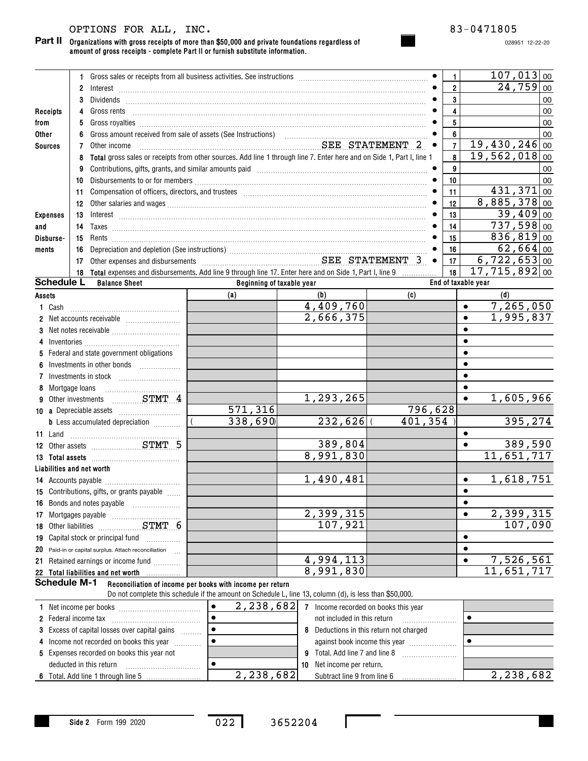# OPTIONS FOR ALL, INC. 83-0471805

#### **Organizations with gross receipts of more than \$50,000 and private foundations regardless of Part II amount of gross receipts - complete Part II or furnish substitute information.**

028951 12-22-20

|                 |                     |                 | 1 Gross sales or receipts from all business activities. See instructions [11] Gross sales or receipts from all business activities. See instructions [11] Gross sales or receipts from all business activities.                                                                                                                                                                                                                                                                                                           |                           |                                      |                                       | $\mathbf{1}$     |                     |                            | $107,013$ 00           |    |
|-----------------|---------------------|-----------------|---------------------------------------------------------------------------------------------------------------------------------------------------------------------------------------------------------------------------------------------------------------------------------------------------------------------------------------------------------------------------------------------------------------------------------------------------------------------------------------------------------------------------|---------------------------|--------------------------------------|---------------------------------------|------------------|---------------------|----------------------------|------------------------|----|
|                 |                     | $\mathbf{2}$    | $Interest \begin{tabular}{@{}l@{}} \hline \multicolumn{3}{c}{\textbf{Interest}} \end{tabular} \begin{tabular}{@{}l@{}} \hline \multicolumn{3}{c}{\textbf{Interest}} \end{tabular} \begin{tabular}{@{}l@{}} \hline \multicolumn{3}{c}{\textbf{Interest}} \end{tabular} \begin{tabular}{@{}l@{}} \hline \multicolumn{3}{c}{\textbf{Interest}} \end{tabular} \begin{tabular}{@{}l@{}} \hline \multicolumn{3}{c}{\textbf{Interest}} \end{tabular} \begin{tabular}{@{}l@{}} \hline \multicolumn{3}{c}{\textbf{Interest}} \end$ |                           |                                      |                                       | $\overline{2}$   |                     |                            | $\sqrt{24}$ , 759 00   |    |
|                 |                     | 3               |                                                                                                                                                                                                                                                                                                                                                                                                                                                                                                                           |                           |                                      |                                       | $\mathbf 3$      |                     |                            |                        | 00 |
| Receipts        |                     | 4               |                                                                                                                                                                                                                                                                                                                                                                                                                                                                                                                           |                           |                                      |                                       | $\overline{4}$   |                     |                            |                        | 00 |
| from            |                     | 5               |                                                                                                                                                                                                                                                                                                                                                                                                                                                                                                                           |                           |                                      |                                       | $5\phantom{a}$   |                     |                            |                        | 00 |
| Other           |                     | 6               |                                                                                                                                                                                                                                                                                                                                                                                                                                                                                                                           |                           |                                      |                                       | 6                |                     |                            |                        | 00 |
| <b>Sources</b>  |                     | $\mathbf{7}$    | Other income                                                                                                                                                                                                                                                                                                                                                                                                                                                                                                              | SEE STATEMENT 2           |                                      |                                       | $\overline{7}$   |                     | $19,430,246$ 00            |                        |    |
|                 |                     | 8               | Total gross sales or receipts from other sources. Add line 1 through line 7. Enter here and on Side 1, Part I, line 1                                                                                                                                                                                                                                                                                                                                                                                                     |                           |                                      |                                       | 8                |                     | $19,562,018$ <sub>00</sub> |                        |    |
|                 |                     | 9               | Contributions, gifts, grants, and similar amounts paid manufactured contract and contributions, gifts, grants, and similar amounts paid                                                                                                                                                                                                                                                                                                                                                                                   |                           |                                      |                                       | $\boldsymbol{9}$ |                     |                            |                        | 00 |
|                 |                     | 10              |                                                                                                                                                                                                                                                                                                                                                                                                                                                                                                                           |                           |                                      |                                       | 10               |                     |                            |                        | 00 |
|                 |                     |                 | 11 Compensation of officers, directors, and trustees [11,11] Compensation of order and trusts and trusts and trusts are main successfully compensation of $\sim$                                                                                                                                                                                                                                                                                                                                                          |                           |                                      |                                       | 11               |                     |                            | $431,371$ 00           |    |
|                 |                     | 12 <sup>°</sup> | Other salaries and wages<br>$\begin{minipage}{0.5\textwidth} \centering \begin{tabular}{@{}c@{}} \hline \textbf{0.1}\end{tabular} \end{minipage} \begin{minipage}{0.5\textwidth} \centering \begin{tabular}{@{}c@{}} \hline \textbf{1.1}\end{tabular} \end{minipage} \end{minipage} \begin{minipage}{0.5\textwidth} \centering \begin{tabular}{@{}c@{}} \hline \textbf{2.1}\end{tabular} \end{minipage} \end{minipage} \begin{minipage}{0.5\textwidth} \centering \begin{tabular}{@$                                      |                           |                                      |                                       | 12               |                     | $8,885,378$ <sub>00</sub>  |                        |    |
| <b>Expenses</b> |                     | 13              | $Interest \begin{array}{c} \rule{2.5cm}{0.15cm} \rule{2.5cm}{0.15cm} \rule{2.5cm}{0.15cm} \rule{2.5cm}{0.15cm} \rule{2.5cm}{0.15cm} \rule{2.5cm}{0.15cm} \rule{2.5cm}{0.15cm} \rule{2.5cm}{0.15cm} \rule{2.5cm}{0.15cm} \rule{2.5cm}{0.15cm} \rule{2.5cm}{0.15cm} \rule{2.5cm}{0.15cm} \rule{2.5cm}{0.15cm} \rule{2.5cm}{0.15cm} \rule{2.5cm}{0.15cm} \$                                                                                                                                                                  |                           |                                      |                                       | 13               |                     |                            | $39,409$ 00            |    |
| and             |                     |                 |                                                                                                                                                                                                                                                                                                                                                                                                                                                                                                                           |                           |                                      |                                       | 14               |                     |                            | $737,598$ 00           |    |
| Disburse-       |                     |                 |                                                                                                                                                                                                                                                                                                                                                                                                                                                                                                                           |                           |                                      |                                       | 15               |                     |                            | $836, 819$ 00          |    |
| ments           |                     | 16              |                                                                                                                                                                                                                                                                                                                                                                                                                                                                                                                           |                           |                                      |                                       | 16               |                     |                            | $62, 664$ 00           |    |
|                 |                     | 17              | Other expenses and disbursements Material Material SEE STATEMENT 3                                                                                                                                                                                                                                                                                                                                                                                                                                                        |                           |                                      |                                       | 17 <sup>2</sup>  |                     | $6, 722, 653$ 00           |                        |    |
|                 |                     |                 | 18 Total expenses and disbursements. Add line 9 through line 17. Enter here and on Side 1, Part I, line 9                                                                                                                                                                                                                                                                                                                                                                                                                 |                           |                                      |                                       | 18               |                     | $17,715,892$ 00            |                        |    |
|                 | <b>Schedule L</b>   |                 | <b>Balance Sheet</b>                                                                                                                                                                                                                                                                                                                                                                                                                                                                                                      | Beginning of taxable year |                                      |                                       |                  | End of taxable year |                            |                        |    |
| Assets          |                     |                 |                                                                                                                                                                                                                                                                                                                                                                                                                                                                                                                           | (a)                       | (b)                                  | (c)                                   |                  |                     | (d)                        |                        |    |
|                 |                     |                 |                                                                                                                                                                                                                                                                                                                                                                                                                                                                                                                           |                           | 4,409,760                            |                                       |                  |                     |                            | 7,265,050              |    |
|                 |                     |                 |                                                                                                                                                                                                                                                                                                                                                                                                                                                                                                                           |                           | 2,666,375                            |                                       |                  |                     |                            | 1,995,837              |    |
|                 |                     |                 |                                                                                                                                                                                                                                                                                                                                                                                                                                                                                                                           |                           |                                      |                                       |                  |                     |                            |                        |    |
|                 |                     |                 |                                                                                                                                                                                                                                                                                                                                                                                                                                                                                                                           |                           |                                      |                                       |                  |                     |                            |                        |    |
|                 |                     |                 | 5 Federal and state government obligations                                                                                                                                                                                                                                                                                                                                                                                                                                                                                |                           |                                      |                                       |                  |                     |                            |                        |    |
|                 |                     |                 | Investments in other bonds                                                                                                                                                                                                                                                                                                                                                                                                                                                                                                |                           |                                      |                                       |                  |                     |                            |                        |    |
|                 |                     |                 |                                                                                                                                                                                                                                                                                                                                                                                                                                                                                                                           |                           |                                      |                                       |                  |                     |                            |                        |    |
|                 | Mortgage loans      |                 |                                                                                                                                                                                                                                                                                                                                                                                                                                                                                                                           |                           |                                      |                                       |                  |                     |                            |                        |    |
|                 |                     |                 |                                                                                                                                                                                                                                                                                                                                                                                                                                                                                                                           |                           | 1,293,265                            |                                       |                  |                     |                            | 1,605,966              |    |
|                 |                     |                 |                                                                                                                                                                                                                                                                                                                                                                                                                                                                                                                           | 571,316                   |                                      | 796,628                               |                  |                     |                            |                        |    |
|                 |                     |                 | <b>b</b> Less accumulated depreciation <i></i>                                                                                                                                                                                                                                                                                                                                                                                                                                                                            | 338,690                   | 232,626                              | 401, 354                              |                  |                     |                            | 395,274                |    |
|                 |                     |                 |                                                                                                                                                                                                                                                                                                                                                                                                                                                                                                                           |                           |                                      |                                       |                  | $\bullet$           |                            |                        |    |
|                 |                     |                 |                                                                                                                                                                                                                                                                                                                                                                                                                                                                                                                           |                           | 389,804                              |                                       |                  | $\bullet$           |                            | 389,590                |    |
|                 |                     |                 |                                                                                                                                                                                                                                                                                                                                                                                                                                                                                                                           |                           | 8,991,830                            |                                       |                  |                     | 11,651,717                 |                        |    |
|                 |                     |                 | Liabilities and net worth                                                                                                                                                                                                                                                                                                                                                                                                                                                                                                 |                           |                                      |                                       |                  |                     |                            |                        |    |
|                 |                     |                 |                                                                                                                                                                                                                                                                                                                                                                                                                                                                                                                           |                           | 1,490,481                            |                                       |                  |                     |                            | $\overline{1,618,751}$ |    |
|                 |                     |                 | 15 Contributions, gifts, or grants payable                                                                                                                                                                                                                                                                                                                                                                                                                                                                                |                           |                                      |                                       |                  |                     |                            |                        |    |
|                 |                     |                 | 16 Bonds and notes payable                                                                                                                                                                                                                                                                                                                                                                                                                                                                                                |                           |                                      |                                       |                  | $\bullet$           |                            |                        |    |
|                 |                     |                 |                                                                                                                                                                                                                                                                                                                                                                                                                                                                                                                           |                           | <u>2,399,315</u>                     |                                       |                  |                     |                            | 2,399,315              |    |
|                 |                     |                 |                                                                                                                                                                                                                                                                                                                                                                                                                                                                                                                           |                           | 107,921                              |                                       |                  |                     |                            | 107,090                |    |
| 19              |                     |                 | Capital stock or principal fund                                                                                                                                                                                                                                                                                                                                                                                                                                                                                           |                           |                                      |                                       |                  |                     |                            |                        |    |
| 20              |                     |                 | Paid-in or capital surplus. Attach reconciliation                                                                                                                                                                                                                                                                                                                                                                                                                                                                         |                           |                                      |                                       |                  |                     |                            |                        |    |
|                 |                     |                 | 21 Retained earnings or income fund                                                                                                                                                                                                                                                                                                                                                                                                                                                                                       |                           | <u>4,994,113</u>                     |                                       |                  |                     |                            | 7,526,561              |    |
|                 |                     |                 | 22 Total liabilities and net worth                                                                                                                                                                                                                                                                                                                                                                                                                                                                                        |                           | 8,991,830                            |                                       |                  |                     | 11,651,717                 |                        |    |
|                 | <b>Schedule M-1</b> |                 | Reconciliation of income per books with income per return                                                                                                                                                                                                                                                                                                                                                                                                                                                                 |                           |                                      |                                       |                  |                     |                            |                        |    |
|                 |                     |                 | Do not complete this schedule if the amount on Schedule L, line 13, column (d), is less than \$50,000.                                                                                                                                                                                                                                                                                                                                                                                                                    |                           |                                      |                                       |                  |                     |                            |                        |    |
|                 |                     |                 |                                                                                                                                                                                                                                                                                                                                                                                                                                                                                                                           | 2,238,682<br>$\bullet$    | 7 Income recorded on books this year |                                       |                  |                     |                            |                        |    |
|                 |                     |                 | 2 Federal income tax                                                                                                                                                                                                                                                                                                                                                                                                                                                                                                      |                           | not included in this return          |                                       |                  | $\bullet$           |                            |                        |    |
| 3               |                     |                 | Excess of capital losses over capital gains                                                                                                                                                                                                                                                                                                                                                                                                                                                                               | $\bullet$                 | 8                                    | Deductions in this return not charged |                  |                     |                            |                        |    |
|                 |                     |                 | 4 Income not recorded on books this year                                                                                                                                                                                                                                                                                                                                                                                                                                                                                  |                           |                                      | against book income this year         |                  |                     |                            |                        |    |

**5**Expenses recorded on books this year not **6** Total. Add line 1 through line 5 deducted in this return  $~\ldots \ldots \, .$ 

**Side 2** Form 199 2020

022 3652204

 $\bullet$ 

**9** Total. Add line 7 and line 8 **10** Net income per return.

2 **,** 238 **,** 682 Subtract line 9 from line 6 …………………… | 2 **,** 238 **,** 682

. . . . . . . . . . . . . . . . .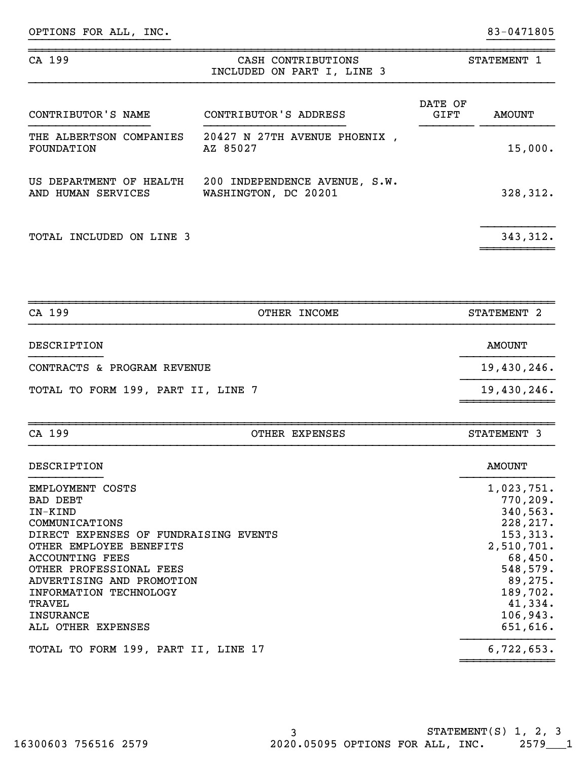OPTIONS FOR ALL, INC. 2008 2012 12:30 12:30 13 13 14:30 14:30 15 16:30 16:30 16:30 16:30 16:30 16:30 16:30 16:30 16:30 16:30 16:30 16:30 16:30 16:30 16:30 16:30 16:30 16:30 16:30 16:30 16:30 16:30 16:30 16:30 16:30 16:30 1

| CA 199                                        | CASH CONTRIBUTIONS<br>INCLUDED ON PART I, LINE 3      |                 | STATEMENT 1   |
|-----------------------------------------------|-------------------------------------------------------|-----------------|---------------|
| CONTRIBUTOR'S NAME                            | CONTRIBUTOR'S ADDRESS                                 | DATE OF<br>GIFT | <b>AMOUNT</b> |
| THE ALBERTSON COMPANIES<br>FOUNDATION         | 20427 N 27TH AVENUE PHOENIX .<br>AZ 85027             |                 | 15,000.       |
| US DEPARTMENT OF HEALTH<br>AND HUMAN SERVICES | 200 INDEPENDENCE AVENUE, S.W.<br>WASHINGTON, DC 20201 |                 | 328,312.      |
| <b>TOTAL INCLUDED ON LINE 3</b>               |                                                       |                 | 343, 312.     |

}}}}}}}}}}}}}}}}}}}}} }}}}}}}}}}

| CA 199                             | OTHER INCOME | STATEMENT 2   |
|------------------------------------|--------------|---------------|
| DESCRIPTION                        |              | <b>AMOUNT</b> |
| CONTRACTS & PROGRAM REVENUE        |              | 19,430,246.   |
| TOTAL TO FORM 199, PART II, LINE 7 |              | 19,430,246.   |
|                                    |              |               |

~~~~~~~~~~~~~~~~~~~~~~~~~~~~~~~~~~~~~~~~~~~~~~~~~~~~~~~~~~~~~~~~~~~~~~~~~~~~~~

| CA 199                                                                                                                                                                                                                                                                                        | OTHER EXPENSES | STATEMENT 3                                                                                                                                                   |
|-----------------------------------------------------------------------------------------------------------------------------------------------------------------------------------------------------------------------------------------------------------------------------------------------|----------------|---------------------------------------------------------------------------------------------------------------------------------------------------------------|
| DESCRIPTION                                                                                                                                                                                                                                                                                   |                | <b>AMOUNT</b>                                                                                                                                                 |
| EMPLOYMENT COSTS<br>BAD DEBT<br>IN-KIND<br>COMMUNICATIONS<br>DIRECT EXPENSES OF FUNDRAISING EVENTS<br>OTHER EMPLOYEE BENEFITS<br><b>ACCOUNTING FEES</b><br>OTHER PROFESSIONAL FEES<br>ADVERTISING AND PROMOTION<br>INFORMATION TECHNOLOGY<br>TRAVEL<br><b>INSURANCE</b><br>ALL OTHER EXPENSES |                | 1,023,751.<br>770, 209.<br>340,563.<br>228, 217.<br>153, 313.<br>2,510,701.<br>68,450.<br>548,579.<br>89, 275.<br>189,702.<br>41,334.<br>106,943.<br>651,616. |
| TOTAL TO FORM 199, PART II, LINE 17                                                                                                                                                                                                                                                           |                | 6,722,653.                                                                                                                                                    |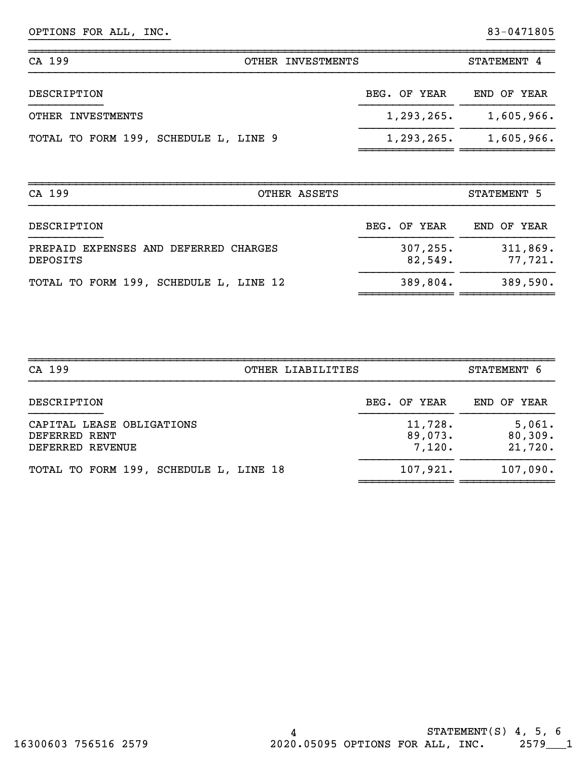# OPTIONS FOR ALL, INC. 2008 2012 12:30 12:30 13 13 14:30 14:30 15 16:30 16:30 16:30 16:30 16:30 16:30 16:30 16:30 16:30 16:30 16:30 16:30 16:30 16:30 16:30 16:30 16:30 16:30 16:30 16:30 16:30 16:30 16:30 16:30 16:30 16:30 1

| CA 199<br>OTHER INVESTMENTS           | STATEMENT 4                 |
|---------------------------------------|-----------------------------|
| DESCRIPTION                           | BEG. OF YEAR<br>END OF YEAR |
| OTHER INVESTMENTS                     | 1,293,265.<br>1,605,966.    |
| TOTAL TO FORM 199, SCHEDULE L, LINE 9 | 1,293,265.<br>1,605,966.    |

}}}}}}}}}}}}}}}}}}}}} }}}}}}}}}}

~~~~~~~~~~~~~~~~~~~~~~~~~~~~~~~~~~~~~~~~~~~~~~~~~~~~~~~~~~~~~~~~~~~~~~~~~~~~~~

| CA 199<br>OTHER ASSETS                            |                      | STATEMENT 5         |
|---------------------------------------------------|----------------------|---------------------|
| DESCRIPTION                                       | BEG. OF YEAR         | END OF YEAR         |
| PREPAID EXPENSES AND DEFERRED CHARGES<br>DEPOSITS | 307, 255.<br>82,549. | 311,869.<br>77,721. |
| TOTAL TO FORM 199, SCHEDULE L, LINE 12            | 389,804.             | 389,590.            |

| CA 199<br>OTHER LIABILITIES                                    |                              | STATEMENT 6                  |
|----------------------------------------------------------------|------------------------------|------------------------------|
| DESCRIPTION                                                    | BEG. OF YEAR                 | END OF YEAR                  |
| CAPITAL LEASE OBLIGATIONS<br>DEFERRED RENT<br>DEFERRED REVENUE | 11,728.<br>89,073.<br>7,120. | 5,061.<br>80,309.<br>21,720. |
| TOTAL TO FORM 199, SCHEDULE L, LINE 18                         | 107,921.                     | 107,090.                     |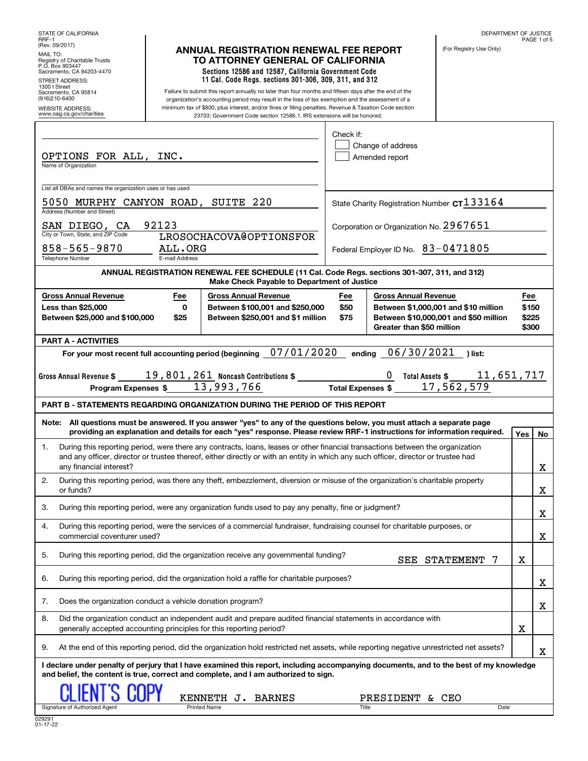| STATE OF CALIFORNIA<br>RRF-1                                                                                                                                                                                                                         |                                                                                           |                                                                                                                                                                                                            |  |              |                                         | DEPARTMENT OF JUSTICE                                                         |                | PAGE 1 of 5 |
|------------------------------------------------------------------------------------------------------------------------------------------------------------------------------------------------------------------------------------------------------|-------------------------------------------------------------------------------------------|------------------------------------------------------------------------------------------------------------------------------------------------------------------------------------------------------------|--|--------------|-----------------------------------------|-------------------------------------------------------------------------------|----------------|-------------|
| (Rev. 09/2017)<br>MAIL TO:                                                                                                                                                                                                                           |                                                                                           | <b>ANNUAL REGISTRATION RENEWAL FEE REPORT</b>                                                                                                                                                              |  |              |                                         | (For Registry Use Only)                                                       |                |             |
| Registry of Charitable Trusts<br>P.O. Box 903447<br>Sacramento, CA 94203-4470                                                                                                                                                                        | TO ATTORNEY GENERAL OF CALIFORNIA<br>Sections 12586 and 12587, California Government Code |                                                                                                                                                                                                            |  |              |                                         |                                                                               |                |             |
| <b>STREET ADDRESS:</b><br>1300   Street                                                                                                                                                                                                              |                                                                                           | 11 Cal. Code Regs. sections 301-306, 309, 311, and 312                                                                                                                                                     |  |              |                                         |                                                                               |                |             |
| Sacramento, CA 95814<br>(916)210-6400                                                                                                                                                                                                                |                                                                                           | Failure to submit this report annually no later than four months and fifteen days after the end of the<br>organization's accounting period may result in the loss of tax exemption and the assessment of a |  |              |                                         |                                                                               |                |             |
| <b>WEBSITE ADDRESS:</b><br>www.oag.ca.gov/charities                                                                                                                                                                                                  |                                                                                           | minimum tax of \$800, plus interest, and/or fines or filing penalties. Revenue & Taxation Code section<br>23703; Government Code section 12586.1. IRS extensions will be honored.                          |  |              |                                         |                                                                               |                |             |
|                                                                                                                                                                                                                                                      |                                                                                           |                                                                                                                                                                                                            |  | Check if:    |                                         |                                                                               |                |             |
|                                                                                                                                                                                                                                                      |                                                                                           |                                                                                                                                                                                                            |  |              | Change of address                       |                                                                               |                |             |
| OPTIONS FOR ALL, INC.<br>Name of Organization                                                                                                                                                                                                        |                                                                                           |                                                                                                                                                                                                            |  |              | Amended report                          |                                                                               |                |             |
|                                                                                                                                                                                                                                                      |                                                                                           |                                                                                                                                                                                                            |  |              |                                         |                                                                               |                |             |
| List all DBAs and names the organization uses or has used                                                                                                                                                                                            |                                                                                           |                                                                                                                                                                                                            |  |              |                                         |                                                                               |                |             |
| 5050 MURPHY CANYON ROAD, SUITE 220<br>Address (Number and Street)                                                                                                                                                                                    |                                                                                           |                                                                                                                                                                                                            |  |              |                                         | State Charity Registration Number CT 133164                                   |                |             |
| SAN DIEGO, CA                                                                                                                                                                                                                                        | 92123                                                                                     |                                                                                                                                                                                                            |  |              | Corporation or Organization No. 2967651 |                                                                               |                |             |
| City or Town, State, and ZIP Code<br>$858 - 565 - 9870$                                                                                                                                                                                              | ALL.ORG                                                                                   | LROSOCHACOVA@OPTIONSFOR                                                                                                                                                                                    |  |              |                                         |                                                                               |                |             |
| <b>Telephone Number</b>                                                                                                                                                                                                                              | E-mail Address                                                                            |                                                                                                                                                                                                            |  |              | Federal Employer ID No. 83-0471805      |                                                                               |                |             |
|                                                                                                                                                                                                                                                      |                                                                                           | ANNUAL REGISTRATION RENEWAL FEE SCHEDULE (11 Cal. Code Regs. sections 301-307, 311, and 312)<br>Make Check Payable to Department of Justice                                                                |  |              |                                         |                                                                               |                |             |
| <b>Gross Annual Revenue</b>                                                                                                                                                                                                                          | Fee                                                                                       | <b>Gross Annual Revenue</b>                                                                                                                                                                                |  | Fee          | <b>Gross Annual Revenue</b>             |                                                                               | Fee            |             |
| <b>Less than \$25,000</b><br>Between \$25,000 and \$100,000                                                                                                                                                                                          | 0<br>\$25                                                                                 | Between \$100,001 and \$250,000<br>Between \$250,001 and \$1 million                                                                                                                                       |  | \$50<br>\$75 |                                         | Between \$1,000,001 and \$10 million<br>Between \$10,000,001 and \$50 million | \$150<br>\$225 |             |
|                                                                                                                                                                                                                                                      |                                                                                           |                                                                                                                                                                                                            |  |              | Greater than \$50 million               |                                                                               | \$300          |             |
| <b>PART A - ACTIVITIES</b>                                                                                                                                                                                                                           |                                                                                           |                                                                                                                                                                                                            |  |              |                                         |                                                                               |                |             |
| For your most recent full accounting period (beginning 07/01/2020                                                                                                                                                                                    |                                                                                           |                                                                                                                                                                                                            |  |              | 06/30/2021<br>ending                    | )list:                                                                        |                |             |
| Gross Annual Revenue \$                                                                                                                                                                                                                              |                                                                                           |                                                                                                                                                                                                            |  |              |                                         | 0 Total Assets \$ 11,651,717                                                  |                |             |
| Program Expenses \$                                                                                                                                                                                                                                  |                                                                                           | 13,993,766                                                                                                                                                                                                 |  |              | <b>Total Expenses \$</b>                | 17, 562, 579                                                                  |                |             |
| <b>PART B - STATEMENTS REGARDING ORGANIZATION DURING THE PERIOD OF THIS REPORT</b>                                                                                                                                                                   |                                                                                           |                                                                                                                                                                                                            |  |              |                                         |                                                                               |                |             |
| Note: All questions must be answered. If you answer "yes" to any of the questions below, you must attach a separate page<br>providing an explanation and details for each "yes" response. Please review RRF-1 instructions for information required. |                                                                                           |                                                                                                                                                                                                            |  |              |                                         |                                                                               | Yes            | No          |
| During this reporting period, were there any contracts, loans, leases or other financial transactions between the organization<br>1.                                                                                                                 |                                                                                           |                                                                                                                                                                                                            |  |              |                                         |                                                                               |                |             |
| and any officer, director or trustee thereof, either directly or with an entity in which any such officer, director or trustee had<br>any financial interest?                                                                                        |                                                                                           |                                                                                                                                                                                                            |  |              |                                         |                                                                               |                | X           |
| 2.<br>During this reporting period, was there any theft, embezzlement, diversion or misuse of the organization's charitable property                                                                                                                 |                                                                                           |                                                                                                                                                                                                            |  |              |                                         |                                                                               |                |             |
| or funds?                                                                                                                                                                                                                                            |                                                                                           |                                                                                                                                                                                                            |  |              |                                         |                                                                               |                | X           |
| During this reporting period, were any organization funds used to pay any penalty, fine or judgment?<br>3.                                                                                                                                           |                                                                                           |                                                                                                                                                                                                            |  |              |                                         |                                                                               |                | X           |
| During this reporting period, were the services of a commercial fundraiser, fundraising counsel for charitable purposes, or<br>4.<br>commercial coventurer used?                                                                                     |                                                                                           |                                                                                                                                                                                                            |  |              |                                         |                                                                               |                | X           |
| 5.<br>During this reporting period, did the organization receive any governmental funding?                                                                                                                                                           |                                                                                           |                                                                                                                                                                                                            |  |              |                                         | SEE STATEMENT<br>7                                                            | X              |             |
| During this reporting period, did the organization hold a raffle for charitable purposes?<br>6.                                                                                                                                                      |                                                                                           |                                                                                                                                                                                                            |  |              |                                         |                                                                               |                | X           |
| Does the organization conduct a vehicle donation program?<br>7.                                                                                                                                                                                      |                                                                                           |                                                                                                                                                                                                            |  |              |                                         |                                                                               |                |             |
| Did the organization conduct an independent audit and prepare audited financial statements in accordance with<br>8.                                                                                                                                  |                                                                                           |                                                                                                                                                                                                            |  |              |                                         |                                                                               |                | X           |
| generally accepted accounting principles for this reporting period?                                                                                                                                                                                  |                                                                                           |                                                                                                                                                                                                            |  |              |                                         |                                                                               | X              |             |
| At the end of this reporting period, did the organization hold restricted net assets, while reporting negative unrestricted net assets?<br>9.                                                                                                        |                                                                                           |                                                                                                                                                                                                            |  |              |                                         |                                                                               |                | Χ           |
| I declare under penalty of perjury that I have examined this report, including accompanying documents, and to the best of my knowledge<br>and belief, the content is true, correct and complete, and I am authorized to sign.                        |                                                                                           |                                                                                                                                                                                                            |  |              |                                         |                                                                               |                |             |
|                                                                                                                                                                                                                                                      |                                                                                           |                                                                                                                                                                                                            |  |              |                                         |                                                                               |                |             |
| Signature of Authorized Agent                                                                                                                                                                                                                        |                                                                                           | KENNETH J. BARNES<br><b>Printed Name</b>                                                                                                                                                                   |  | Title        | PRESIDENT & CEO                         | Date                                                                          |                |             |